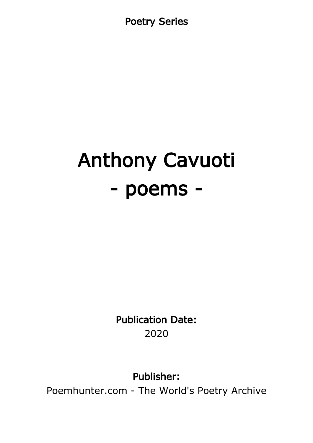Poetry Series

# Anthony Cavuoti - poems -

Publication Date: 2020

Publisher:

Poemhunter.com - The World's Poetry Archive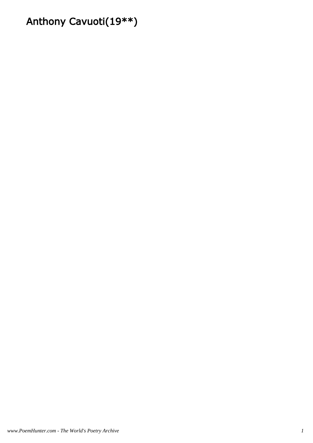# Anthony Cavuoti(19\*\*)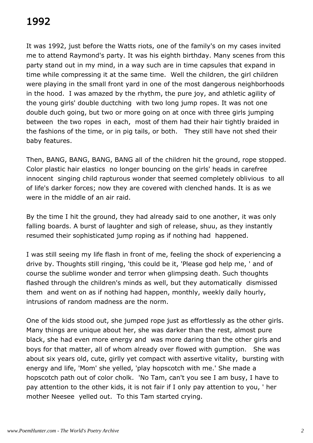# 1992

It was 1992, just before the Watts riots, one of the family's on my cases invited me to attend Raymond's party. It was his eighth birthday. Many scenes from this party stand out in my mind, in a way such are in time capsules that expand in time while compressing it at the same time. Well the children, the girl children were playing in the small front yard in one of the most dangerous neighborhoods in the hood. I was amazed by the rhythm, the pure joy, and athletic agility of the young girls' double ductching with two long jump ropes. It was not one double duch going, but two or more going on at once with three girls jumping between the two ropes in each, most of them had their hair tightly braided in the fashions of the time, or in pig tails, or both. They still have not shed their baby features.

Then, BANG, BANG, BANG, BANG all of the children hit the ground, rope stopped. Color plastic hair elastics no longer bouncing on the girls' heads in carefree innocent singing child rapturous wonder that seemed completely oblivious to all of life's darker forces; now they are covered with clenched hands. It is as we were in the middle of an air raid.

By the time I hit the ground, they had already said to one another, it was only falling boards. A burst of laughter and sigh of release, shuu, as they instantly resumed their sophisticated jump roping as if nothing had happened.

I was still seeing my life flash in front of me, feeling the shock of experiencing a drive by. Thoughts still ringing, 'this could be it, 'Please god help me, ' and of course the sublime wonder and terror when glimpsing death. Such thoughts flashed through the children's minds as well, but they automatically dismissed them and went on as if nothing had happen, monthly, weekly daily hourly, intrusions of random madness are the norm.

One of the kids stood out, she jumped rope just as effortlessly as the other girls. Many things are unique about her, she was darker than the rest, almost pure black, she had even more energy and was more daring than the other girls and boys for that matter, all of whom already over flowed with gumption. She was about six years old, cute, girlly yet compact with assertive vitality, bursting with energy and life, 'Mom' she yelled, 'play hopscotch with me.' She made a hopscotch path out of color cholk. 'No Tam, can't you see I am busy, I have to pay attention to the other kids, it is not fair if I only pay attention to you, ' her mother Neesee yelled out. To this Tam started crying.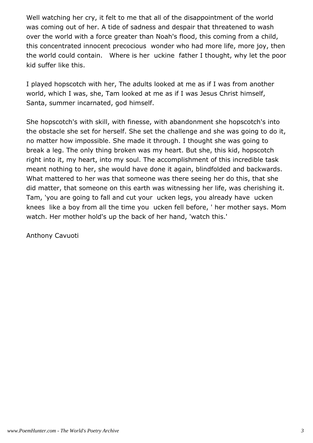Well watching her cry, it felt to me that all of the disappointment of the world was coming out of her. A tide of sadness and despair that threatened to wash over the world with a force greater than Noah's flood, this coming from a child, this concentrated innocent precocious wonder who had more life, more joy, then the world could contain. Where is her uckine father I thought, why let the poor kid suffer like this.

I played hopscotch with her, The adults looked at me as if I was from another world, which I was, she, Tam looked at me as if I was Jesus Christ himself, Santa, summer incarnated, god himself.

She hopscotch's with skill, with finesse, with abandonment she hopscotch's into the obstacle she set for herself. She set the challenge and she was going to do it, no matter how impossible. She made it through. I thought she was going to break a leg. The only thing broken was my heart. But she, this kid, hopscotch right into it, my heart, into my soul. The accomplishment of this incredible task meant nothing to her, she would have done it again, blindfolded and backwards. What mattered to her was that someone was there seeing her do this, that she did matter, that someone on this earth was witnessing her life, was cherishing it. Tam, 'you are going to fall and cut your ucken legs, you already have ucken knees like a boy from all the time you ucken fell before, ' her mother says. Mom watch. Her mother hold's up the back of her hand, 'watch this.'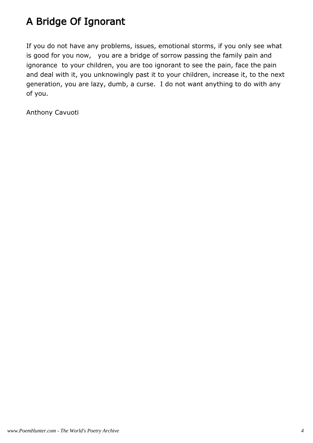# A Bridge Of Ignorant

If you do not have any problems, issues, emotional storms, if you only see what is good for you now, you are a bridge of sorrow passing the family pain and ignorance to your children, you are too ignorant to see the pain, face the pain and deal with it, you unknowingly past it to your children, increase it, to the next generation, you are lazy, dumb, a curse. I do not want anything to do with any of you.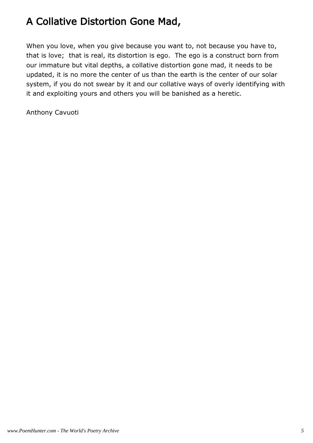# A Collative Distortion Gone Mad,

When you love, when you give because you want to, not because you have to, that is love; that is real, its distortion is ego. The ego is a construct born from our immature but vital depths, a collative distortion gone mad, it needs to be updated, it is no more the center of us than the earth is the center of our solar system, if you do not swear by it and our collative ways of overly identifying with it and exploiting yours and others you will be banished as a heretic.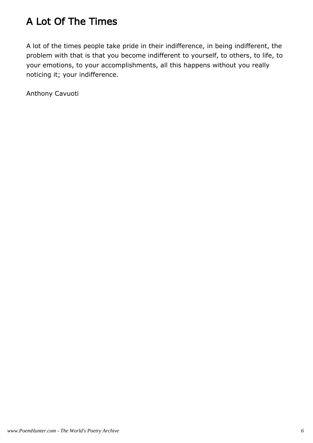# A Lot Of The Times

A lot of the times people take pride in their indifference, in being indifferent, the problem with that is that you become indifferent to yourself, to others, to life, to your emotions, to your accomplishments, all this happens without you really noticing it; your indifference.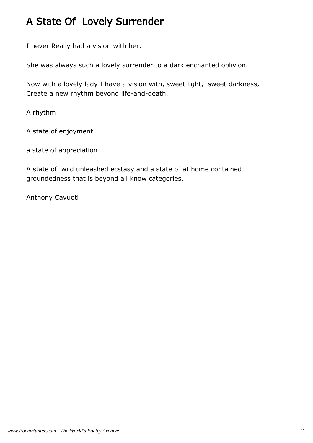## A State Of Lovely Surrender

I never Really had a vision with her.

She was always such a lovely surrender to a dark enchanted oblivion.

Now with a lovely lady I have a vision with, sweet light, sweet darkness, Create a new rhythm beyond life-and-death.

A rhythm

A state of enjoyment

a state of appreciation

A state of wild unleashed ecstasy and a state of at home contained groundedness that is beyond all know categories.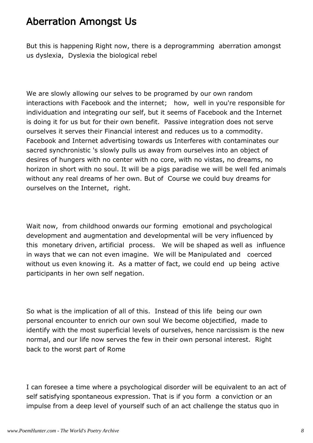## Aberration Amongst Us

But this is happening Right now, there is a deprogramming aberration amongst us dyslexia, Dyslexia the biological rebel

We are slowly allowing our selves to be programed by our own random interactions with Facebook and the internet; how, well in you're responsible for individuation and integrating our self, but it seems of Facebook and the Internet is doing it for us but for their own benefit. Passive integration does not serve ourselves it serves their Financial interest and reduces us to a commodity. Facebook and Internet advertising towards us Interferes with contaminates our sacred synchronistic 's slowly pulls us away from ourselves into an object of desires of hungers with no center with no core, with no vistas, no dreams, no horizon in short with no soul. It will be a pigs paradise we will be well fed animals without any real dreams of her own. But of Course we could buy dreams for ourselves on the Internet, right.

Wait now, from childhood onwards our forming emotional and psychological development and augmentation and developmental will be very influenced by this monetary driven, artificial process. We will be shaped as well as influence in ways that we can not even imagine. We will be Manipulated and coerced without us even knowing it. As a matter of fact, we could end up being active participants in her own self negation.

So what is the implication of all of this. Instead of this life being our own personal encounter to enrich our own soul We become objectified, made to identify with the most superficial levels of ourselves, hence narcissism is the new normal, and our life now serves the few in their own personal interest. Right back to the worst part of Rome

I can foresee a time where a psychological disorder will be equivalent to an act of self satisfying spontaneous expression. That is if you form a conviction or an impulse from a deep level of yourself such of an act challenge the status quo in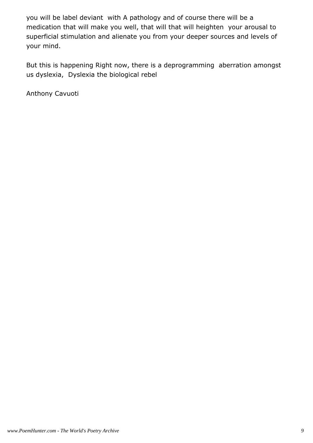you will be label deviant with A pathology and of course there will be a medication that will make you well, that will that will heighten your arousal to superficial stimulation and alienate you from your deeper sources and levels of your mind.

But this is happening Right now, there is a deprogramming aberration amongst us dyslexia, Dyslexia the biological rebel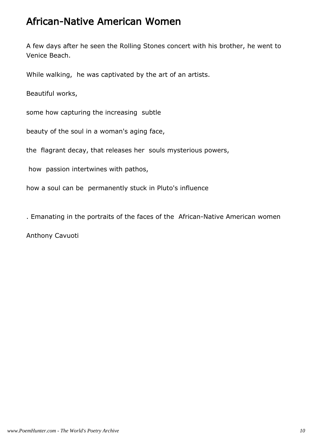#### African-Native American Women

A few days after he seen the Rolling Stones concert with his brother, he went to Venice Beach.

While walking, he was captivated by the art of an artists.

Beautiful works,

some how capturing the increasing subtle

beauty of the soul in a woman's aging face,

the flagrant decay, that releases her souls mysterious powers,

how passion intertwines with pathos,

how a soul can be permanently stuck in Pluto's influence

. Emanating in the portraits of the faces of the African-Native American women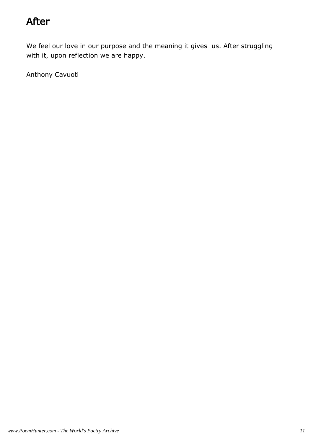## After

We feel our love in our purpose and the meaning it gives us. After struggling with it, upon reflection we are happy.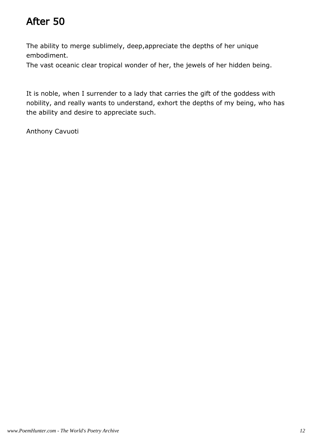# After 50

The ability to merge sublimely, deep,appreciate the depths of her unique embodiment.

The vast oceanic clear tropical wonder of her, the jewels of her hidden being.

It is noble, when I surrender to a lady that carries the gift of the goddess with nobility, and really wants to understand, exhort the depths of my being, who has the ability and desire to appreciate such.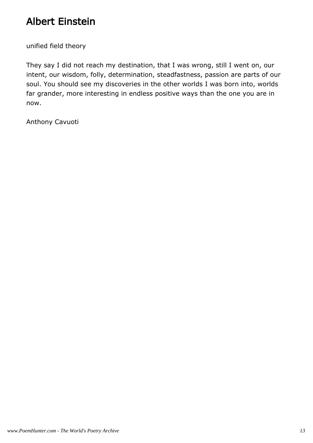## Albert Einstein

unified field theory

They say I did not reach my destination, that I was wrong, still I went on, our intent, our wisdom, folly, determination, steadfastness, passion are parts of our soul. You should see my discoveries in the other worlds I was born into, worlds far grander, more interesting in endless positive ways than the one you are in now.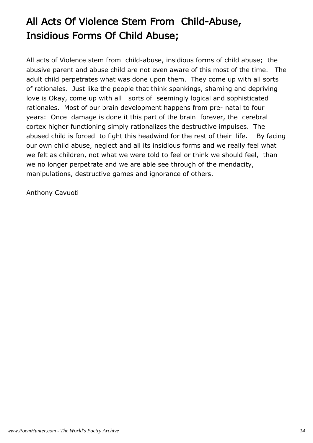# All Acts Of Violence Stem From Child-Abuse, Insidious Forms Of Child Abuse;

All acts of Violence stem from child-abuse, insidious forms of child abuse; the abusive parent and abuse child are not even aware of this most of the time. The adult child perpetrates what was done upon them. They come up with all sorts of rationales. Just like the people that think spankings, shaming and depriving love is Okay, come up with all sorts of seemingly logical and sophisticated rationales. Most of our brain development happens from pre- natal to four years: Once damage is done it this part of the brain forever, the cerebral cortex higher functioning simply rationalizes the destructive impulses. The abused child is forced to fight this headwind for the rest of their life. By facing our own child abuse, neglect and all its insidious forms and we really feel what we felt as children, not what we were told to feel or think we should feel, than we no longer perpetrate and we are able see through of the mendacity, manipulations, destructive games and ignorance of others.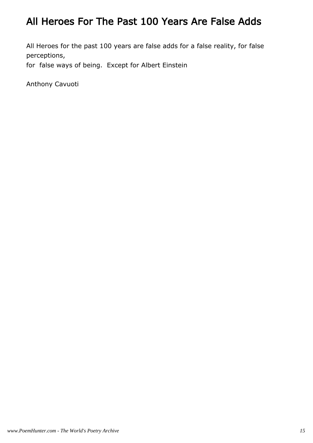## All Heroes For The Past 100 Years Are False Adds

All Heroes for the past 100 years are false adds for a false reality, for false perceptions,

for false ways of being. Except for Albert Einstein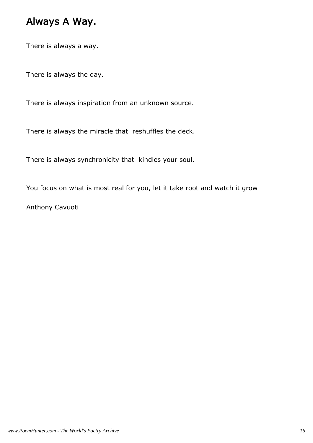## Always A Way.

There is always a way.

There is always the day.

There is always inspiration from an unknown source.

There is always the miracle that reshuffles the deck.

There is always synchronicity that kindles your soul.

You focus on what is most real for you, let it take root and watch it grow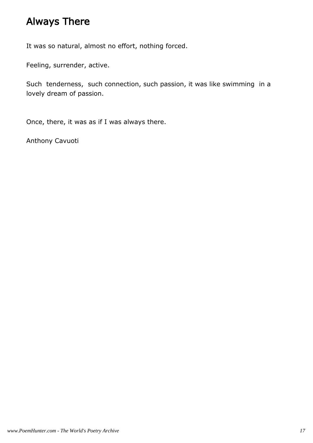## Always There

It was so natural, almost no effort, nothing forced.

Feeling, surrender, active.

Such tenderness, such connection, such passion, it was like swimming in a lovely dream of passion.

Once, there, it was as if I was always there.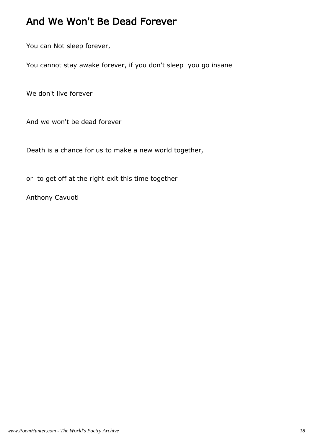## And We Won't Be Dead Forever

You can Not sleep forever,

You cannot stay awake forever, if you don't sleep you go insane

We don't live forever

And we won't be dead forever

Death is a chance for us to make a new world together,

or to get off at the right exit this time together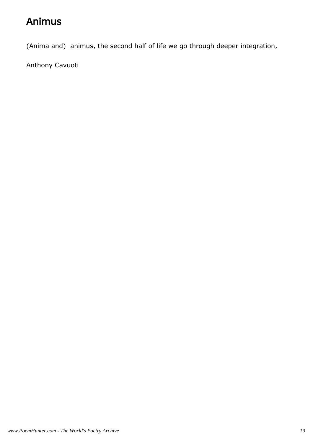# Animus

(Anima and) animus, the second half of life we go through deeper integration,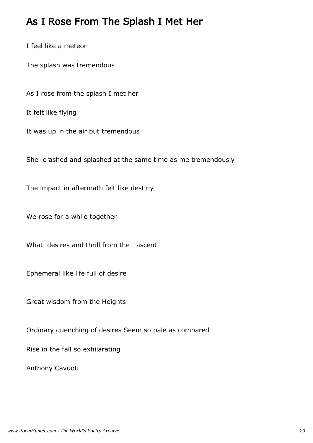#### As I Rose From The Splash I Met Her

I feel like a meteor

The splash was tremendous

As I rose from the splash I met her

It felt like flying

It was up in the air but tremendous

She crashed and splashed at the same time as me tremendously

The impact in aftermath felt like destiny

We rose for a while together

What desires and thrill from the ascent

Ephemeral like life full of desire

Great wisdom from the Heights

Ordinary quenching of desires Seem so pale as compared

Rise in the fall so exhilarating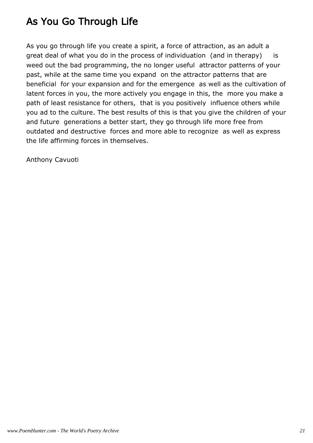# As You Go Through Life

As you go through life you create a spirit, a force of attraction, as an adult a great deal of what you do in the process of individuation (and in therapy) is weed out the bad programming, the no longer useful attractor patterns of your past, while at the same time you expand on the attractor patterns that are beneficial for your expansion and for the emergence as well as the cultivation of latent forces in you, the more actively you engage in this, the more you make a path of least resistance for others, that is you positively influence others while you ad to the culture. The best results of this is that you give the children of your and future generations a better start, they go through life more free from outdated and destructive forces and more able to recognize as well as express the life affirming forces in themselves.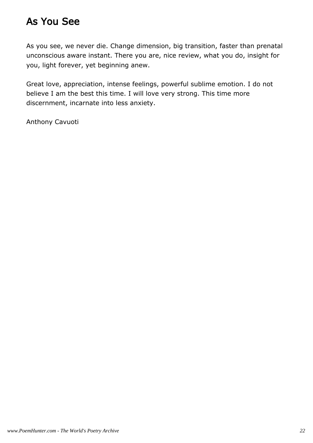## As You See

As you see, we never die. Change dimension, big transition, faster than prenatal unconscious aware instant. There you are, nice review, what you do, insight for you, light forever, yet beginning anew.

Great love, appreciation, intense feelings, powerful sublime emotion. I do not believe I am the best this time. I will love very strong. This time more discernment, incarnate into less anxiety.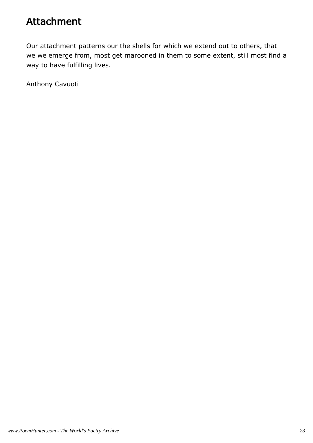## Attachment

Our attachment patterns our the shells for which we extend out to others, that we we emerge from, most get marooned in them to some extent, still most find a way to have fulfilling lives.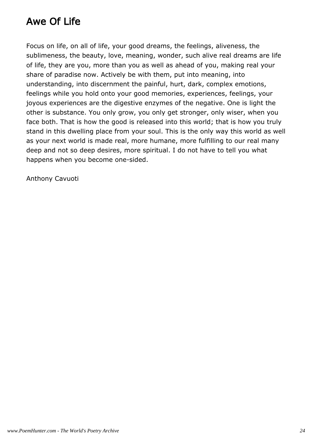# Awe Of Life

Focus on life, on all of life, your good dreams, the feelings, aliveness, the sublimeness, the beauty, love, meaning, wonder, such alive real dreams are life of life, they are you, more than you as well as ahead of you, making real your share of paradise now. Actively be with them, put into meaning, into understanding, into discernment the painful, hurt, dark, complex emotions, feelings while you hold onto your good memories, experiences, feelings, your joyous experiences are the digestive enzymes of the negative. One is light the other is substance. You only grow, you only get stronger, only wiser, when you face both. That is how the good is released into this world; that is how you truly stand in this dwelling place from your soul. This is the only way this world as well as your next world is made real, more humane, more fulfilling to our real many deep and not so deep desires, more spiritual. I do not have to tell you what happens when you become one-sided.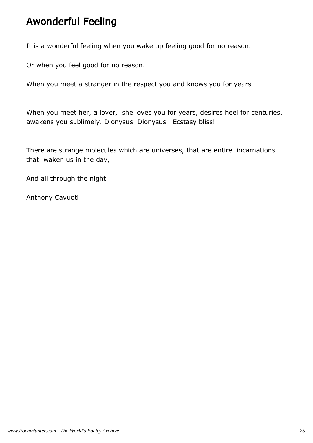## Awonderful Feeling

It is a wonderful feeling when you wake up feeling good for no reason.

Or when you feel good for no reason.

When you meet a stranger in the respect you and knows you for years

When you meet her, a lover, she loves you for years, desires heel for centuries, awakens you sublimely. Dionysus Dionysus Ecstasy bliss!

There are strange molecules which are universes, that are entire incarnations that waken us in the day,

And all through the night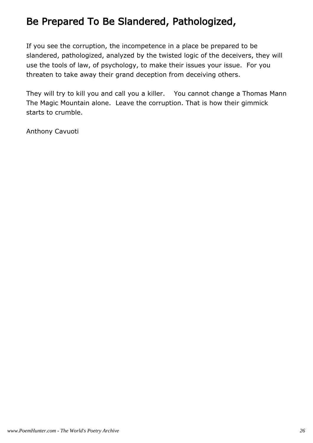# Be Prepared To Be Slandered, Pathologized,

If you see the corruption, the incompetence in a place be prepared to be slandered, pathologized, analyzed by the twisted logic of the deceivers, they will use the tools of law, of psychology, to make their issues your issue. For you threaten to take away their grand deception from deceiving others.

They will try to kill you and call you a killer. You cannot change a Thomas Mann The Magic Mountain alone. Leave the corruption. That is how their gimmick starts to crumble.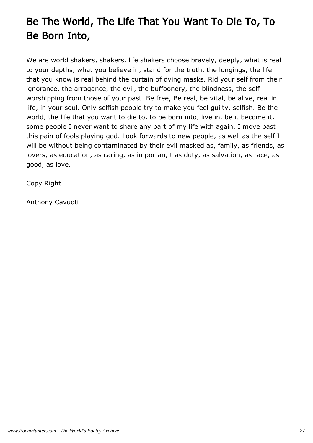# Be The World, The Life That You Want To Die To, To Be Born Into,

We are world shakers, shakers, life shakers choose bravely, deeply, what is real to your depths, what you believe in, stand for the truth, the longings, the life that you know is real behind the curtain of dying masks. Rid your self from their ignorance, the arrogance, the evil, the buffoonery, the blindness, the selfworshipping from those of your past. Be free, Be real, be vital, be alive, real in life, in your soul. Only selfish people try to make you feel guilty, selfish. Be the world, the life that you want to die to, to be born into, live in. be it become it, some people I never want to share any part of my life with again. I move past this pain of fools playing god. Look forwards to new people, as well as the self I will be without being contaminated by their evil masked as, family, as friends, as lovers, as education, as caring, as importan, t as duty, as salvation, as race, as good, as love.

Copy Right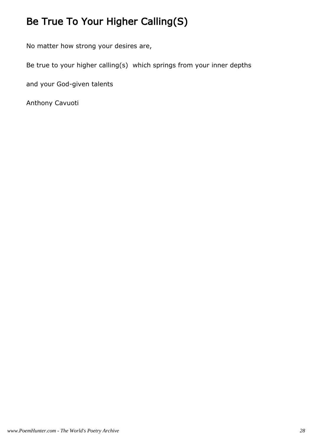# Be True To Your Higher Calling(S)

No matter how strong your desires are,

Be true to your higher calling(s) which springs from your inner depths

and your God-given talents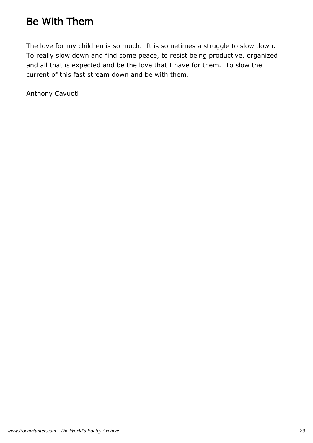## Be With Them

The love for my children is so much. It is sometimes a struggle to slow down. To really slow down and find some peace, to resist being productive, organized and all that is expected and be the love that I have for them. To slow the current of this fast stream down and be with them.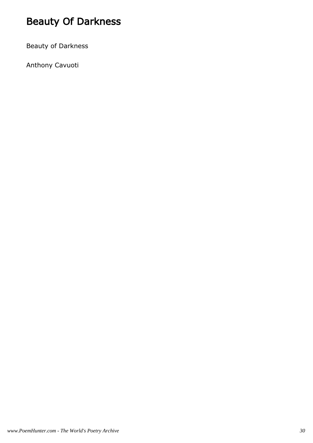# Beauty Of Darkness

Beauty of Darkness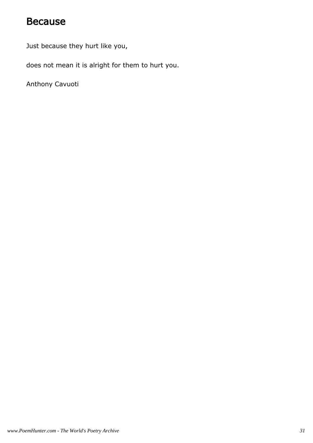#### Because

Just because they hurt like you,

does not mean it is alright for them to hurt you.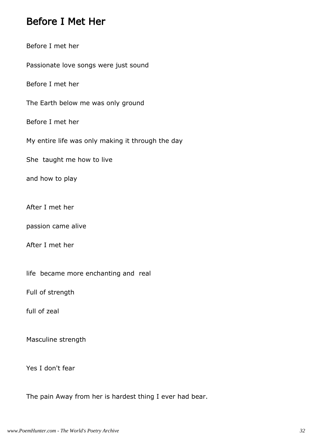#### Before I Met Her

Before I met her

Passionate love songs were just sound

Before I met her

The Earth below me was only ground

Before I met her

My entire life was only making it through the day

She taught me how to live

and how to play

After I met her

passion came alive

After I met her

life became more enchanting and real

Full of strength

full of zeal

Masculine strength

Yes I don't fear

The pain Away from her is hardest thing I ever had bear.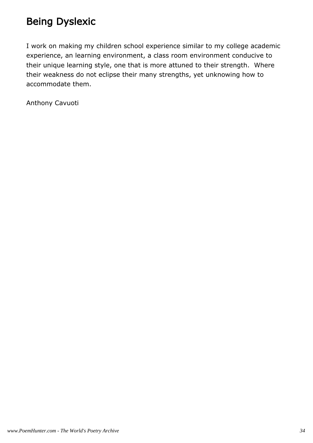# Being Dyslexic

I work on making my children school experience similar to my college academic experience, an learning environment, a class room environment conducive to their unique learning style, one that is more attuned to their strength. Where their weakness do not eclipse their many strengths, yet unknowing how to accommodate them.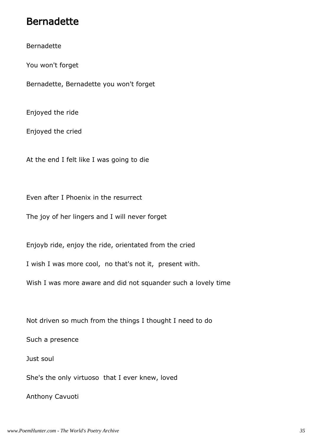#### Bernadette

Bernadette

You won't forget

Bernadette, Bernadette you won't forget

Enjoyed the ride

Enjoyed the cried

At the end I felt like I was going to die

Even after I Phoenix in the resurrect

The joy of her lingers and I will never forget

Enjoyb ride, enjoy the ride, orientated from the cried

I wish I was more cool, no that's not it, present with.

Wish I was more aware and did not squander such a lovely time

Not driven so much from the things I thought I need to do

Such a presence

Just soul

She's the only virtuoso that I ever knew, loved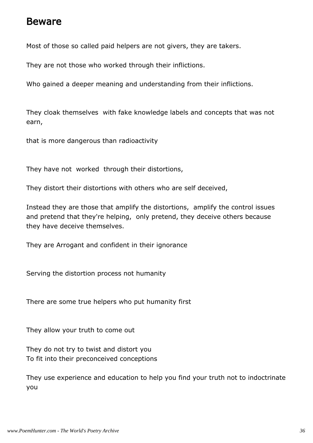#### Beware

Most of those so called paid helpers are not givers, they are takers.

They are not those who worked through their inflictions.

Who gained a deeper meaning and understanding from their inflictions.

They cloak themselves with fake knowledge labels and concepts that was not earn,

that is more dangerous than radioactivity

They have not worked through their distortions,

They distort their distortions with others who are self deceived,

Instead they are those that amplify the distortions, amplify the control issues and pretend that they're helping, only pretend, they deceive others because they have deceive themselves.

They are Arrogant and confident in their ignorance

Serving the distortion process not humanity

There are some true helpers who put humanity first

They allow your truth to come out

They do not try to twist and distort you To fit into their preconceived conceptions

They use experience and education to help you find your truth not to indoctrinate you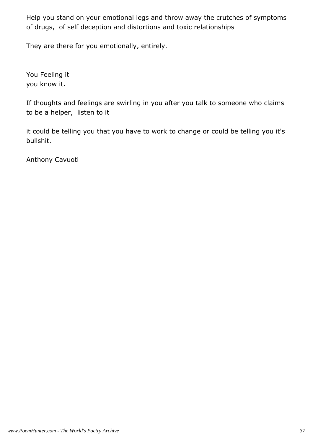Help you stand on your emotional legs and throw away the crutches of symptoms of drugs, of self deception and distortions and toxic relationships

They are there for you emotionally, entirely.

You Feeling it you know it.

If thoughts and feelings are swirling in you after you talk to someone who claims to be a helper, listen to it

it could be telling you that you have to work to change or could be telling you it's bullshit.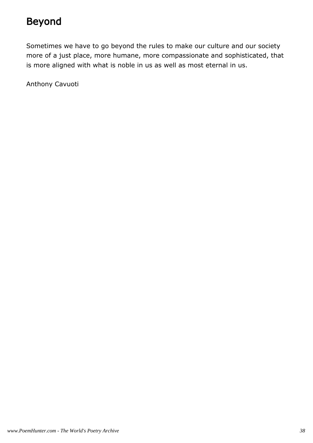### Beyond

Sometimes we have to go beyond the rules to make our culture and our society more of a just place, more humane, more compassionate and sophisticated, that is more aligned with what is noble in us as well as most eternal in us.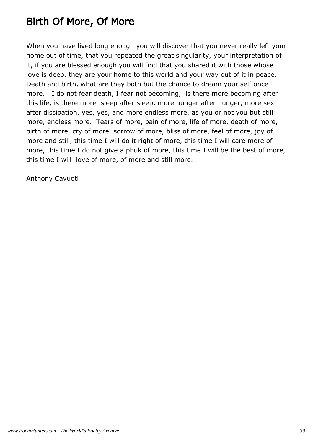### Birth Of More, Of More

When you have lived long enough you will discover that you never really left your home out of time, that you repeated the great singularity, your interpretation of it, if you are blessed enough you will find that you shared it with those whose love is deep, they are your home to this world and your way out of it in peace. Death and birth, what are they both but the chance to dream your self once more. I do not fear death, I fear not becoming, is there more becoming after this life, is there more sleep after sleep, more hunger after hunger, more sex after dissipation, yes, yes, and more endless more, as you or not you but still more, endless more. Tears of more, pain of more, life of more, death of more, birth of more, cry of more, sorrow of more, bliss of more, feel of more, joy of more and still, this time I will do it right of more, this time I will care more of more, this time I do not give a phuk of more, this time I will be the best of more, this time I will love of more, of more and still more.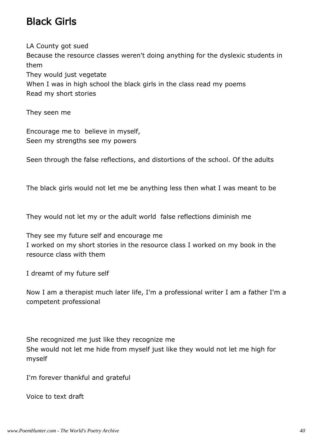#### Black Girls

LA County got sued Because the resource classes weren't doing anything for the dyslexic students in them They would just vegetate When I was in high school the black girls in the class read my poems Read my short stories

They seen me

Encourage me to believe in myself, Seen my strengths see my powers

Seen through the false reflections, and distortions of the school. Of the adults

The black girls would not let me be anything less then what I was meant to be

They would not let my or the adult world false reflections diminish me

They see my future self and encourage me I worked on my short stories in the resource class I worked on my book in the resource class with them

I dreamt of my future self

Now I am a therapist much later life, I'm a professional writer I am a father I'm a competent professional

She recognized me just like they recognize me She would not let me hide from myself just like they would not let me high for myself

I'm forever thankful and grateful

Voice to text draft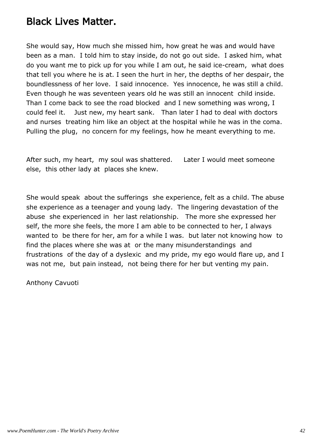#### Black Lives Matter.

She would say, How much she missed him, how great he was and would have been as a man. I told him to stay inside, do not go out side. I asked him, what do you want me to pick up for you while I am out, he said ice-cream, what does that tell you where he is at. I seen the hurt in her, the depths of her despair, the boundlessness of her love. I said innocence. Yes innocence, he was still a child. Even though he was seventeen years old he was still an innocent child inside. Than I come back to see the road blocked and I new something was wrong, I could feel it. Just new, my heart sank. Than later I had to deal with doctors and nurses treating him like an object at the hospital while he was in the coma. Pulling the plug, no concern for my feelings, how he meant everything to me.

After such, my heart, my soul was shattered. Later I would meet someone else, this other lady at places she knew.

She would speak about the sufferings she experience, felt as a child. The abuse she experience as a teenager and young lady. The lingering devastation of the abuse she experienced in her last relationship. The more she expressed her self, the more she feels, the more I am able to be connected to her, I always wanted to be there for her, am for a while I was. but later not knowing how to find the places where she was at or the many misunderstandings and frustrations of the day of a dyslexic and my pride, my ego would flare up, and I was not me, but pain instead, not being there for her but venting my pain.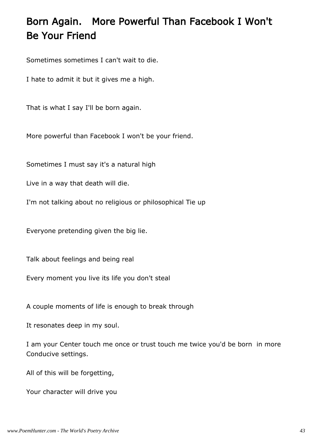# Born Again. More Powerful Than Facebook I Won't Be Your Friend

Sometimes sometimes I can't wait to die.

I hate to admit it but it gives me a high.

That is what I say I'll be born again.

More powerful than Facebook I won't be your friend.

Sometimes I must say it's a natural high

Live in a way that death will die.

I'm not talking about no religious or philosophical Tie up

Everyone pretending given the big lie.

Talk about feelings and being real

Every moment you live its life you don't steal

A couple moments of life is enough to break through

It resonates deep in my soul.

I am your Center touch me once or trust touch me twice you'd be born in more Conducive settings.

All of this will be forgetting,

Your character will drive you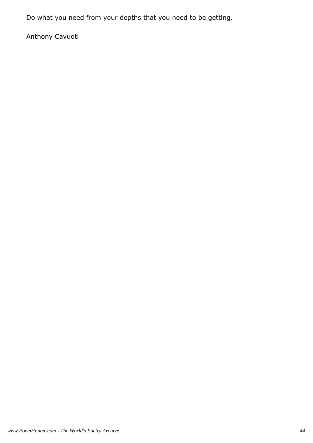Do what you need from your depths that you need to be getting.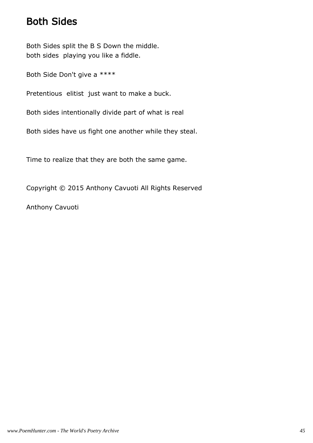#### Both Sides

Both Sides split the B S Down the middle. both sides playing you like a fiddle.

Both Side Don't give a \*\*\*\*

Pretentious elitist just want to make a buck.

Both sides intentionally divide part of what is real

Both sides have us fight one another while they steal.

Time to realize that they are both the same game.

Copyright © 2015 Anthony Cavuoti All Rights Reserved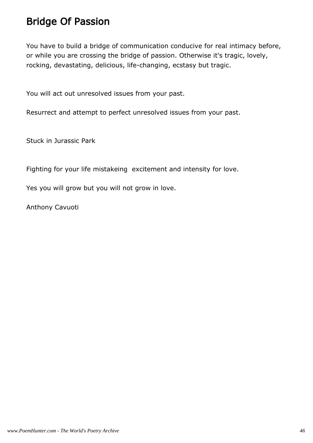#### Bridge Of Passion

You have to build a bridge of communication conducive for real intimacy before, or while you are crossing the bridge of passion. Otherwise it's tragic, lovely, rocking, devastating, delicious, life-changing, ecstasy but tragic.

You will act out unresolved issues from your past.

Resurrect and attempt to perfect unresolved issues from your past.

Stuck in Jurassic Park

Fighting for your life mistakeing excitement and intensity for love.

Yes you will grow but you will not grow in love.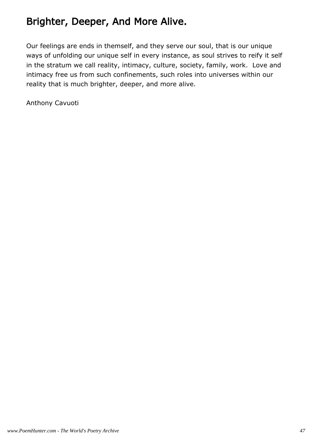#### Brighter, Deeper, And More Alive.

Our feelings are ends in themself, and they serve our soul, that is our unique ways of unfolding our unique self in every instance, as soul strives to reify it self in the stratum we call reality, intimacy, culture, society, family, work. Love and intimacy free us from such confinements, such roles into universes within our reality that is much brighter, deeper, and more alive.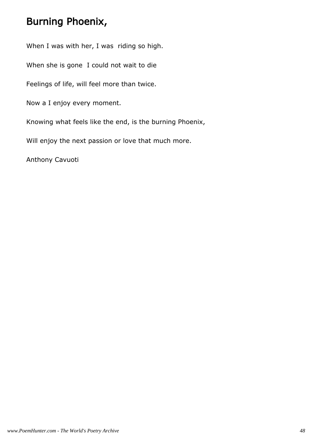#### Burning Phoenix,

When I was with her, I was riding so high.

When she is gone I could not wait to die

Feelings of life, will feel more than twice.

Now a I enjoy every moment.

Knowing what feels like the end, is the burning Phoenix,

Will enjoy the next passion or love that much more.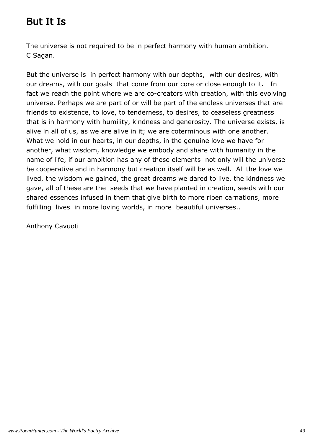### But It Is

The universe is not required to be in perfect harmony with human ambition. C Sagan.

But the universe is in perfect harmony with our depths, with our desires, with our dreams, with our goals that come from our core or close enough to it. In fact we reach the point where we are co-creators with creation, with this evolving universe. Perhaps we are part of or will be part of the endless universes that are friends to existence, to love, to tenderness, to desires, to ceaseless greatness that is in harmony with humility, kindness and generosity. The universe exists, is alive in all of us, as we are alive in it; we are coterminous with one another. What we hold in our hearts, in our depths, in the genuine love we have for another, what wisdom, knowledge we embody and share with humanity in the name of life, if our ambition has any of these elements not only will the universe be cooperative and in harmony but creation itself will be as well. All the love we lived, the wisdom we gained, the great dreams we dared to live, the kindness we gave, all of these are the seeds that we have planted in creation, seeds with our shared essences infused in them that give birth to more ripen carnations, more fulfilling lives in more loving worlds, in more beautiful universes..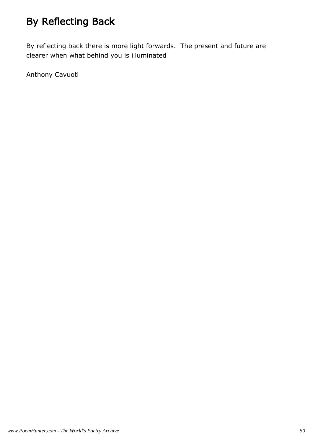# By Reflecting Back

By reflecting back there is more light forwards. The present and future are clearer when what behind you is illuminated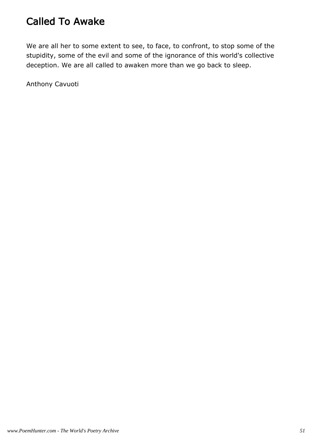### Called To Awake

We are all her to some extent to see, to face, to confront, to stop some of the stupidity, some of the evil and some of the ignorance of this world's collective deception. We are all called to awaken more than we go back to sleep.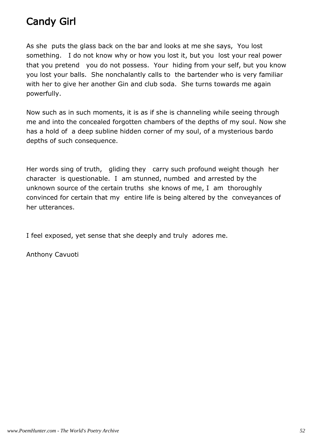### Candy Girl

As she puts the glass back on the bar and looks at me she says, You lost something. I do not know why or how you lost it, but you lost your real power that you pretend you do not possess. Your hiding from your self, but you know you lost your balls. She nonchalantly calls to the bartender who is very familiar with her to give her another Gin and club soda. She turns towards me again powerfully.

Now such as in such moments, it is as if she is channeling while seeing through me and into the concealed forgotten chambers of the depths of my soul. Now she has a hold of a deep subline hidden corner of my soul, of a mysterious bardo depths of such consequence.

Her words sing of truth, gliding they carry such profound weight though her character is questionable. I am stunned, numbed and arrested by the unknown source of the certain truths she knows of me, I am thoroughly convinced for certain that my entire life is being altered by the conveyances of her utterances.

I feel exposed, yet sense that she deeply and truly adores me.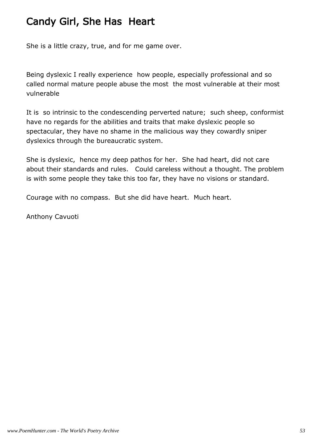### Candy Girl, She Has Heart

She is a little crazy, true, and for me game over.

Being dyslexic I really experience how people, especially professional and so called normal mature people abuse the most the most vulnerable at their most vulnerable

It is so intrinsic to the condescending perverted nature; such sheep, conformist have no regards for the abilities and traits that make dyslexic people so spectacular, they have no shame in the malicious way they cowardly sniper dyslexics through the bureaucratic system.

She is dyslexic, hence my deep pathos for her. She had heart, did not care about their standards and rules. Could careless without a thought. The problem is with some people they take this too far, they have no visions or standard.

Courage with no compass. But she did have heart. Much heart.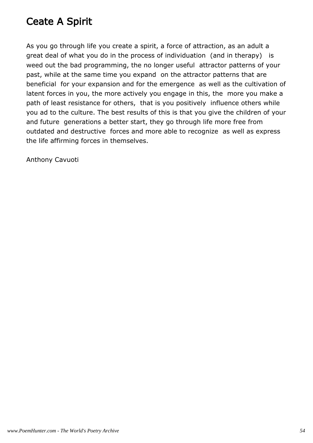### Ceate A Spirit

As you go through life you create a spirit, a force of attraction, as an adult a great deal of what you do in the process of individuation (and in therapy) is weed out the bad programming, the no longer useful attractor patterns of your past, while at the same time you expand on the attractor patterns that are beneficial for your expansion and for the emergence as well as the cultivation of latent forces in you, the more actively you engage in this, the more you make a path of least resistance for others, that is you positively influence others while you ad to the culture. The best results of this is that you give the children of your and future generations a better start, they go through life more free from outdated and destructive forces and more able to recognize as well as express the life affirming forces in themselves.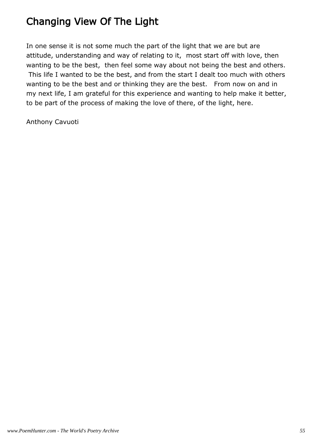### Changing View Of The Light

In one sense it is not some much the part of the light that we are but are attitude, understanding and way of relating to it, most start off with love, then wanting to be the best, then feel some way about not being the best and others. This life I wanted to be the best, and from the start I dealt too much with others wanting to be the best and or thinking they are the best. From now on and in my next life, I am grateful for this experience and wanting to help make it better, to be part of the process of making the love of there, of the light, here.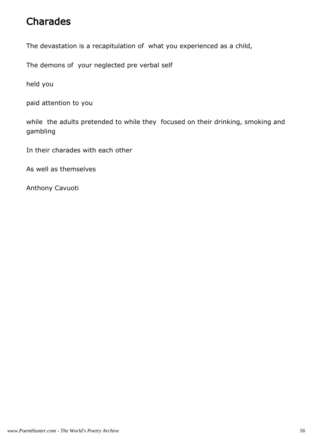#### Charades

The devastation is a recapitulation of what you experienced as a child,

The demons of your neglected pre verbal self

held you

paid attention to you

while the adults pretended to while they focused on their drinking, smoking and gambling

In their charades with each other

As well as themselves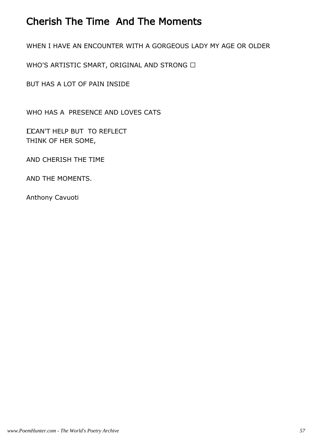#### Cherish The Time And The Moments

WHEN I HAVE AN ENCOUNTER WITH A GORGEOUS LADY MY AGE OR OLDER

WHO'S ARTISTIC SMART, ORIGINAL AND STRONG 

BUT HAS A LOT OF PAIN INSIDE

WHO HAS A PRESENCE AND LOVES CATS

 I CAN'T HELP BUT TO REFLECT THINK OF HER SOME,

AND CHERISH THE TIME

AND THE MOMENTS.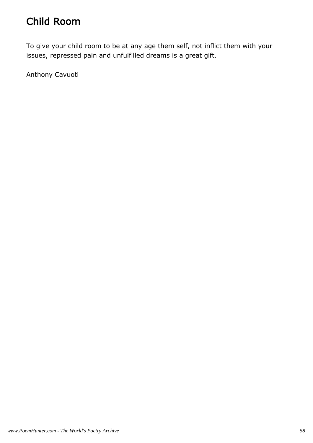### Child Room

To give your child room to be at any age them self, not inflict them with your issues, repressed pain and unfulfilled dreams is a great gift.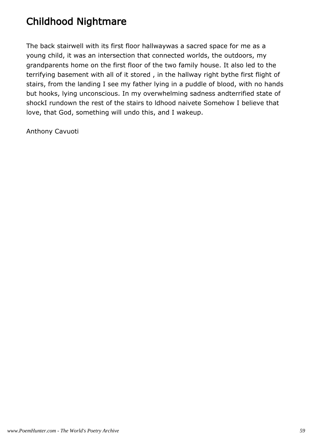# Childhood Nightmare

The back stairwell with its first floor hallwaywas a sacred space for me as a young child, it was an intersection that connected worlds, the outdoors, my grandparents home on the first floor of the two family house. It also led to the terrifying basement with all of it stored , in the hallway right bythe first flight of stairs, from the landing I see my father lying in a puddle of blood, with no hands but hooks, lying unconscious. In my overwhelming sadness andterrified state of shockI rundown the rest of the stairs to ldhood naivete Somehow I believe that love, that God, something will undo this, and I wakeup.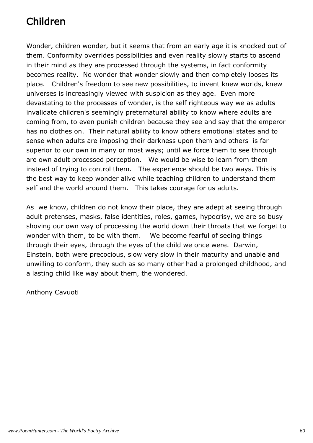# Children

Wonder, children wonder, but it seems that from an early age it is knocked out of them. Conformity overrides possibilities and even reality slowly starts to ascend in their mind as they are processed through the systems, in fact conformity becomes reality. No wonder that wonder slowly and then completely looses its place. Children's freedom to see new possibilities, to invent knew worlds, knew universes is increasingly viewed with suspicion as they age. Even more devastating to the processes of wonder, is the self righteous way we as adults invalidate children's seemingly preternatural ability to know where adults are coming from, to even punish children because they see and say that the emperor has no clothes on. Their natural ability to know others emotional states and to sense when adults are imposing their darkness upon them and others is far superior to our own in many or most ways; until we force them to see through are own adult processed perception. We would be wise to learn from them instead of trying to control them. The experience should be two ways. This is the best way to keep wonder alive while teaching children to understand them self and the world around them. This takes courage for us adults.

As we know, children do not know their place, they are adept at seeing through adult pretenses, masks, false identities, roles, games, hypocrisy, we are so busy shoving our own way of processing the world down their throats that we forget to wonder with them, to be with them. We become fearful of seeing things through their eyes, through the eyes of the child we once were. Darwin, Einstein, both were precocious, slow very slow in their maturity and unable and unwilling to conform, they such as so many other had a prolonged childhood, and a lasting child like way about them, the wondered.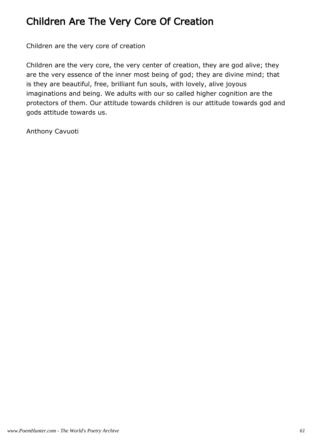#### Children Are The Very Core Of Creation

Children are the very core of creation

Children are the very core, the very center of creation, they are god alive; they are the very essence of the inner most being of god; they are divine mind; that is they are beautiful, free, brilliant fun souls, with lovely, alive joyous imaginations and being. We adults with our so called higher cognition are the protectors of them. Our attitude towards children is our attitude towards god and gods attitude towards us.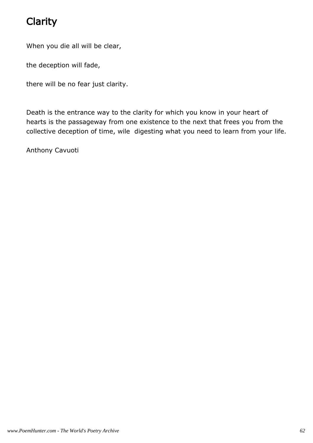# Clarity

When you die all will be clear,

the deception will fade,

there will be no fear just clarity.

Death is the entrance way to the clarity for which you know in your heart of hearts is the passageway from one existence to the next that frees you from the collective deception of time, wile digesting what you need to learn from your life.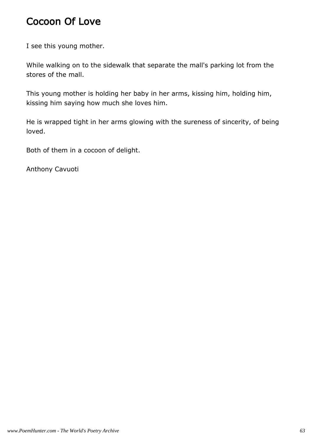#### Cocoon Of Love

I see this young mother.

While walking on to the sidewalk that separate the mall's parking lot from the stores of the mall.

This young mother is holding her baby in her arms, kissing him, holding him, kissing him saying how much she loves him.

He is wrapped tight in her arms glowing with the sureness of sincerity, of being loved.

Both of them in a cocoon of delight.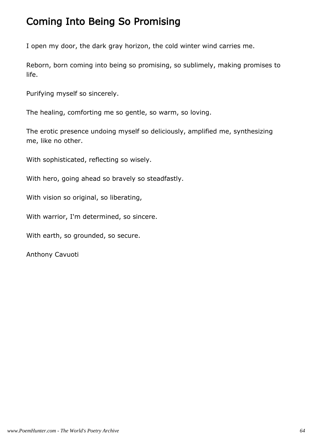#### Coming Into Being So Promising

I open my door, the dark gray horizon, the cold winter wind carries me.

Reborn, born coming into being so promising, so sublimely, making promises to life.

Purifying myself so sincerely.

The healing, comforting me so gentle, so warm, so loving.

The erotic presence undoing myself so deliciously, amplified me, synthesizing me, like no other.

With sophisticated, reflecting so wisely.

With hero, going ahead so bravely so steadfastly.

With vision so original, so liberating,

With warrior, I'm determined, so sincere.

With earth, so grounded, so secure.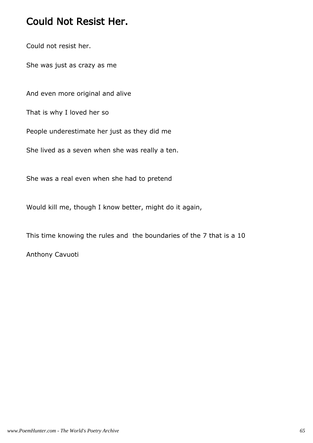#### Could Not Resist Her.

Could not resist her.

She was just as crazy as me

And even more original and alive

That is why I loved her so

People underestimate her just as they did me

She lived as a seven when she was really a ten.

She was a real even when she had to pretend

Would kill me, though I know better, might do it again,

This time knowing the rules and the boundaries of the 7 that is a 10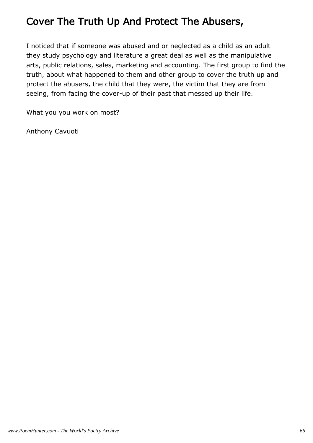### Cover The Truth Up And Protect The Abusers,

I noticed that if someone was abused and or neglected as a child as an adult they study psychology and literature a great deal as well as the manipulative arts, public relations, sales, marketing and accounting. The first group to find the truth, about what happened to them and other group to cover the truth up and protect the abusers, the child that they were, the victim that they are from seeing, from facing the cover-up of their past that messed up their life.

What you you work on most?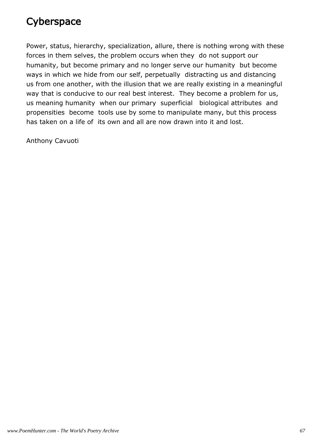### **Cyberspace**

Power, status, hierarchy, specialization, allure, there is nothing wrong with these forces in them selves, the problem occurs when they do not support our humanity, but become primary and no longer serve our humanity but become ways in which we hide from our self, perpetually distracting us and distancing us from one another, with the illusion that we are really existing in a meaningful way that is conducive to our real best interest. They become a problem for us, us meaning humanity when our primary superficial biological attributes and propensities become tools use by some to manipulate many, but this process has taken on a life of its own and all are now drawn into it and lost.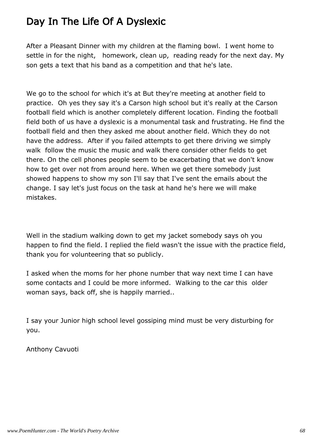#### Day In The Life Of A Dyslexic

After a Pleasant Dinner with my children at the flaming bowl. I went home to settle in for the night, homework, clean up, reading ready for the next day. My son gets a text that his band as a competition and that he's late.

We go to the school for which it's at But they're meeting at another field to practice. Oh yes they say it's a Carson high school but it's really at the Carson football field which is another completely different location. Finding the football field both of us have a dyslexic is a monumental task and frustrating. He find the football field and then they asked me about another field. Which they do not have the address. After if you failed attempts to get there driving we simply walk follow the music the music and walk there consider other fields to get there. On the cell phones people seem to be exacerbating that we don't know how to get over not from around here. When we get there somebody just showed happens to show my son I'll say that I've sent the emails about the change. I say let's just focus on the task at hand he's here we will make mistakes.

Well in the stadium walking down to get my jacket somebody says oh you happen to find the field. I replied the field wasn't the issue with the practice field, thank you for volunteering that so publicly.

I asked when the moms for her phone number that way next time I can have some contacts and I could be more informed. Walking to the car this older woman says, back off, she is happily married..

I say your Junior high school level gossiping mind must be very disturbing for you.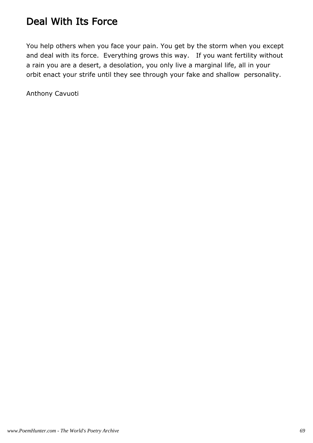### Deal With Its Force

You help others when you face your pain. You get by the storm when you except and deal with its force. Everything grows this way. If you want fertility without a rain you are a desert, a desolation, you only live a marginal life, all in your orbit enact your strife until they see through your fake and shallow personality.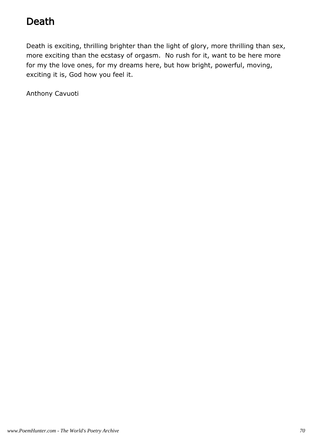### Death

Death is exciting, thrilling brighter than the light of glory, more thrilling than sex, more exciting than the ecstasy of orgasm. No rush for it, want to be here more for my the love ones, for my dreams here, but how bright, powerful, moving, exciting it is, God how you feel it.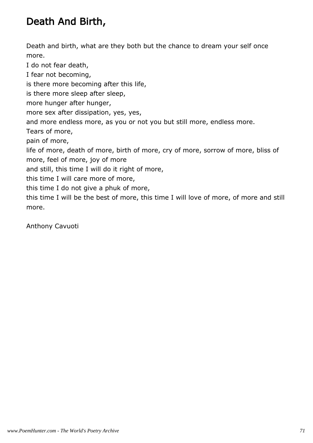### Death And Birth,

Death and birth, what are they both but the chance to dream your self once more.

I do not fear death, I fear not becoming, is there more becoming after this life, is there more sleep after sleep, more hunger after hunger, more sex after dissipation, yes, yes, and more endless more, as you or not you but still more, endless more. Tears of more, pain of more, life of more, death of more, birth of more, cry of more, sorrow of more, bliss of more, feel of more, joy of more and still, this time I will do it right of more, this time I will care more of more, this time I do not give a phuk of more, this time I will be the best of more, this time I will love of more, of more and still more.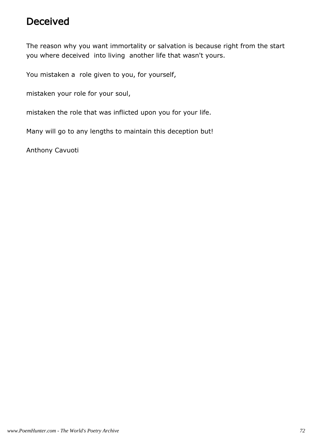### Deceived

The reason why you want immortality or salvation is because right from the start you where deceived into living another life that wasn't yours.

You mistaken a role given to you, for yourself,

mistaken your role for your soul,

mistaken the role that was inflicted upon you for your life.

Many will go to any lengths to maintain this deception but!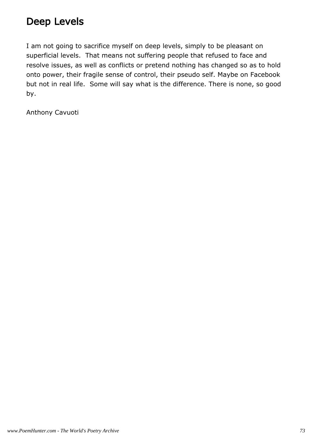### Deep Levels

I am not going to sacrifice myself on deep levels, simply to be pleasant on superficial levels. That means not suffering people that refused to face and resolve issues, as well as conflicts or pretend nothing has changed so as to hold onto power, their fragile sense of control, their pseudo self. Maybe on Facebook but not in real life. Some will say what is the difference. There is none, so good by.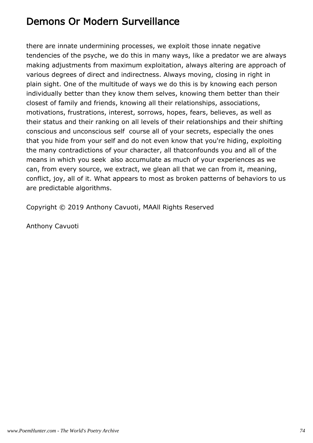### Demons Or Modern Surveillance

there are innate undermining processes, we exploit those innate negative tendencies of the psyche, we do this in many ways, like a predator we are always making adjustments from maximum exploitation, always altering are approach of various degrees of direct and indirectness. Always moving, closing in right in plain sight. One of the multitude of ways we do this is by knowing each person individually better than they know them selves, knowing them better than their closest of family and friends, knowing all their relationships, associations, motivations, frustrations, interest, sorrows, hopes, fears, believes, as well as their status and their ranking on all levels of their relationships and their shifting conscious and unconscious self course all of your secrets, especially the ones that you hide from your self and do not even know that you're hiding, exploiting the many contradictions of your character, all thatconfounds you and all of the means in which you seek also accumulate as much of your experiences as we can, from every source, we extract, we glean all that we can from it, meaning, conflict, joy, all of it. What appears to most as broken patterns of behaviors to us are predictable algorithms.

Copyright © 2019 Anthony Cavuoti, MAAll Rights Reserved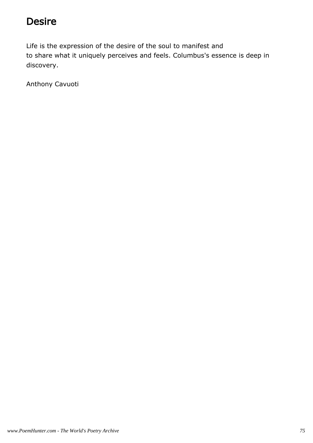### Desire

Life is the expression of the desire of the soul to manifest and to share what it uniquely perceives and feels. Columbus's essence is deep in discovery.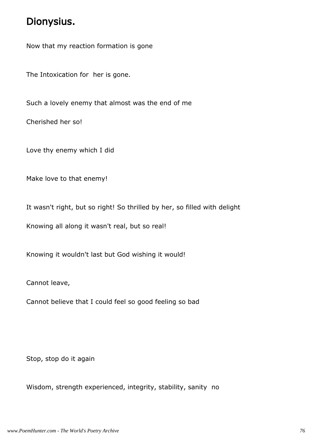#### Dionysius.

Now that my reaction formation is gone

The Intoxication for her is gone.

Such a lovely enemy that almost was the end of me

Cherished her so!

Love thy enemy which I did

Make love to that enemy!

It wasn't right, but so right! So thrilled by her, so filled with delight

Knowing all along it wasn't real, but so real!

Knowing it wouldn't last but God wishing it would!

Cannot leave,

Cannot believe that I could feel so good feeling so bad

Stop, stop do it again

Wisdom, strength experienced, integrity, stability, sanity no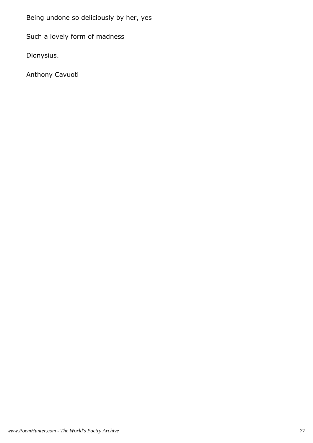Being undone so deliciously by her, yes

Such a lovely form of madness

Dionysius.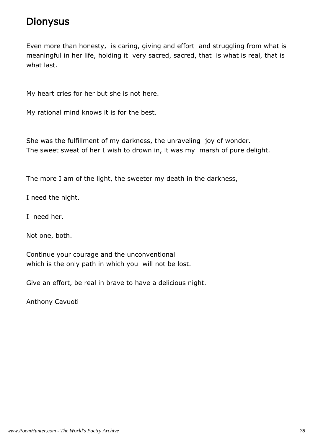#### **Dionysus**

Even more than honesty, is caring, giving and effort and struggling from what is meaningful in her life, holding it very sacred, sacred, that is what is real, that is what last.

My heart cries for her but she is not here.

My rational mind knows it is for the best.

She was the fulfillment of my darkness, the unraveling joy of wonder. The sweet sweat of her I wish to drown in, it was my marsh of pure delight.

The more I am of the light, the sweeter my death in the darkness,

I need the night.

I need her.

Not one, both.

Continue your courage and the unconventional which is the only path in which you will not be lost.

Give an effort, be real in brave to have a delicious night.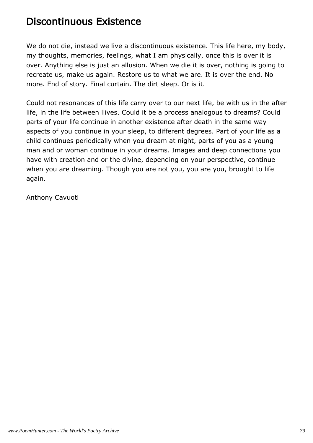### Discontinuous Existence

We do not die, instead we live a discontinuous existence. This life here, my body, my thoughts, memories, feelings, what I am physically, once this is over it is over. Anything else is just an allusion. When we die it is over, nothing is going to recreate us, make us again. Restore us to what we are. It is over the end. No more. End of story. Final curtain. The dirt sleep. Or is it.

Could not resonances of this life carry over to our next life, be with us in the after life, in the life between llives. Could it be a process analogous to dreams? Could parts of your life continue in another existence after death in the same way aspects of you continue in your sleep, to different degrees. Part of your life as a child continues periodically when you dream at night, parts of you as a young man and or woman continue in your dreams. Images and deep connections you have with creation and or the divine, depending on your perspective, continue when you are dreaming. Though you are not you, you are you, brought to life again.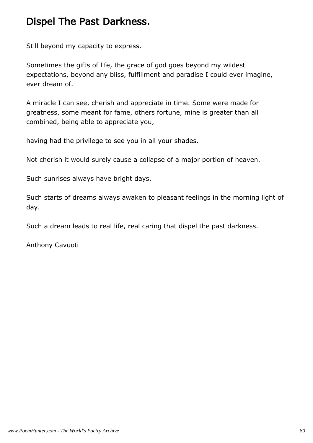### Dispel The Past Darkness.

Still beyond my capacity to express.

Sometimes the gifts of life, the grace of god goes beyond my wildest expectations, beyond any bliss, fulfillment and paradise I could ever imagine, ever dream of.

A miracle I can see, cherish and appreciate in time. Some were made for greatness, some meant for fame, others fortune, mine is greater than all combined, being able to appreciate you,

having had the privilege to see you in all your shades.

Not cherish it would surely cause a collapse of a major portion of heaven.

Such sunrises always have bright days.

Such starts of dreams always awaken to pleasant feelings in the morning light of day.

Such a dream leads to real life, real caring that dispel the past darkness.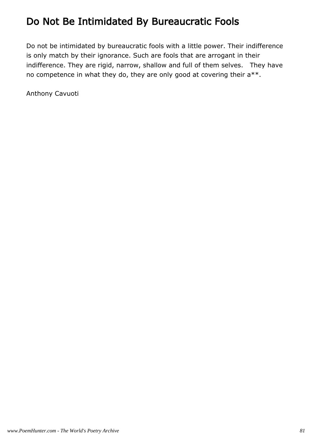# Do Not Be Intimidated By Bureaucratic Fools

Do not be intimidated by bureaucratic fools with a little power. Their indifference is only match by their ignorance. Such are fools that are arrogant in their indifference. They are rigid, narrow, shallow and full of them selves. They have no competence in what they do, they are only good at covering their a\*\*.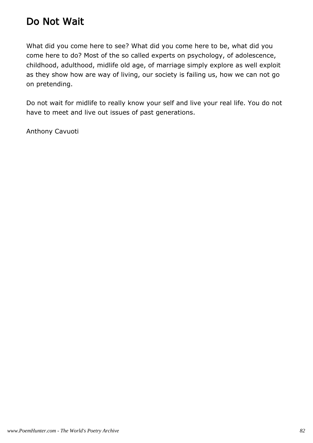### Do Not Wait

What did you come here to see? What did you come here to be, what did you come here to do? Most of the so called experts on psychology, of adolescence, childhood, adulthood, midlife old age, of marriage simply explore as well exploit as they show how are way of living, our society is failing us, how we can not go on pretending.

Do not wait for midlife to really know your self and live your real life. You do not have to meet and live out issues of past generations.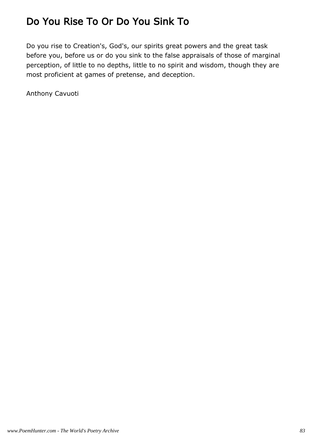# Do You Rise To Or Do You Sink To

Do you rise to Creation's, God's, our spirits great powers and the great task before you, before us or do you sink to the false appraisals of those of marginal perception, of little to no depths, little to no spirit and wisdom, though they are most proficient at games of pretense, and deception.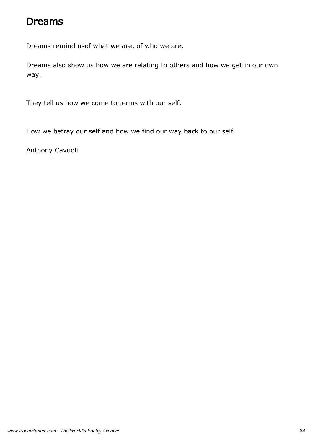#### Dreams

Dreams remind usof what we are, of who we are.

Dreams also show us how we are relating to others and how we get in our own way.

They tell us how we come to terms with our self.

How we betray our self and how we find our way back to our self.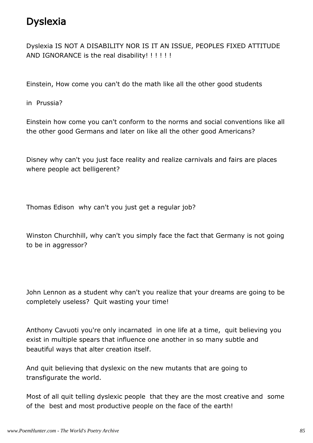# Dyslexia

Dyslexia IS NOT A DISABILITY NOR IS IT AN ISSUE, PEOPLES FIXED ATTITUDE AND IGNORANCE is the real disability! !!!!!!

Einstein, How come you can't do the math like all the other good students

in Prussia?

Einstein how come you can't conform to the norms and social conventions like all the other good Germans and later on like all the other good Americans?

Disney why can't you just face reality and realize carnivals and fairs are places where people act belligerent?

Thomas Edison why can't you just get a regular job?

Winston Churchhill, why can't you simply face the fact that Germany is not going to be in aggressor?

John Lennon as a student why can't you realize that your dreams are going to be completely useless? Quit wasting your time!

Anthony Cavuoti you're only incarnated in one life at a time, quit believing you exist in multiple spears that influence one another in so many subtle and beautiful ways that alter creation itself.

And quit believing that dyslexic on the new mutants that are going to transfigurate the world.

Most of all quit telling dyslexic people that they are the most creative and some of the best and most productive people on the face of the earth!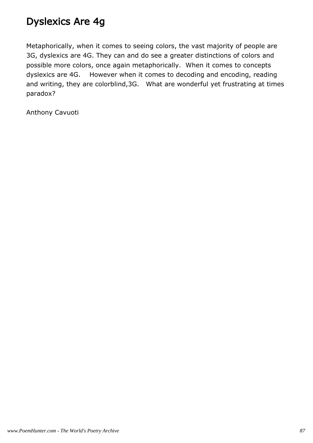# Dyslexics Are 4g

Metaphorically, when it comes to seeing colors, the vast majority of people are 3G, dyslexics are 4G. They can and do see a greater distinctions of colors and possible more colors, once again metaphorically. When it comes to concepts dyslexics are 4G. However when it comes to decoding and encoding, reading and writing, they are colorblind,3G. What are wonderful yet frustrating at times paradox?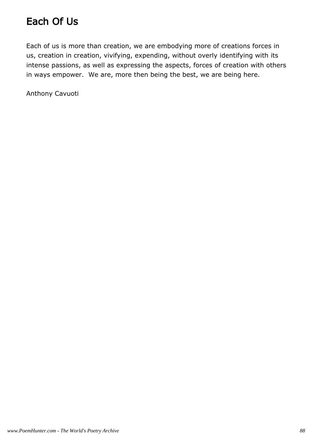# Each Of Us

Each of us is more than creation, we are embodying more of creations forces in us, creation in creation, vivifying, expending, without overly identifying with its intense passions, as well as expressing the aspects, forces of creation with others in ways empower. We are, more then being the best, we are being here.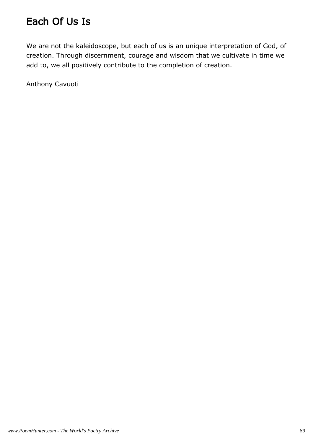# Each Of Us Is

We are not the kaleidoscope, but each of us is an unique interpretation of God, of creation. Through discernment, courage and wisdom that we cultivate in time we add to, we all positively contribute to the completion of creation.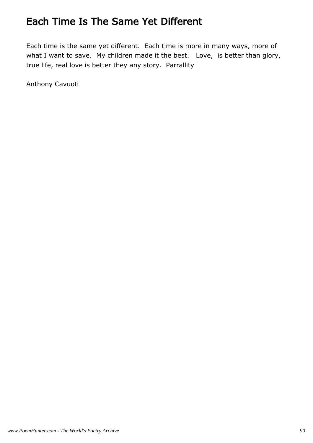### Each Time Is The Same Yet Different

Each time is the same yet different. Each time is more in many ways, more of what I want to save. My children made it the best. Love, is better than glory, true life, real love is better they any story. Parrallity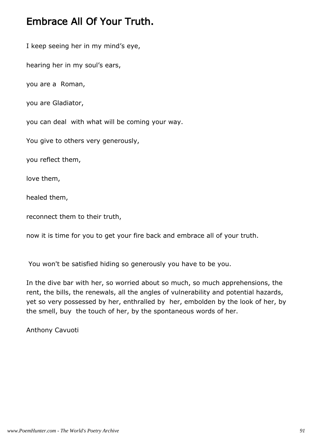#### Embrace All Of Your Truth.

I keep seeing her in my mind's eye,

hearing her in my soul's ears,

you are a Roman,

you are Gladiator,

you can deal with what will be coming your way.

You give to others very generously,

you reflect them,

love them,

healed them,

reconnect them to their truth,

now it is time for you to get your fire back and embrace all of your truth.

You won't be satisfied hiding so generously you have to be you.

In the dive bar with her, so worried about so much, so much apprehensions, the rent, the bills, the renewals, all the angles of vulnerability and potential hazards, yet so very possessed by her, enthralled by her, embolden by the look of her, by the smell, buy the touch of her, by the spontaneous words of her.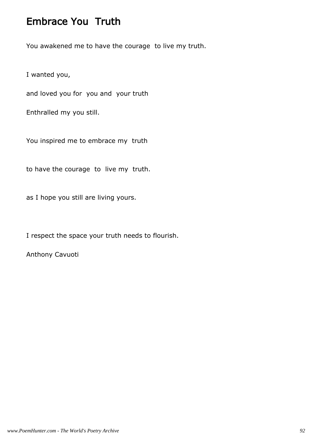#### Embrace You Truth

You awakened me to have the courage to live my truth.

I wanted you,

and loved you for you and your truth

Enthralled my you still.

You inspired me to embrace my truth

to have the courage to live my truth.

as I hope you still are living yours.

I respect the space your truth needs to flourish.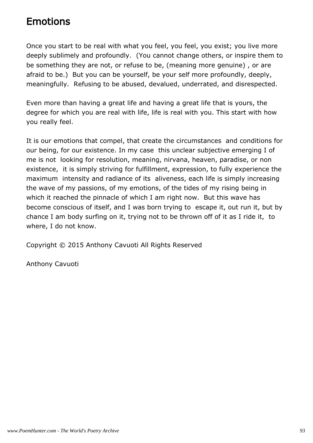#### Emotions

Once you start to be real with what you feel, you feel, you exist; you live more deeply sublimely and profoundly. (You cannot change others, or inspire them to be something they are not, or refuse to be, (meaning more genuine) , or are afraid to be.) But you can be yourself, be your self more profoundly, deeply, meaningfully. Refusing to be abused, devalued, underrated, and disrespected.

Even more than having a great life and having a great life that is yours, the degree for which you are real with life, life is real with you. This start with how you really feel.

It is our emotions that compel, that create the circumstances and conditions for our being, for our existence. In my case this unclear subjective emerging I of me is not looking for resolution, meaning, nirvana, heaven, paradise, or non existence, it is simply striving for fulfillment, expression, to fully experience the maximum intensity and radiance of its aliveness, each life is simply increasing the wave of my passions, of my emotions, of the tides of my rising being in which it reached the pinnacle of which I am right now. But this wave has become conscious of itself, and I was born trying to escape it, out run it, but by chance I am body surfing on it, trying not to be thrown off of it as I ride it, to where, I do not know.

Copyright © 2015 Anthony Cavuoti All Rights Reserved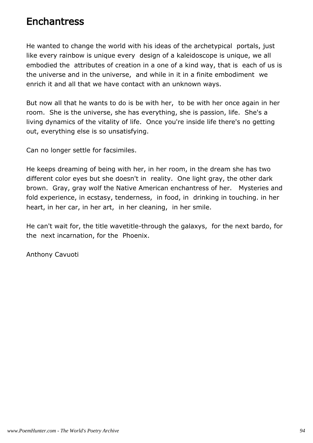#### **Enchantress**

He wanted to change the world with his ideas of the archetypical portals, just like every rainbow is unique every design of a kaleidoscope is unique, we all embodied the attributes of creation in a one of a kind way, that is each of us is the universe and in the universe, and while in it in a finite embodiment we enrich it and all that we have contact with an unknown ways.

But now all that he wants to do is be with her, to be with her once again in her room. She is the universe, she has everything, she is passion, life. She's a living dynamics of the vitality of life. Once you're inside life there's no getting out, everything else is so unsatisfying.

Can no longer settle for facsimiles.

He keeps dreaming of being with her, in her room, in the dream she has two different color eyes but she doesn't in reality. One light gray, the other dark brown. Gray, gray wolf the Native American enchantress of her. Mysteries and fold experience, in ecstasy, tenderness, in food, in drinking in touching. in her heart, in her car, in her art, in her cleaning, in her smile.

He can't wait for, the title wavetitle-through the galaxys, for the next bardo, for the next incarnation, for the Phoenix.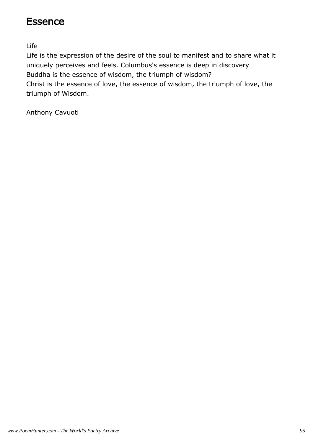#### **Essence**

Life

Life is the expression of the desire of the soul to manifest and to share what it uniquely perceives and feels. Columbus's essence is deep in discovery Buddha is the essence of wisdom, the triumph of wisdom? Christ is the essence of love, the essence of wisdom, the triumph of love, the triumph of Wisdom.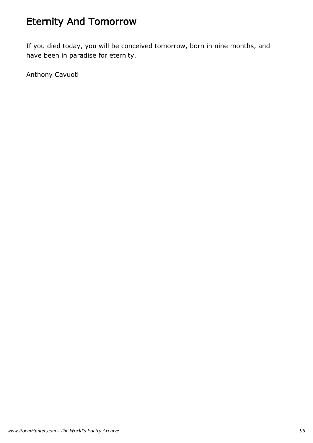# Eternity And Tomorrow

If you died today, you will be conceived tomorrow, born in nine months, and have been in paradise for eternity.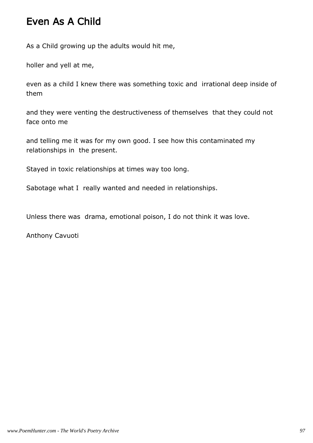#### Even As A Child

As a Child growing up the adults would hit me,

holler and yell at me,

even as a child I knew there was something toxic and irrational deep inside of them

and they were venting the destructiveness of themselves that they could not face onto me

and telling me it was for my own good. I see how this contaminated my relationships in the present.

Stayed in toxic relationships at times way too long.

Sabotage what I really wanted and needed in relationships.

Unless there was drama, emotional poison, I do not think it was love.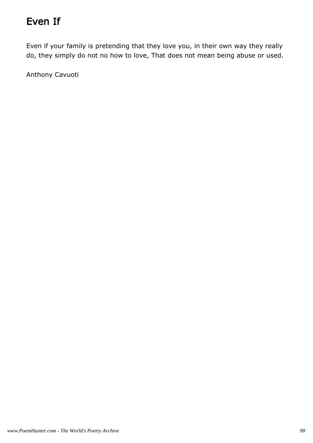# Even If

Even if your family is pretending that they love you, in their own way they really do, they simply do not no how to love, That does not mean being abuse or used.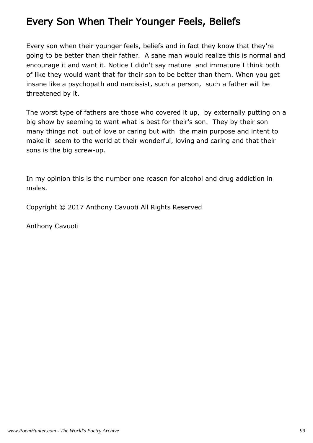### Every Son When Their Younger Feels, Beliefs

Every son when their younger feels, beliefs and in fact they know that they're going to be better than their father. A sane man would realize this is normal and encourage it and want it. Notice I didn't say mature and immature I think both of like they would want that for their son to be better than them. When you get insane like a psychopath and narcissist, such a person, such a father will be threatened by it.

The worst type of fathers are those who covered it up, by externally putting on a big show by seeming to want what is best for their's son. They by their son many things not out of love or caring but with the main purpose and intent to make it seem to the world at their wonderful, loving and caring and that their sons is the big screw-up.

In my opinion this is the number one reason for alcohol and drug addiction in males.

Copyright © 2017 Anthony Cavuoti All Rights Reserved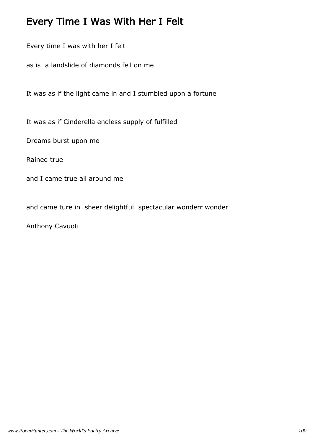#### Every Time I Was With Her I Felt

Every time I was with her I felt

as is a landslide of diamonds fell on me

It was as if the light came in and I stumbled upon a fortune

It was as if Cinderella endless supply of fulfilled

Dreams burst upon me

Rained true

and I came true all around me

and came ture in sheer delightful spectacular wonderr wonder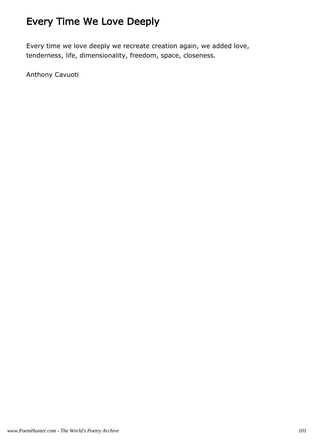# Every Time We Love Deeply

Every time we love deeply we recreate creation again, we added love, tenderness, life, dimensionality, freedom, space, closeness.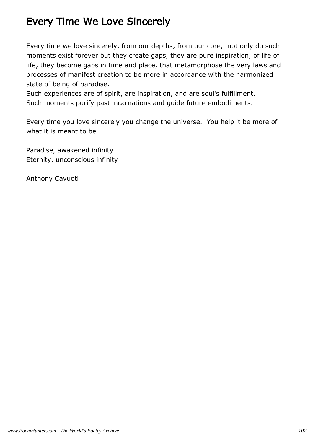# Every Time We Love Sincerely

Every time we love sincerely, from our depths, from our core, not only do such moments exist forever but they create gaps, they are pure inspiration, of life of life, they become gaps in time and place, that metamorphose the very laws and processes of manifest creation to be more in accordance with the harmonized state of being of paradise.

Such experiences are of spirit, are inspiration, and are soul's fulfillment. Such moments purify past incarnations and guide future embodiments.

Every time you love sincerely you change the universe. You help it be more of what it is meant to be

Paradise, awakened infinity. Eternity, unconscious infinity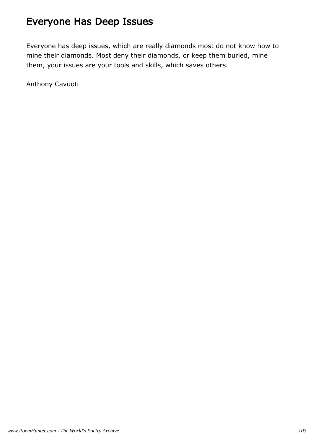# Everyone Has Deep Issues

Everyone has deep issues, which are really diamonds most do not know how to mine their diamonds. Most deny their diamonds, or keep them buried, mine them, your issues are your tools and skills, which saves others.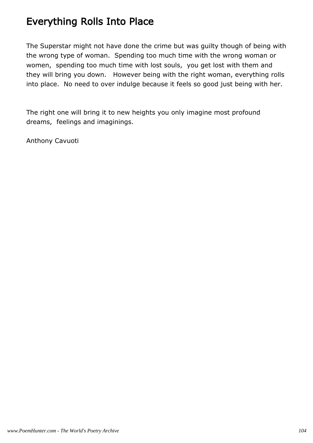### Everything Rolls Into Place

The Superstar might not have done the crime but was guilty though of being with the wrong type of woman. Spending too much time with the wrong woman or women, spending too much time with lost souls, you get lost with them and they will bring you down. However being with the right woman, everything rolls into place. No need to over indulge because it feels so good just being with her.

The right one will bring it to new heights you only imagine most profound dreams, feelings and imaginings.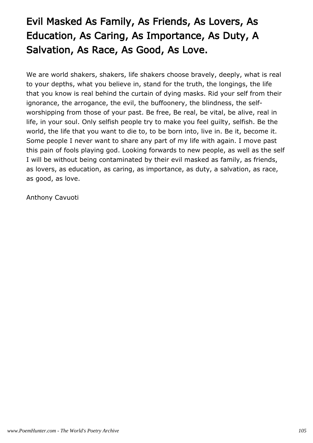# Evil Masked As Family, As Friends, As Lovers, As Education, As Caring, As Importance, As Duty, A Salvation, As Race, As Good, As Love.

We are world shakers, shakers, life shakers choose bravely, deeply, what is real to your depths, what you believe in, stand for the truth, the longings, the life that you know is real behind the curtain of dying masks. Rid your self from their ignorance, the arrogance, the evil, the buffoonery, the blindness, the selfworshipping from those of your past. Be free, Be real, be vital, be alive, real in life, in your soul. Only selfish people try to make you feel guilty, selfish. Be the world, the life that you want to die to, to be born into, live in. Be it, become it. Some people I never want to share any part of my life with again. I move past this pain of fools playing god. Looking forwards to new people, as well as the self I will be without being contaminated by their evil masked as family, as friends, as lovers, as education, as caring, as importance, as duty, a salvation, as race, as good, as love.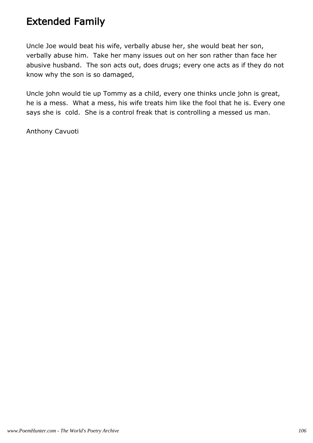#### Extended Family

Uncle Joe would beat his wife, verbally abuse her, she would beat her son, verbally abuse him. Take her many issues out on her son rather than face her abusive husband. The son acts out, does drugs; every one acts as if they do not know why the son is so damaged,

Uncle john would tie up Tommy as a child, every one thinks uncle john is great, he is a mess. What a mess, his wife treats him like the fool that he is. Every one says she is cold. She is a control freak that is controlling a messed us man.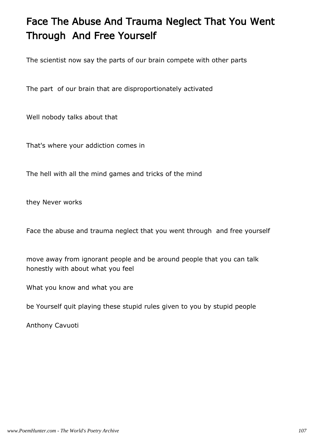# Face The Abuse And Trauma Neglect That You Went Through And Free Yourself

The scientist now say the parts of our brain compete with other parts

The part of our brain that are disproportionately activated

Well nobody talks about that

That's where your addiction comes in

The hell with all the mind games and tricks of the mind

they Never works

Face the abuse and trauma neglect that you went through and free yourself

move away from ignorant people and be around people that you can talk honestly with about what you feel

What you know and what you are

be Yourself quit playing these stupid rules given to you by stupid people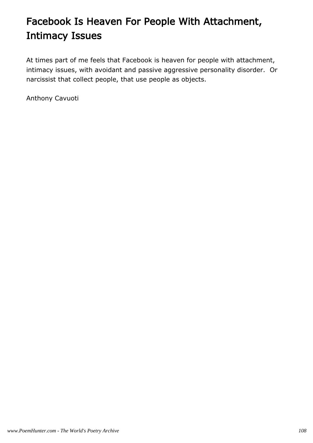# Facebook Is Heaven For People With Attachment, Intimacy Issues

At times part of me feels that Facebook is heaven for people with attachment, intimacy issues, with avoidant and passive aggressive personality disorder. Or narcissist that collect people, that use people as objects.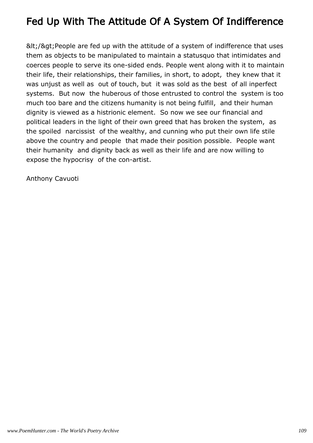## Fed Up With The Attitude Of A System Of Indifference

&It;/>People are fed up with the attitude of a system of indifference that uses them as objects to be manipulated to maintain a statusquo that intimidates and coerces people to serve its one-sided ends. People went along with it to maintain their life, their relationships, their families, in short, to adopt, they knew that it was unjust as well as out of touch, but it was sold as the best of all inperfect systems. But now the huberous of those entrusted to control the system is too much too bare and the citizens humanity is not being fulfill, and their human dignity is viewed as a histrionic element. So now we see our financial and political leaders in the light of their own greed that has broken the system, as the spoiled narcissist of the wealthy, and cunning who put their own life stile above the country and people that made their position possible. People want their humanity and dignity back as well as their life and are now willing to expose the hypocrisy of the con-artist.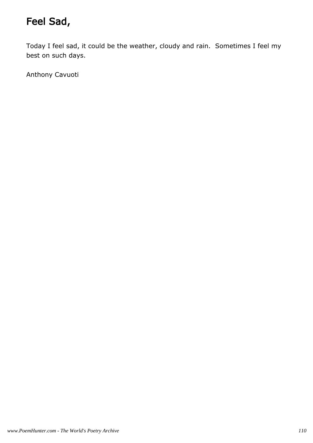# Feel Sad,

Today I feel sad, it could be the weather, cloudy and rain. Sometimes I feel my best on such days.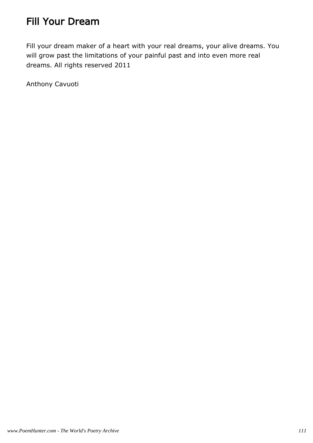## Fill Your Dream

Fill your dream maker of a heart with your real dreams, your alive dreams. You will grow past the limitations of your painful past and into even more real dreams. All rights reserved 2011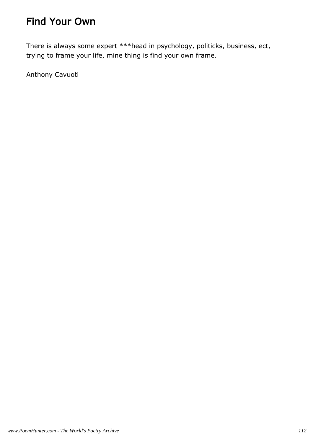## Find Your Own

There is always some expert \*\*\*head in psychology, politicks, business, ect, trying to frame your life, mine thing is find your own frame.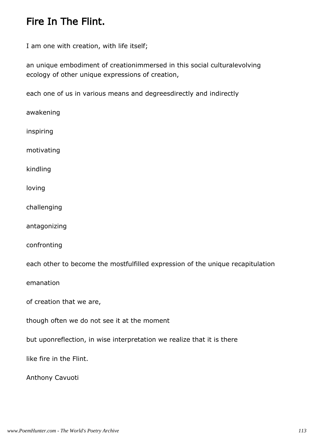#### Fire In The Flint.

I am one with creation, with life itself;

an unique embodiment of creationimmersed in this social culturalevolving ecology of other unique expressions of creation,

each one of us in various means and degreesdirectly and indirectly

awakening inspiring motivating kindling loving challenging antagonizing confronting each other to become the mostfulfilled expression of the unique recapitulation emanation of creation that we are, though often we do not see it at the moment but uponreflection, in wise interpretation we realize that it is there like fire in the Flint. Anthony Cavuoti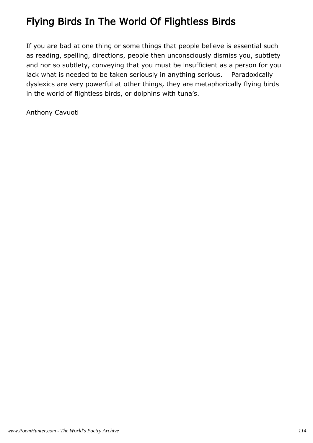## Flying Birds In The World Of Flightless Birds

If you are bad at one thing or some things that people believe is essential such as reading, spelling, directions, people then unconsciously dismiss you, subtlety and nor so subtlety, conveying that you must be insufficient as a person for you lack what is needed to be taken seriously in anything serious. Paradoxically dyslexics are very powerful at other things, they are metaphorically flying birds in the world of flightless birds, or dolphins with tuna's.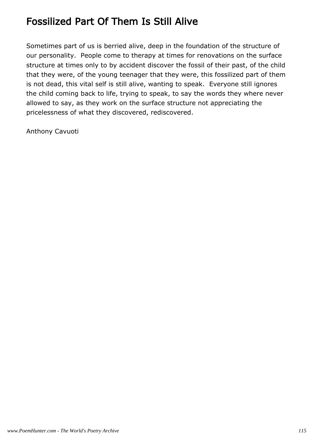## Fossilized Part Of Them Is Still Alive

Sometimes part of us is berried alive, deep in the foundation of the structure of our personality. People come to therapy at times for renovations on the surface structure at times only to by accident discover the fossil of their past, of the child that they were, of the young teenager that they were, this fossilized part of them is not dead, this vital self is still alive, wanting to speak. Everyone still ignores the child coming back to life, trying to speak, to say the words they where never allowed to say, as they work on the surface structure not appreciating the pricelessness of what they discovered, rediscovered.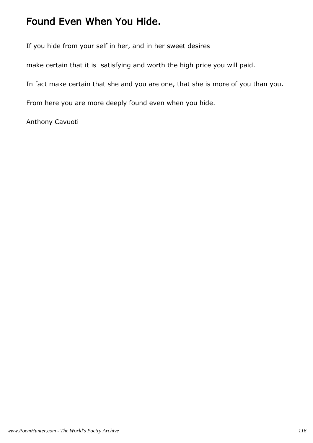#### Found Even When You Hide.

If you hide from your self in her, and in her sweet desires

make certain that it is satisfying and worth the high price you will paid.

In fact make certain that she and you are one, that she is more of you than you.

From here you are more deeply found even when you hide.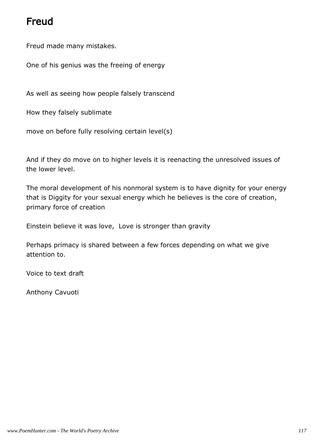## Freud

Freud made many mistakes.

One of his genius was the freeing of energy

As well as seeing how people falsely transcend

How they falsely sublimate

move on before fully resolving certain level(s)

And if they do move on to higher levels it is reenacting the unresolved issues of the lower level.

The moral development of his nonmoral system is to have dignity for your energy that is Diggity for your sexual energy which he believes is the core of creation, primary force of creation

Einstein believe it was love, Love is stronger than gravity

Perhaps primacy is shared between a few forces depending on what we give attention to.

Voice to text draft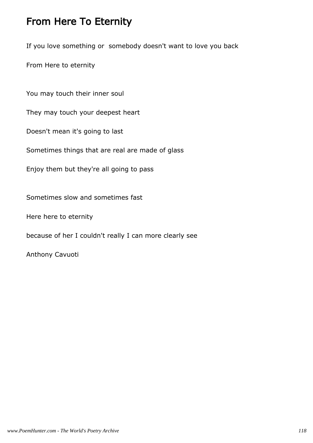#### From Here To Eternity

If you love something or somebody doesn't want to love you back

From Here to eternity

You may touch their inner soul

They may touch your deepest heart

Doesn't mean it's going to last

Sometimes things that are real are made of glass

Enjoy them but they're all going to pass

Sometimes slow and sometimes fast

Here here to eternity

because of her I couldn't really I can more clearly see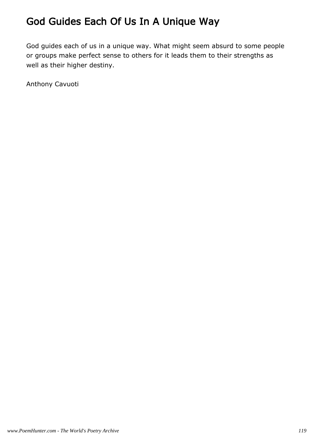## God Guides Each Of Us In A Unique Way

God guides each of us in a unique way. What might seem absurd to some people or groups make perfect sense to others for it leads them to their strengths as well as their higher destiny.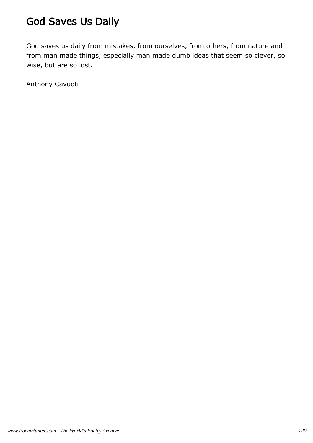## God Saves Us Daily

God saves us daily from mistakes, from ourselves, from others, from nature and from man made things, especially man made dumb ideas that seem so clever, so wise, but are so lost.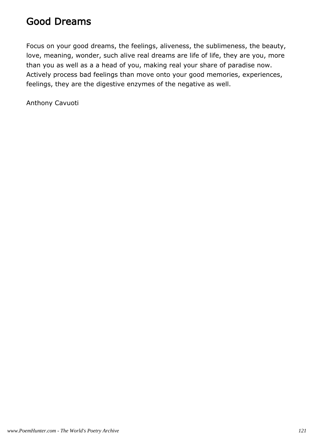#### Good Dreams

Focus on your good dreams, the feelings, aliveness, the sublimeness, the beauty, love, meaning, wonder, such alive real dreams are life of life, they are you, more than you as well as a a head of you, making real your share of paradise now. Actively process bad feelings than move onto your good memories, experiences, feelings, they are the digestive enzymes of the negative as well.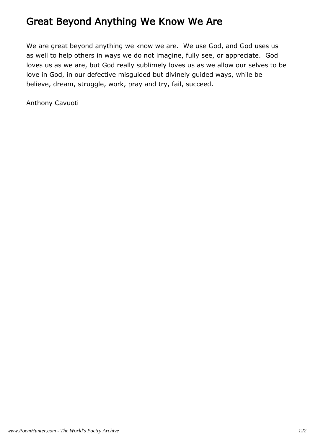## Great Beyond Anything We Know We Are

We are great beyond anything we know we are. We use God, and God uses us as well to help others in ways we do not imagine, fully see, or appreciate. God loves us as we are, but God really sublimely loves us as we allow our selves to be love in God, in our defective misguided but divinely guided ways, while be believe, dream, struggle, work, pray and try, fail, succeed.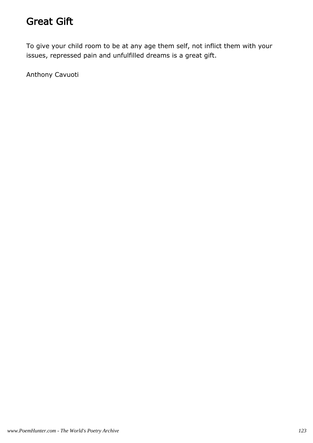#### Great Gift

To give your child room to be at any age them self, not inflict them with your issues, repressed pain and unfulfilled dreams is a great gift.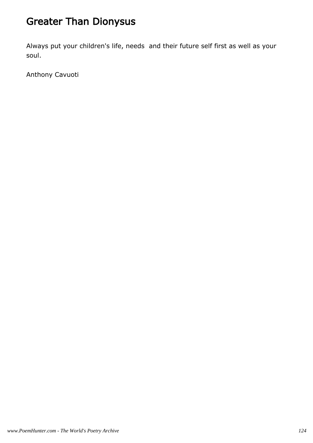## Greater Than Dionysus

Always put your children's life, needs and their future self first as well as your soul.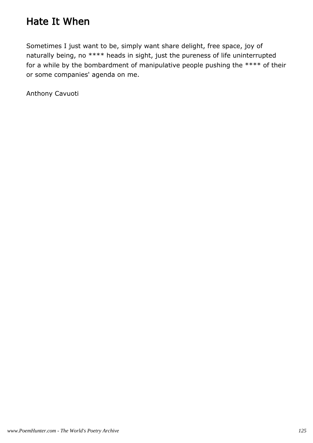## Hate It When

Sometimes I just want to be, simply want share delight, free space, joy of naturally being, no \*\*\*\* heads in sight, just the pureness of life uninterrupted for a while by the bombardment of manipulative people pushing the \*\*\*\* of their or some companies' agenda on me.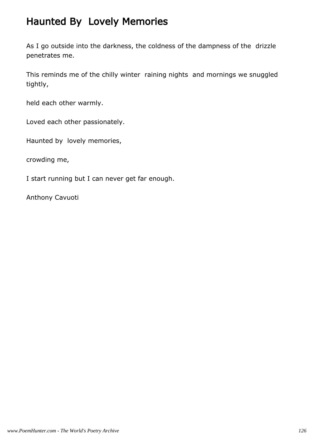## Haunted By Lovely Memories

As I go outside into the darkness, the coldness of the dampness of the drizzle penetrates me.

This reminds me of the chilly winter raining nights and mornings we snuggled tightly,

held each other warmly.

Loved each other passionately.

Haunted by lovely memories,

crowding me,

I start running but I can never get far enough.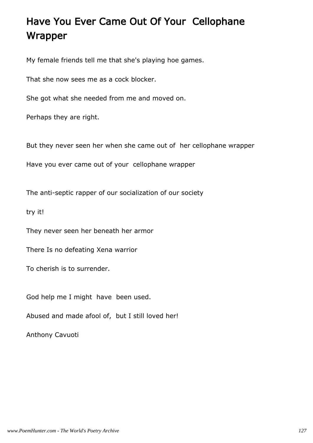# Have You Ever Came Out Of Your Cellophane Wrapper

My female friends tell me that she's playing hoe games.

That she now sees me as a cock blocker.

She got what she needed from me and moved on.

Perhaps they are right.

But they never seen her when she came out of her cellophane wrapper

Have you ever came out of your cellophane wrapper

The anti-septic rapper of our socialization of our society

try it!

They never seen her beneath her armor

There Is no defeating Xena warrior

To cherish is to surrender.

God help me I might have been used.

Abused and made afool of, but I still loved her!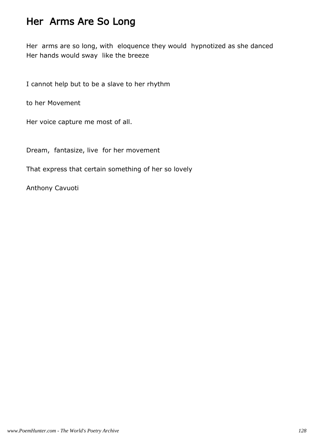#### Her Arms Are So Long

Her arms are so long, with eloquence they would hypnotized as she danced Her hands would sway like the breeze

I cannot help but to be a slave to her rhythm

to her Movement

Her voice capture me most of all.

Dream, fantasize, live for her movement

That express that certain something of her so lovely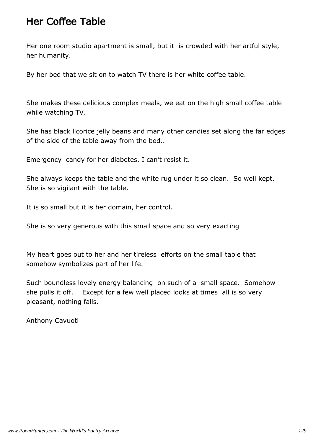#### Her Coffee Table

Her one room studio apartment is small, but it is crowded with her artful style, her humanity.

By her bed that we sit on to watch TV there is her white coffee table.

She makes these delicious complex meals, we eat on the high small coffee table while watching TV.

She has black licorice jelly beans and many other candies set along the far edges of the side of the table away from the bed..

Emergency candy for her diabetes. I can't resist it.

She always keeps the table and the white rug under it so clean. So well kept. She is so vigilant with the table.

It is so small but it is her domain, her control.

She is so very generous with this small space and so very exacting

My heart goes out to her and her tireless efforts on the small table that somehow symbolizes part of her life.

Such boundless lovely energy balancing on such of a small space. Somehow she pulls it off. Except for a few well placed looks at times all is so very pleasant, nothing falls.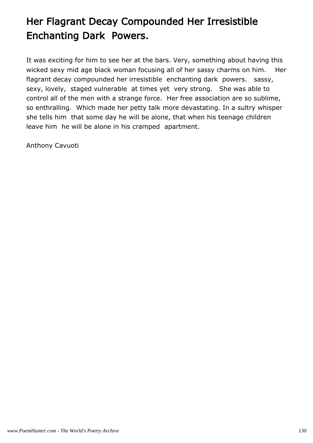# Her Flagrant Decay Compounded Her Irresistible Enchanting Dark Powers.

It was exciting for him to see her at the bars. Very, something about having this wicked sexy mid age black woman focusing all of her sassy charms on him. Her flagrant decay compounded her irresistible enchanting dark powers. sassy, sexy, lovely, staged vulnerable at times yet very strong. She was able to control all of the men with a strange force. Her free association are so sublime, so enthralling. Which made her petty talk more devastating. In a sultry whisper she tells him that some day he will be alone, that when his teenage children leave him he will be alone in his cramped apartment.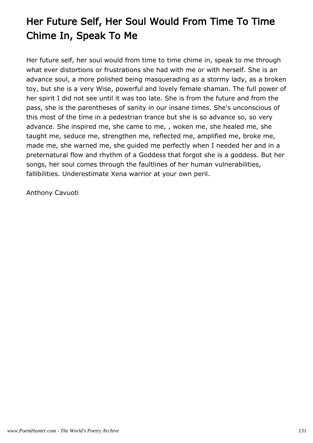# Her Future Self, Her Soul Would From Time To Time Chime In, Speak To Me

Her future self, her soul would from time to time chime in, speak to me through what ever distortions or frustrations she had with me or with herself. She is an advance soul, a more polished being masquerading as a stormy lady, as a broken toy, but she is a very Wise, powerful and lovely female shaman. The full power of her spirit I did not see until it was too late. She is from the future and from the pass, she is the parentheses of sanity in our insane times. She's unconscious of this most of the time in a pedestrian trance but she is so advance so, so very advance. She inspired me, she came to me, , woken me, she healed me, she taught me, seduce me, strengthen me, reflected me, amplified me, broke me, made me, she warned me, she guided me perfectly when I needed her and in a preternatural flow and rhythm of a Goddess that forgot she is a goddess. But her songs, her soul comes through the faultlines of her human vulnerabilities, fallibilities. Underestimate Xena warrior at your own peril.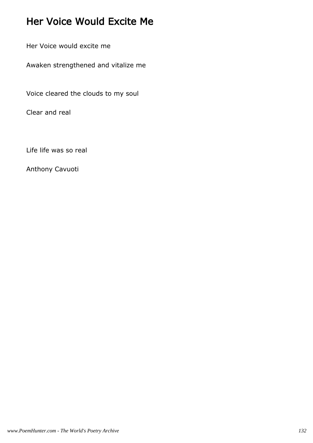## Her Voice Would Excite Me

Her Voice would excite me

Awaken strengthened and vitalize me

Voice cleared the clouds to my soul

Clear and real

Life life was so real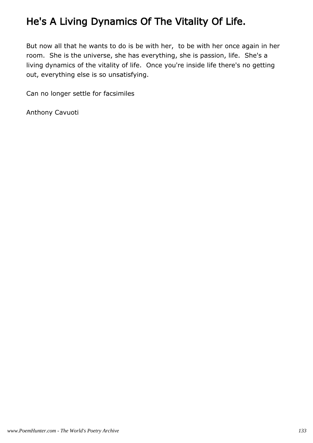## He's A Living Dynamics Of The Vitality Of Life.

But now all that he wants to do is be with her, to be with her once again in her room. She is the universe, she has everything, she is passion, life. She's a living dynamics of the vitality of life. Once you're inside life there's no getting out, everything else is so unsatisfying.

Can no longer settle for facsimiles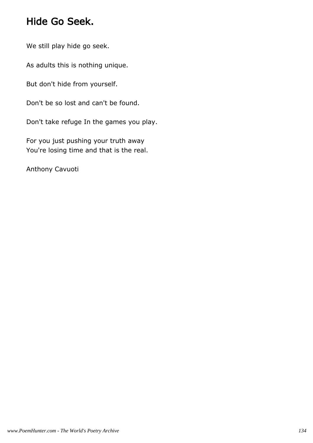#### Hide Go Seek.

We still play hide go seek.

As adults this is nothing unique.

But don't hide from yourself.

Don't be so lost and can't be found.

Don't take refuge In the games you play.

For you just pushing your truth away You're losing time and that is the real.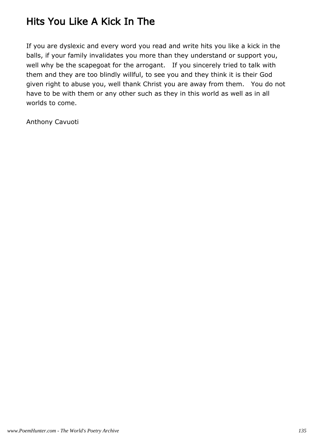## Hits You Like A Kick In The

If you are dyslexic and every word you read and write hits you like a kick in the balls, if your family invalidates you more than they understand or support you, well why be the scapegoat for the arrogant. If you sincerely tried to talk with them and they are too blindly willful, to see you and they think it is their God given right to abuse you, well thank Christ you are away from them. You do not have to be with them or any other such as they in this world as well as in all worlds to come.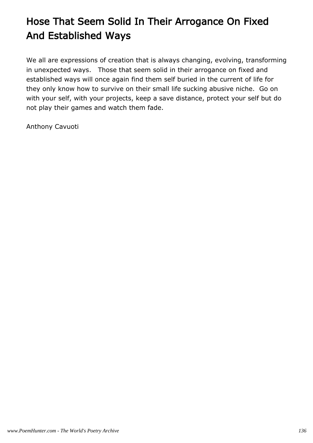# Hose That Seem Solid In Their Arrogance On Fixed And Established Ways

We all are expressions of creation that is always changing, evolving, transforming in unexpected ways. Those that seem solid in their arrogance on fixed and established ways will once again find them self buried in the current of life for they only know how to survive on their small life sucking abusive niche. Go on with your self, with your projects, keep a save distance, protect your self but do not play their games and watch them fade.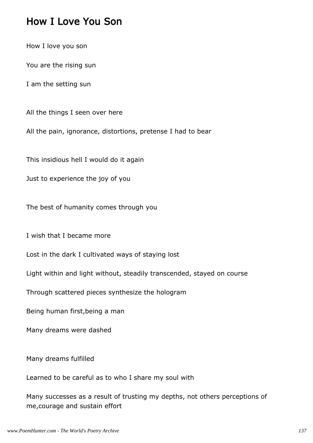#### How I Love You Son

How I love you son

You are the rising sun

I am the setting sun

All the things I seen over here

All the pain, ignorance, distortions, pretense I had to bear

This insidious hell I would do it again

Just to experience the joy of you

The best of humanity comes through you

I wish that I became more

Lost in the dark I cultivated ways of staying lost

Light within and light without, steadily transcended, stayed on course

Through scattered pieces synthesize the hologram

Being human first,being a man

Many dreams were dashed

Many dreams fulfilled

Learned to be careful as to who I share my soul with

Many successes as a result of trusting my depths, not others perceptions of me,courage and sustain effort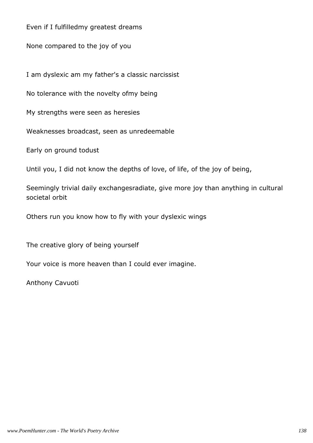Even if I fulfilledmy greatest dreams

None compared to the joy of you

I am dyslexic am my father's a classic narcissist

No tolerance with the novelty ofmy being

My strengths were seen as heresies

Weaknesses broadcast, seen as unredeemable

Early on ground todust

Until you, I did not know the depths of love, of life, of the joy of being,

Seemingly trivial daily exchangesradiate, give more joy than anything in cultural societal orbit

Others run you know how to fly with your dyslexic wings

The creative glory of being yourself

Your voice is more heaven than I could ever imagine.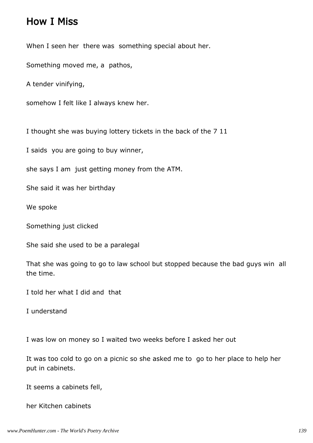#### How I Miss

When I seen her there was something special about her.

Something moved me, a pathos,

A tender vinifying,

somehow I felt like I always knew her.

I thought she was buying lottery tickets in the back of the 7 11

I saids you are going to buy winner,

she says I am just getting money from the ATM.

She said it was her birthday

We spoke

Something just clicked

She said she used to be a paralegal

That she was going to go to law school but stopped because the bad guys win all the time.

I told her what I did and that

I understand

I was low on money so I waited two weeks before I asked her out

It was too cold to go on a picnic so she asked me to go to her place to help her put in cabinets.

It seems a cabinets fell,

her Kitchen cabinets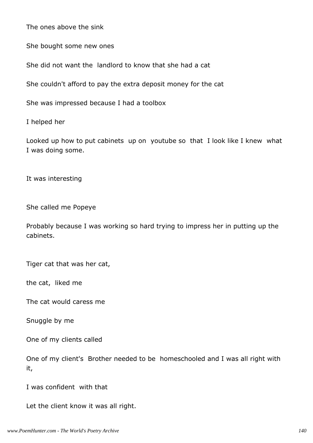The ones above the sink

She bought some new ones

She did not want the landlord to know that she had a cat

She couldn't afford to pay the extra deposit money for the cat

She was impressed because I had a toolbox

I helped her

Looked up how to put cabinets up on youtube so that I look like I knew what I was doing some.

It was interesting

She called me Popeye

Probably because I was working so hard trying to impress her in putting up the cabinets.

Tiger cat that was her cat,

the cat, liked me

The cat would caress me

Snuggle by me

One of my clients called

One of my client's Brother needed to be homeschooled and I was all right with it,

I was confident with that

Let the client know it was all right.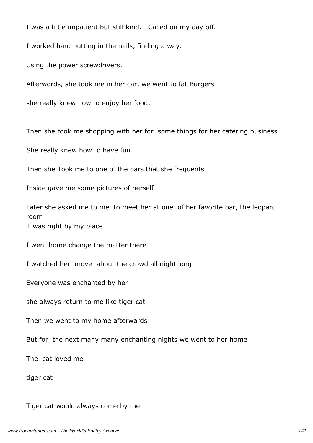I was a little impatient but still kind. Called on my day off.

I worked hard putting in the nails, finding a way.

Using the power screwdrivers.

Afterwords, she took me in her car, we went to fat Burgers

she really knew how to enjoy her food,

Then she took me shopping with her for some things for her catering business

She really knew how to have fun

Then she Took me to one of the bars that she frequents

Inside gave me some pictures of herself

Later she asked me to me to meet her at one of her favorite bar, the leopard room

it was right by my place

I went home change the matter there

I watched her move about the crowd all night long

Everyone was enchanted by her

she always return to me like tiger cat

Then we went to my home afterwards

But for the next many many enchanting nights we went to her home

The cat loved me

tiger cat

Tiger cat would always come by me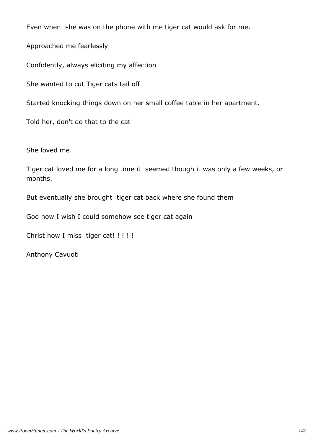Even when she was on the phone with me tiger cat would ask for me.

Approached me fearlessly

Confidently, always eliciting my affection

She wanted to cut Tiger cats tail off

Started knocking things down on her small coffee table in her apartment.

Told her, don't do that to the cat

She loved me.

Tiger cat loved me for a long time it seemed though it was only a few weeks, or months.

But eventually she brought tiger cat back where she found them

God how I wish I could somehow see tiger cat again

Christ how I miss tiger cat! !!!!!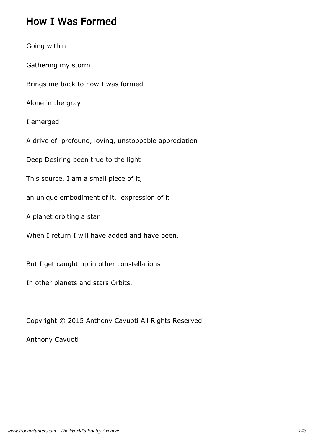#### How I Was Formed

Going within Gathering my storm Brings me back to how I was formed Alone in the gray I emerged A drive of profound, loving, unstoppable appreciation Deep Desiring been true to the light This source, I am a small piece of it, an unique embodiment of it, expression of it A planet orbiting a star When I return I will have added and have been. But I get caught up in other constellations In other planets and stars Orbits.

Copyright © 2015 Anthony Cavuoti All Rights Reserved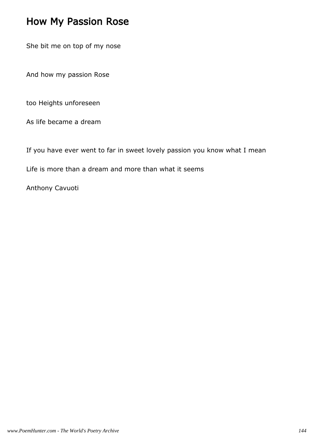#### How My Passion Rose

She bit me on top of my nose

And how my passion Rose

too Heights unforeseen

As life became a dream

If you have ever went to far in sweet lovely passion you know what I mean

Life is more than a dream and more than what it seems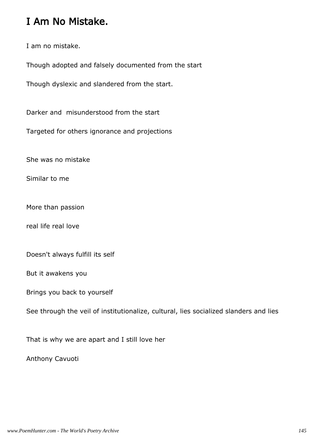### I Am No Mistake.

I am no mistake.

Though adopted and falsely documented from the start

Though dyslexic and slandered from the start.

Darker and misunderstood from the start

Targeted for others ignorance and projections

She was no mistake

Similar to me

More than passion

real life real love

Doesn't always fulfill its self

But it awakens you

Brings you back to yourself

See through the veil of institutionalize, cultural, lies socialized slanders and lies

That is why we are apart and I still love her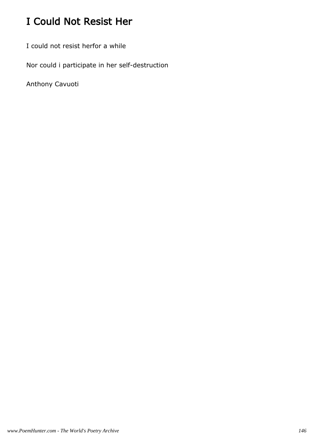# I Could Not Resist Her

I could not resist herfor a while

Nor could i participate in her self-destruction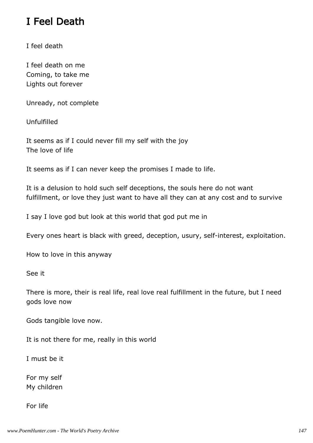### I Feel Death

I feel death

I feel death on me Coming, to take me Lights out forever

Unready, not complete

Unfulfilled

It seems as if I could never fill my self with the joy The love of life

It seems as if I can never keep the promises I made to life.

It is a delusion to hold such self deceptions, the souls here do not want fulfillment, or love they just want to have all they can at any cost and to survive

I say I love god but look at this world that god put me in

Every ones heart is black with greed, deception, usury, self-interest, exploitation.

How to love in this anyway

See it

There is more, their is real life, real love real fulfillment in the future, but I need gods love now

Gods tangible love now.

It is not there for me, really in this world

I must be it

For my self My children

For life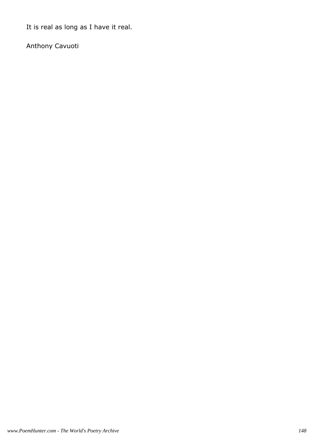It is real as long as I have it real.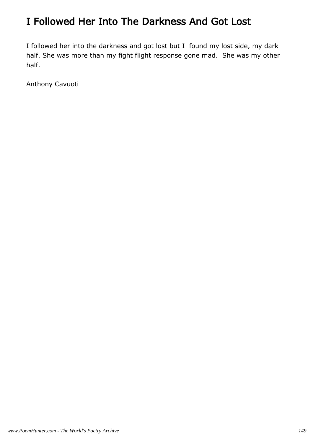### I Followed Her Into The Darkness And Got Lost

I followed her into the darkness and got lost but I found my lost side, my dark half. She was more than my fight flight response gone mad. She was my other half.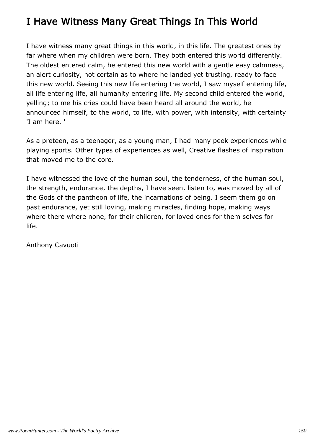### I Have Witness Many Great Things In This World

I have witness many great things in this world, in this life. The greatest ones by far where when my children were born. They both entered this world differently. The oldest entered calm, he entered this new world with a gentle easy calmness, an alert curiosity, not certain as to where he landed yet trusting, ready to face this new world. Seeing this new life entering the world, I saw myself entering life, all life entering life, all humanity entering life. My second child entered the world, yelling; to me his cries could have been heard all around the world, he announced himself, to the world, to life, with power, with intensity, with certainty 'I am here. '

As a preteen, as a teenager, as a young man, I had many peek experiences while playing sports. Other types of experiences as well, Creative flashes of inspiration that moved me to the core.

I have witnessed the love of the human soul, the tenderness, of the human soul, the strength, endurance, the depths, I have seen, listen to, was moved by all of the Gods of the pantheon of life, the incarnations of being. I seem them go on past endurance, yet still loving, making miracles, finding hope, making ways where there where none, for their children, for loved ones for them selves for life.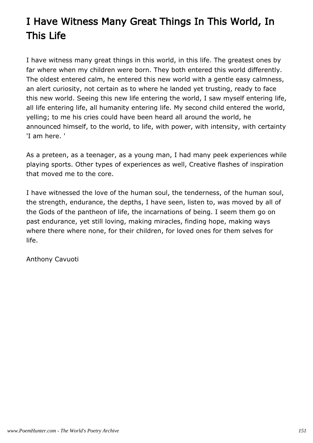# I Have Witness Many Great Things In This World, In This Life

I have witness many great things in this world, in this life. The greatest ones by far where when my children were born. They both entered this world differently. The oldest entered calm, he entered this new world with a gentle easy calmness, an alert curiosity, not certain as to where he landed yet trusting, ready to face this new world. Seeing this new life entering the world, I saw myself entering life, all life entering life, all humanity entering life. My second child entered the world, yelling; to me his cries could have been heard all around the world, he announced himself, to the world, to life, with power, with intensity, with certainty 'I am here. '

As a preteen, as a teenager, as a young man, I had many peek experiences while playing sports. Other types of experiences as well, Creative flashes of inspiration that moved me to the core.

I have witnessed the love of the human soul, the tenderness, of the human soul, the strength, endurance, the depths, I have seen, listen to, was moved by all of the Gods of the pantheon of life, the incarnations of being. I seem them go on past endurance, yet still loving, making miracles, finding hope, making ways where there where none, for their children, for loved ones for them selves for life.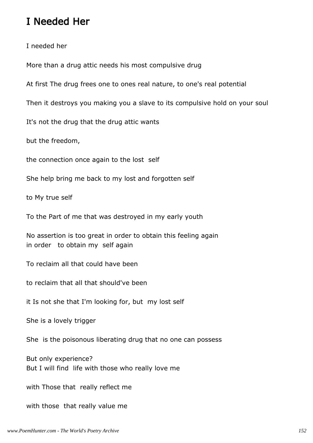#### I Needed Her

I needed her

More than a drug attic needs his most compulsive drug

At first The drug frees one to ones real nature, to one's real potential

Then it destroys you making you a slave to its compulsive hold on your soul

It's not the drug that the drug attic wants

but the freedom,

the connection once again to the lost self

She help bring me back to my lost and forgotten self

to My true self

To the Part of me that was destroyed in my early youth

No assertion is too great in order to obtain this feeling again in order to obtain my self again

To reclaim all that could have been

to reclaim that all that should've been

it Is not she that I'm looking for, but my lost self

She is a lovely trigger

She is the poisonous liberating drug that no one can possess

But only experience? But I will find life with those who really love me

with Those that really reflect me

with those that really value me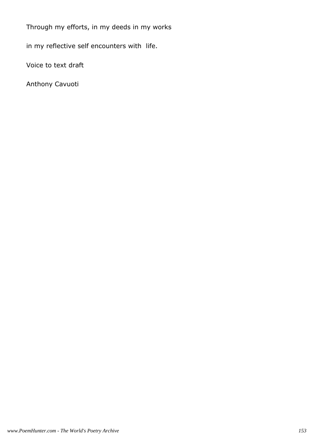Through my efforts, in my deeds in my works

in my reflective self encounters with life.

Voice to text draft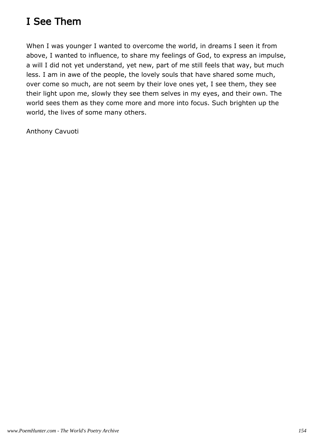# I See Them

When I was younger I wanted to overcome the world, in dreams I seen it from above, I wanted to influence, to share my feelings of God, to express an impulse, a will I did not yet understand, yet new, part of me still feels that way, but much less. I am in awe of the people, the lovely souls that have shared some much, over come so much, are not seem by their love ones yet, I see them, they see their light upon me, slowly they see them selves in my eyes, and their own. The world sees them as they come more and more into focus. Such brighten up the world, the lives of some many others.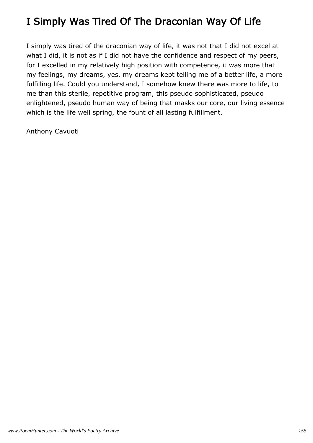## I Simply Was Tired Of The Draconian Way Of Life

I simply was tired of the draconian way of life, it was not that I did not excel at what I did, it is not as if I did not have the confidence and respect of my peers, for I excelled in my relatively high position with competence, it was more that my feelings, my dreams, yes, my dreams kept telling me of a better life, a more fulfilling life. Could you understand, I somehow knew there was more to life, to me than this sterile, repetitive program, this pseudo sophisticated, pseudo enlightened, pseudo human way of being that masks our core, our living essence which is the life well spring, the fount of all lasting fulfillment.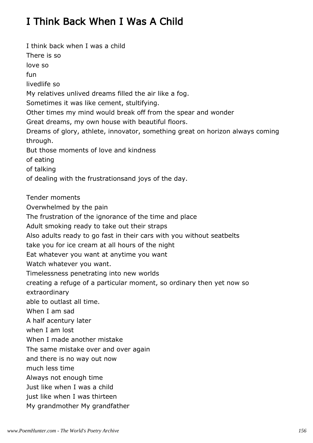# I Think Back When I Was A Child

I think back when I was a child There is so love so fun livedlife so My relatives unlived dreams filled the air like a fog. Sometimes it was like cement, stultifying. Other times my mind would break off from the spear and wonder Great dreams, my own house with beautiful floors. Dreams of glory, athlete, innovator, something great on horizon always coming through. But those moments of love and kindness of eating of talking of dealing with the frustrationsand joys of the day. Tender moments Overwhelmed by the pain The frustration of the ignorance of the time and place Adult smoking ready to take out their straps Also adults ready to go fast in their cars with you without seatbelts take you for ice cream at all hours of the night Eat whatever you want at anytime you want Watch whatever you want. Timelessness penetrating into new worlds creating a refuge of a particular moment, so ordinary then yet now so extraordinary able to outlast all time. When I am sad A half acentury later when I am lost When I made another mistake The same mistake over and over again and there is no way out now much less time Always not enough time Just like when I was a child just like when I was thirteen My grandmother My grandfather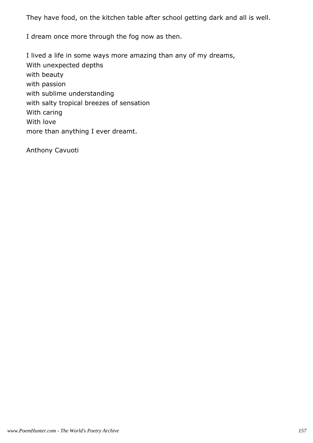They have food, on the kitchen table after school getting dark and all is well.

I dream once more through the fog now as then.

I lived a life in some ways more amazing than any of my dreams, With unexpected depths with beauty with passion with sublime understanding with salty tropical breezes of sensation With caring With love more than anything I ever dreamt.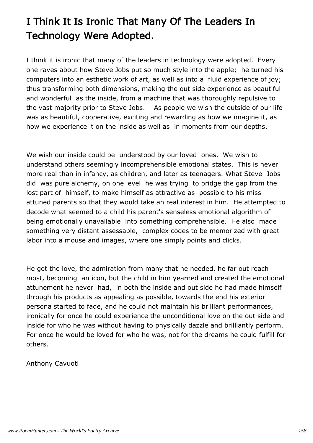# I Think It Is Ironic That Many Of The Leaders In Technology Were Adopted.

I think it is ironic that many of the leaders in technology were adopted. Every one raves about how Steve Jobs put so much style into the apple; he turned his computers into an esthetic work of art, as well as into a fluid experience of joy; thus transforming both dimensions, making the out side experience as beautiful and wonderful as the inside, from a machine that was thoroughly repulsive to the vast majority prior to Steve Jobs. As people we wish the outside of our life was as beautiful, cooperative, exciting and rewarding as how we imagine it, as how we experience it on the inside as well as in moments from our depths.

We wish our inside could be understood by our loved ones. We wish to understand others seemingly incomprehensible emotional states. This is never more real than in infancy, as children, and later as teenagers. What Steve Jobs did was pure alchemy, on one level he was trying to bridge the gap from the lost part of himself, to make himself as attractive as possible to his miss attuned parents so that they would take an real interest in him. He attempted to decode what seemed to a child his parent's senseless emotional algorithm of being emotionally unavailable into something comprehensible. He also made something very distant assessable, complex codes to be memorized with great labor into a mouse and images, where one simply points and clicks.

He got the love, the admiration from many that he needed, he far out reach most, becoming an icon, but the child in him yearned and created the emotional attunement he never had, in both the inside and out side he had made himself through his products as appealing as possible, towards the end his exterior persona started to fade, and he could not maintain his brilliant performances, ironically for once he could experience the unconditional love on the out side and inside for who he was without having to physically dazzle and brilliantly perform. For once he would be loved for who he was, not for the dreams he could fulfill for others.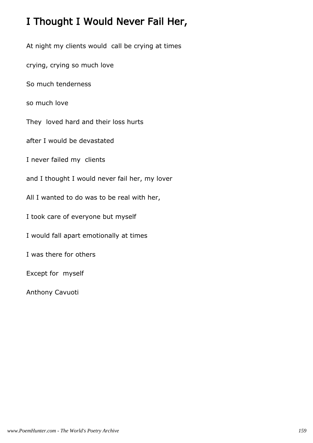### I Thought I Would Never Fail Her,

At night my clients would call be crying at times

crying, crying so much love

So much tenderness

so much love

They loved hard and their loss hurts

after I would be devastated

I never failed my clients

- and I thought I would never fail her, my lover
- All I wanted to do was to be real with her,
- I took care of everyone but myself
- I would fall apart emotionally at times
- I was there for others

Except for myself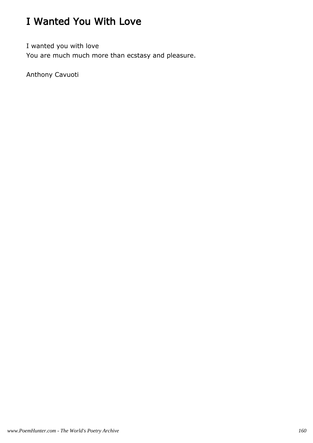# I Wanted You With Love

I wanted you with love You are much much more than ecstasy and pleasure.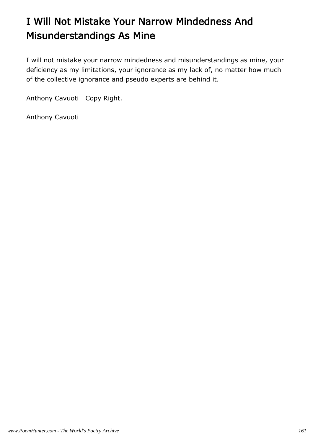# I Will Not Mistake Your Narrow Mindedness And Misunderstandings As Mine

I will not mistake your narrow mindedness and misunderstandings as mine, your deficiency as my limitations, your ignorance as my lack of, no matter how much of the collective ignorance and pseudo experts are behind it.

Anthony Cavuoti Copy Right.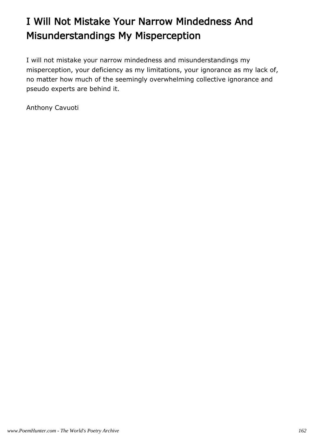# I Will Not Mistake Your Narrow Mindedness And Misunderstandings My Misperception

I will not mistake your narrow mindedness and misunderstandings my misperception, your deficiency as my limitations, your ignorance as my lack of, no matter how much of the seemingly overwhelming collective ignorance and pseudo experts are behind it.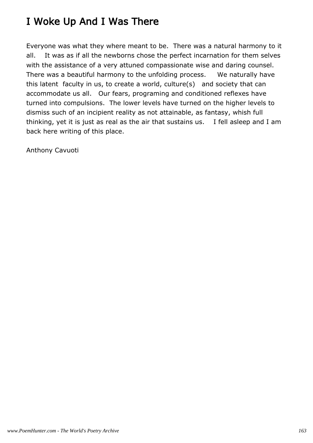### I Woke Up And I Was There

Everyone was what they where meant to be. There was a natural harmony to it all. It was as if all the newborns chose the perfect incarnation for them selves with the assistance of a very attuned compassionate wise and daring counsel. There was a beautiful harmony to the unfolding process. We naturally have this latent faculty in us, to create a world, culture(s) and society that can accommodate us all. Our fears, programing and conditioned reflexes have turned into compulsions. The lower levels have turned on the higher levels to dismiss such of an incipient reality as not attainable, as fantasy, whish full thinking, yet it is just as real as the air that sustains us. I fell asleep and I am back here writing of this place.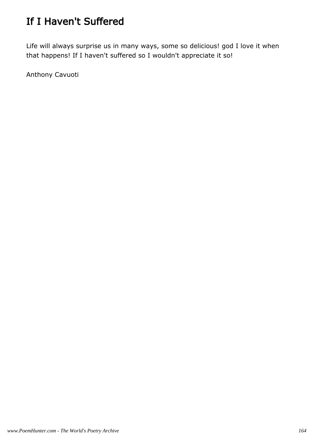# If I Haven't Suffered

Life will always surprise us in many ways, some so delicious! god I love it when that happens! If I haven't suffered so I wouldn't appreciate it so!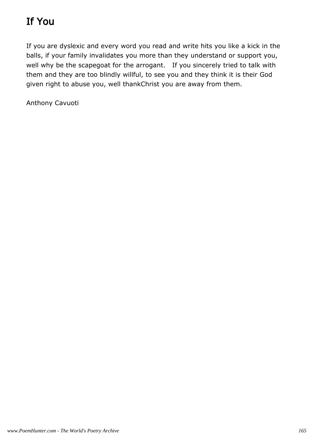# If You

If you are dyslexic and every word you read and write hits you like a kick in the balls, if your family invalidates you more than they understand or support you, well why be the scapegoat for the arrogant. If you sincerely tried to talk with them and they are too blindly willful, to see you and they think it is their God given right to abuse you, well thankChrist you are away from them.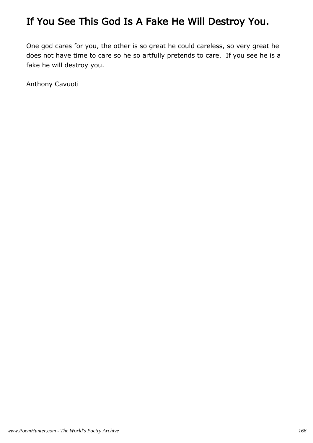## If You See This God Is A Fake He Will Destroy You.

One god cares for you, the other is so great he could careless, so very great he does not have time to care so he so artfully pretends to care. If you see he is a fake he will destroy you.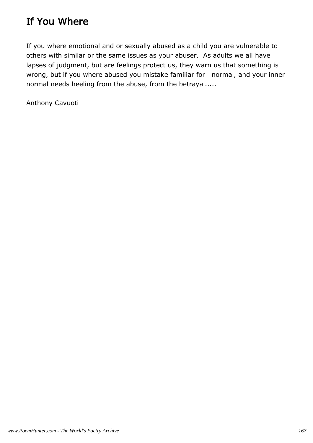### If You Where

If you where emotional and or sexually abused as a child you are vulnerable to others with similar or the same issues as your abuser. As adults we all have lapses of judgment, but are feelings protect us, they warn us that something is wrong, but if you where abused you mistake familiar for normal, and your inner normal needs heeling from the abuse, from the betrayal.....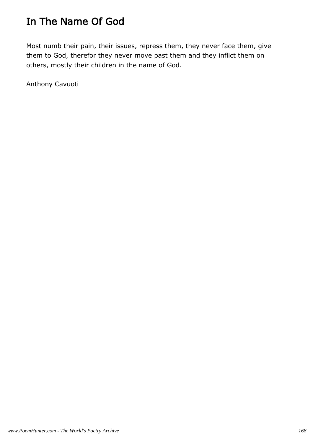# In The Name Of God

Most numb their pain, their issues, repress them, they never face them, give them to God, therefor they never move past them and they inflict them on others, mostly their children in the name of God.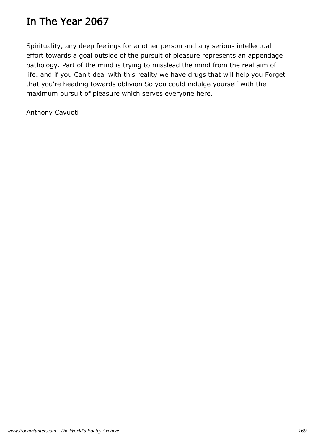### In The Year 2067

Spirituality, any deep feelings for another person and any serious intellectual effort towards a goal outside of the pursuit of pleasure represents an appendage pathology. Part of the mind is trying to misslead the mind from the real aim of life. and if you Can't deal with this reality we have drugs that will help you Forget that you're heading towards oblivion So you could indulge yourself with the maximum pursuit of pleasure which serves everyone here.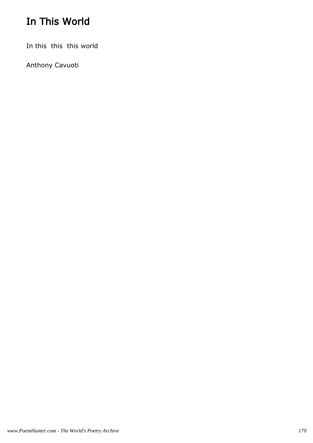# In This World

In this this this world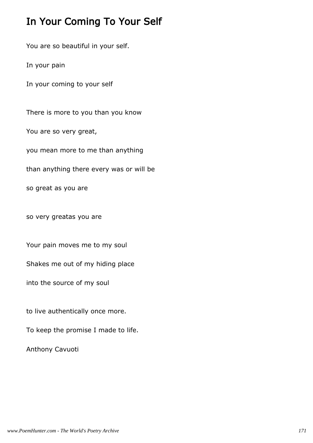### In Your Coming To Your Self

You are so beautiful in your self.

In your pain

In your coming to your self

There is more to you than you know

You are so very great,

you mean more to me than anything

than anything there every was or will be

so great as you are

so very greatas you are

Your pain moves me to my soul

Shakes me out of my hiding place

into the source of my soul

to live authentically once more.

To keep the promise I made to life.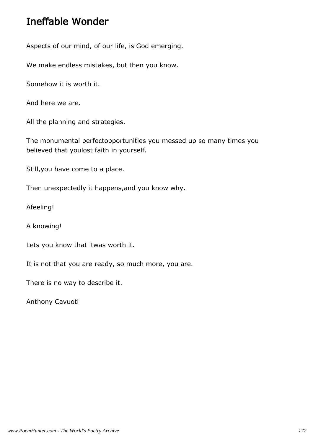### Ineffable Wonder

Aspects of our mind, of our life, is God emerging.

We make endless mistakes, but then you know.

Somehow it is worth it.

And here we are.

All the planning and strategies.

The monumental perfectopportunities you messed up so many times you believed that youlost faith in yourself.

Still,you have come to a place.

Then unexpectedly it happens,and you know why.

Afeeling!

A knowing!

Lets you know that itwas worth it.

It is not that you are ready, so much more, you are.

There is no way to describe it.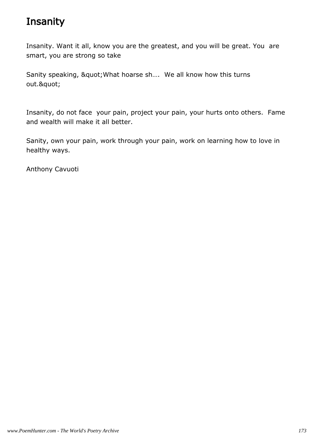## **Insanity**

Insanity. Want it all, know you are the greatest, and you will be great. You are smart, you are strong so take

Sanity speaking, " What hoarse sh.... We all know how this turns out."

Insanity, do not face your pain, project your pain, your hurts onto others. Fame and wealth will make it all better.

Sanity, own your pain, work through your pain, work on learning how to love in healthy ways.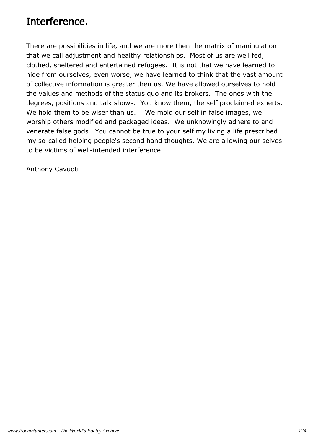### Interference.

There are possibilities in life, and we are more then the matrix of manipulation that we call adjustment and healthy relationships. Most of us are well fed, clothed, sheltered and entertained refugees. It is not that we have learned to hide from ourselves, even worse, we have learned to think that the vast amount of collective information is greater then us. We have allowed ourselves to hold the values and methods of the status quo and its brokers. The ones with the degrees, positions and talk shows. You know them, the self proclaimed experts. We hold them to be wiser than us. We mold our self in false images, we worship others modified and packaged ideas. We unknowingly adhere to and venerate false gods. You cannot be true to your self my living a life prescribed my so-called helping people's second hand thoughts. We are allowing our selves to be victims of well-intended interference.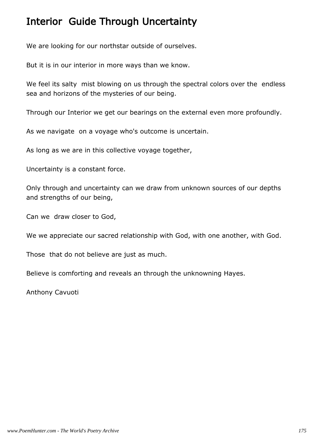### Interior Guide Through Uncertainty

We are looking for our northstar outside of ourselves.

But it is in our interior in more ways than we know.

We feel its salty mist blowing on us through the spectral colors over the endless sea and horizons of the mysteries of our being.

Through our Interior we get our bearings on the external even more profoundly.

As we navigate on a voyage who's outcome is uncertain.

As long as we are in this collective voyage together,

Uncertainty is a constant force.

Only through and uncertainty can we draw from unknown sources of our depths and strengths of our being,

Can we draw closer to God,

We we appreciate our sacred relationship with God, with one another, with God.

Those that do not believe are just as much.

Believe is comforting and reveals an through the unknowning Hayes.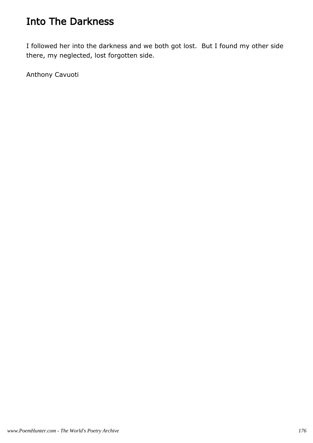### Into The Darkness

I followed her into the darkness and we both got lost. But I found my other side there, my neglected, lost forgotten side.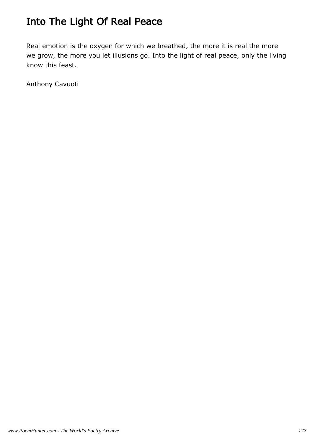# Into The Light Of Real Peace

Real emotion is the oxygen for which we breathed, the more it is real the more we grow, the more you let illusions go. Into the light of real peace, only the living know this feast.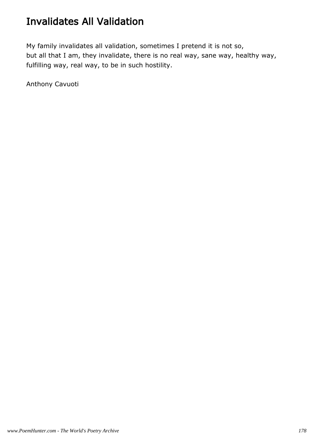### Invalidates All Validation

My family invalidates all validation, sometimes I pretend it is not so, but all that I am, they invalidate, there is no real way, sane way, healthy way, fulfilling way, real way, to be in such hostility.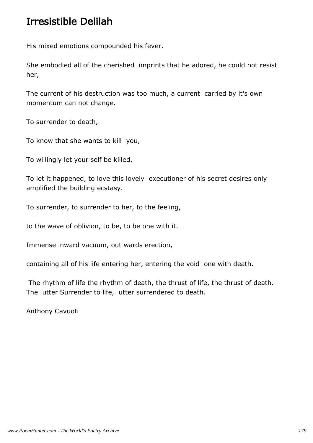### Irresistible Delilah

His mixed emotions compounded his fever.

She embodied all of the cherished imprints that he adored, he could not resist her,

The current of his destruction was too much, a current carried by it's own momentum can not change.

To surrender to death,

To know that she wants to kill you,

To willingly let your self be killed,

To let it happened, to love this lovely executioner of his secret desires only amplified the building ecstasy.

To surrender, to surrender to her, to the feeling,

to the wave of oblivion, to be, to be one with it.

Immense inward vacuum, out wards erection,

containing all of his life entering her, entering the void one with death.

 The rhythm of life the rhythm of death, the thrust of life, the thrust of death. The utter Surrender to life, utter surrendered to death.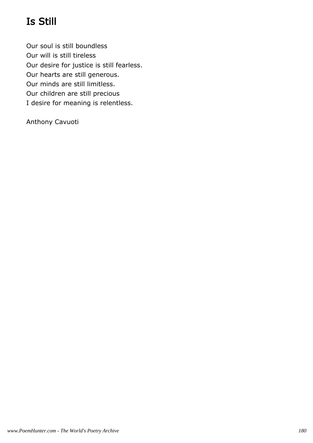# Is Still

Our soul is still boundless Our will is still tireless Our desire for justice is still fearless. Our hearts are still generous. Our minds are still limitless. Our children are still precious I desire for meaning is relentless.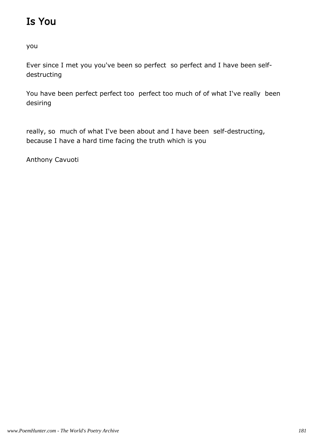# Is You

you

Ever since I met you you've been so perfect so perfect and I have been selfdestructing

You have been perfect perfect too perfect too much of of what I've really been desiring

really, so much of what I've been about and I have been self-destructing, because I have a hard time facing the truth which is you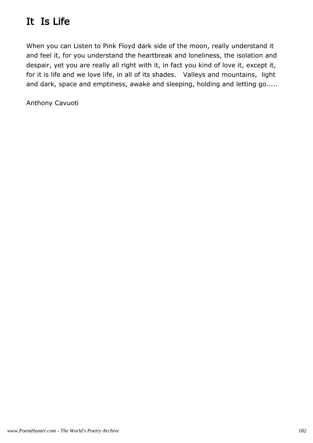# It Is Life

When you can Listen to Pink Floyd dark side of the moon, really understand it and feel it, for you understand the heartbreak and loneliness, the isolation and despair, yet you are really all right with it, in fact you kind of love it, except it, for it is life and we love life, in all of its shades. Valleys and mountains, light and dark, space and emptiness, awake and sleeping, holding and letting go.....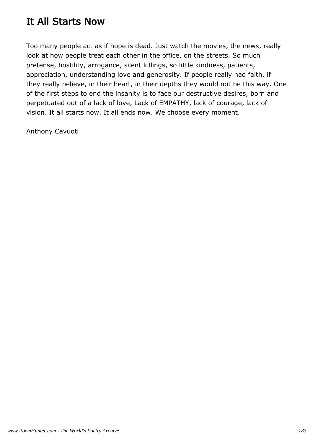#### It All Starts Now

Too many people act as if hope is dead. Just watch the movies, the news, really look at how people treat each other in the office, on the streets. So much pretense, hostility, arrogance, silent killings, so little kindness, patients, appreciation, understanding love and generosity. If people really had faith, if they really believe, in their heart, in their depths they would not be this way. One of the first steps to end the insanity is to face our destructive desires, born and perpetuated out of a lack of love, Lack of EMPATHY, lack of courage, lack of vision. It all starts now. It all ends now. We choose every moment.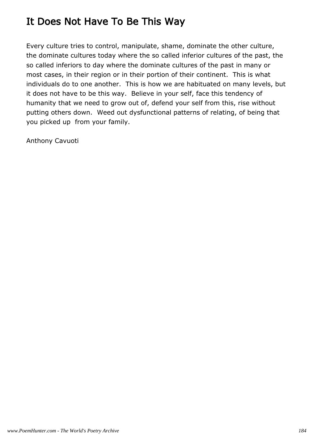### It Does Not Have To Be This Way

Every culture tries to control, manipulate, shame, dominate the other culture, the dominate cultures today where the so called inferior cultures of the past, the so called inferiors to day where the dominate cultures of the past in many or most cases, in their region or in their portion of their continent. This is what individuals do to one another. This is how we are habituated on many levels, but it does not have to be this way. Believe in your self, face this tendency of humanity that we need to grow out of, defend your self from this, rise without putting others down. Weed out dysfunctional patterns of relating, of being that you picked up from your family.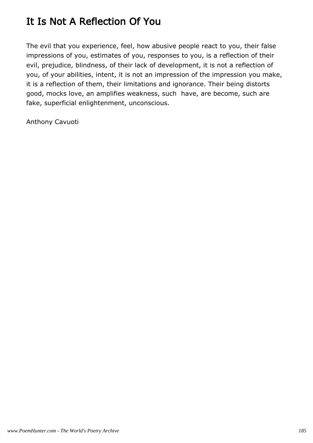# It Is Not A Reflection Of You

The evil that you experience, feel, how abusive people react to you, their false impressions of you, estimates of you, responses to you, is a reflection of their evil, prejudice, blindness, of their lack of development, it is not a reflection of you, of your abilities, intent, it is not an impression of the impression you make, it is a reflection of them, their limitations and ignorance. Their being distorts good, mocks love, an amplifies weakness, such have, are become, such are fake, superficial enlightenment, unconscious.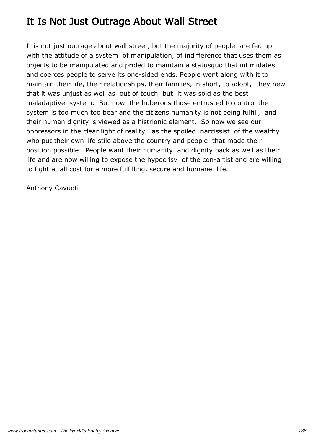### It Is Not Just Outrage About Wall Street

It is not just outrage about wall street, but the majority of people are fed up with the attitude of a system of manipulation, of indifference that uses them as objects to be manipulated and prided to maintain a statusquo that intimidates and coerces people to serve its one-sided ends. People went along with it to maintain their life, their relationships, their families, in short, to adopt, they new that it was unjust as well as out of touch, but it was sold as the best maladaptive system. But now the huberous those entrusted to control the system is too much too bear and the citizens humanity is not being fulfill, and their human dignity is viewed as a histrionic element. So now we see our oppressors in the clear light of reality, as the spoiled narcissist of the wealthy who put their own life stile above the country and people that made their position possible. People want their humanity and dignity back as well as their life and are now willing to expose the hypocrisy of the con-artist and are willing to fight at all cost for a more fulfilling, secure and humane life.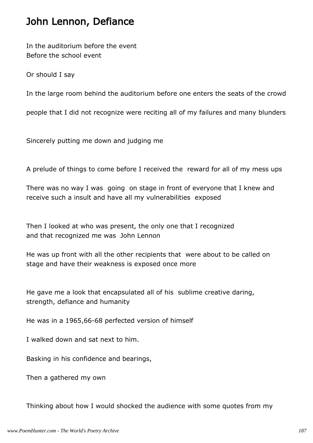#### John Lennon, Defiance

In the auditorium before the event Before the school event

Or should I say

In the large room behind the auditorium before one enters the seats of the crowd

people that I did not recognize were reciting all of my failures and many blunders

Sincerely putting me down and judging me

A prelude of things to come before I received the reward for all of my mess ups

There was no way I was going on stage in front of everyone that I knew and receive such a insult and have all my vulnerabilities exposed

Then I looked at who was present, the only one that I recognized and that recognized me was John Lennon

He was up front with all the other recipients that were about to be called on stage and have their weakness is exposed once more

He gave me a look that encapsulated all of his sublime creative daring, strength, defiance and humanity

He was in a 1965,66-68 perfected version of himself

I walked down and sat next to him.

Basking in his confidence and bearings,

Then a gathered my own

Thinking about how I would shocked the audience with some quotes from my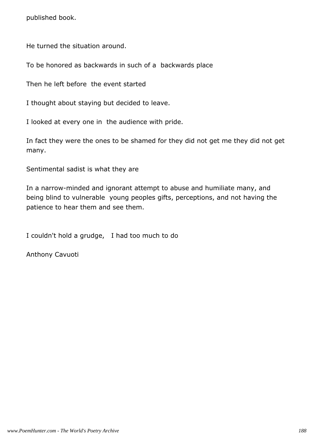published book.

He turned the situation around.

To be honored as backwards in such of a backwards place

Then he left before the event started

I thought about staying but decided to leave.

I looked at every one in the audience with pride.

In fact they were the ones to be shamed for they did not get me they did not get many.

Sentimental sadist is what they are

In a narrow-minded and ignorant attempt to abuse and humiliate many, and being blind to vulnerable young peoples gifts, perceptions, and not having the patience to hear them and see them.

I couldn't hold a grudge, I had too much to do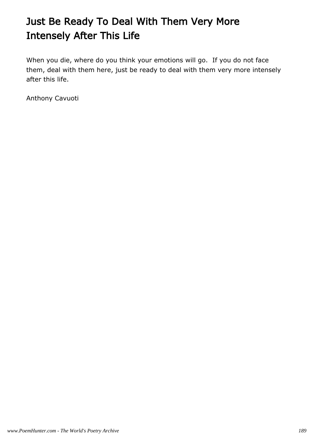# Just Be Ready To Deal With Them Very More Intensely After This Life

When you die, where do you think your emotions will go. If you do not face them, deal with them here, just be ready to deal with them very more intensely after this life.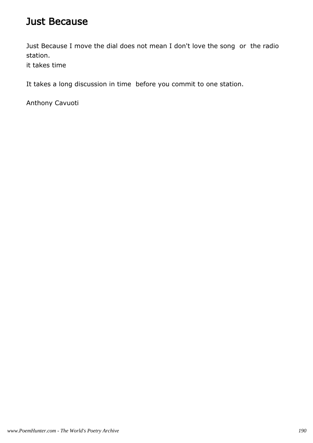#### Just Because

Just Because I move the dial does not mean I don't love the song or the radio station.

it takes time

It takes a long discussion in time before you commit to one station.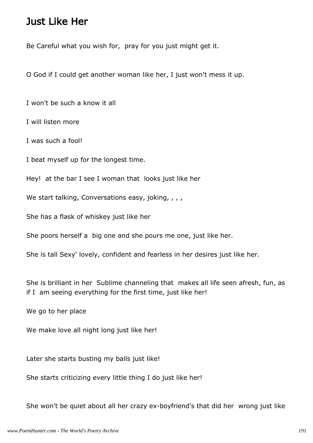#### Just Like Her

Be Careful what you wish for, pray for you just might get it.

O God if I could get another woman like her, I just won't mess it up.

I won't be such a know it all

I will listen more

I was such a fool!

I beat myself up for the longest time.

Hey! at the bar I see I woman that looks just like her

We start talking, Conversations easy, joking, , , ,

She has a flask of whiskey just like her

She poors herself a big one and she pours me one, just like her.

She is tall Sexy' lovely, confident and fearless in her desires just like her.

She is brilliant in her Sublime channeling that makes all life seen afresh, fun, as if I am seeing everything for the first time, just like her!

We go to her place

We make love all night long just like her!

Later she starts busting my balls just like!

She starts criticizing every little thing I do just like her!

She won't be quiet about all her crazy ex-boyfriend's that did her wrong just like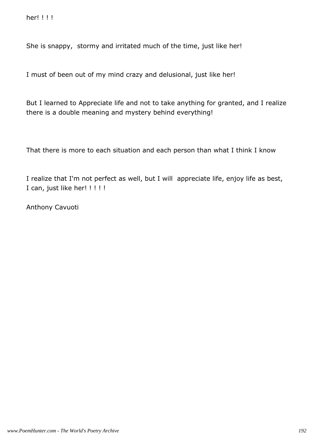She is snappy, stormy and irritated much of the time, just like her!

I must of been out of my mind crazy and delusional, just like her!

But I learned to Appreciate life and not to take anything for granted, and I realize there is a double meaning and mystery behind everything!

That there is more to each situation and each person than what I think I know

I realize that I'm not perfect as well, but I will appreciate life, enjoy life as best, I can, just like her! !!!!!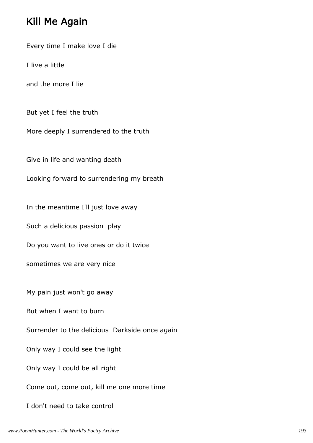#### Kill Me Again

Every time I make love I die

I live a little

and the more I lie

But yet I feel the truth

More deeply I surrendered to the truth

Give in life and wanting death

Looking forward to surrendering my breath

In the meantime I'll just love away

Such a delicious passion play

Do you want to live ones or do it twice

sometimes we are very nice

My pain just won't go away

But when I want to burn

Surrender to the delicious Darkside once again

Only way I could see the light

Only way I could be all right

Come out, come out, kill me one more time

I don't need to take control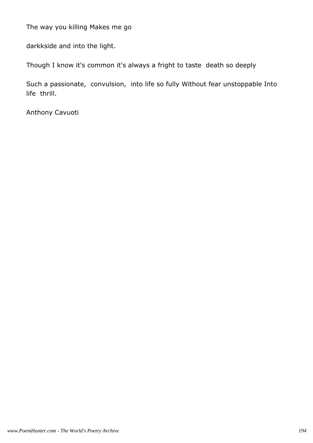The way you killing Makes me go

darkkside and into the light.

Though I know it's common it's always a fright to taste death so deeply

Such a passionate, convulsion, into life so fully Without fear unstoppable Into life thrill.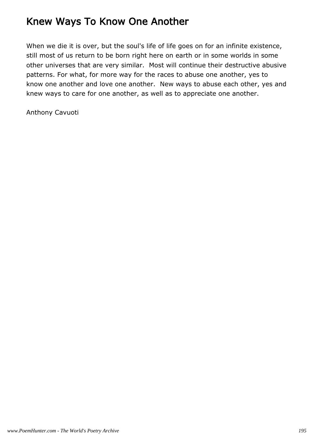### Knew Ways To Know One Another

When we die it is over, but the soul's life of life goes on for an infinite existence, still most of us return to be born right here on earth or in some worlds in some other universes that are very similar. Most will continue their destructive abusive patterns. For what, for more way for the races to abuse one another, yes to know one another and love one another. New ways to abuse each other, yes and knew ways to care for one another, as well as to appreciate one another.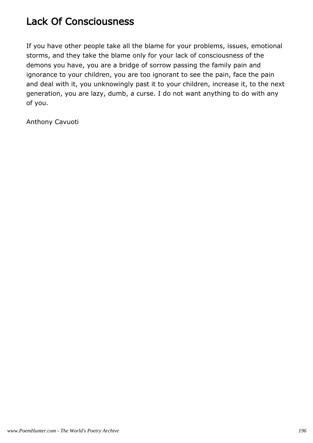# Lack Of Consciousness

If you have other people take all the blame for your problems, issues, emotional storms, and they take the blame only for your lack of consciousness of the demons you have, you are a bridge of sorrow passing the family pain and ignorance to your children, you are too ignorant to see the pain, face the pain and deal with it, you unknowingly past it to your children, increase it, to the next generation, you are lazy, dumb, a curse. I do not want anything to do with any of you.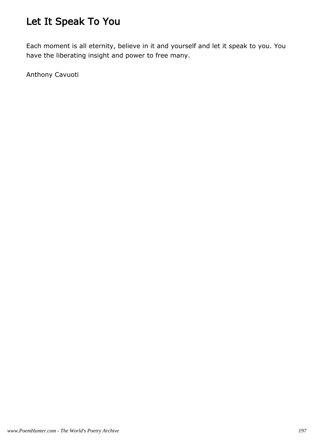# Let It Speak To You

Each moment is all eternity, believe in it and yourself and let it speak to you. You have the liberating insight and power to free many.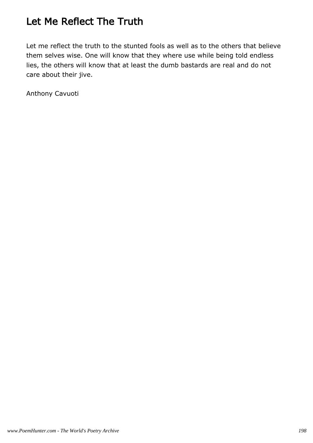### Let Me Reflect The Truth

Let me reflect the truth to the stunted fools as well as to the others that believe them selves wise. One will know that they where use while being told endless lies, the others will know that at least the dumb bastards are real and do not care about their jive.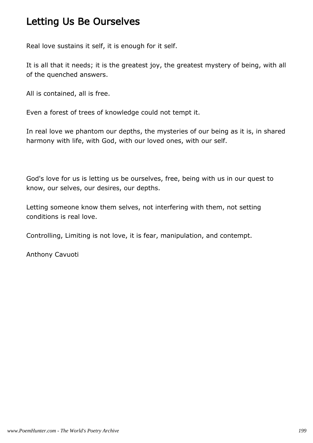### Letting Us Be Ourselves

Real love sustains it self, it is enough for it self.

It is all that it needs; it is the greatest joy, the greatest mystery of being, with all of the quenched answers.

All is contained, all is free.

Even a forest of trees of knowledge could not tempt it.

In real love we phantom our depths, the mysteries of our being as it is, in shared harmony with life, with God, with our loved ones, with our self.

God's love for us is letting us be ourselves, free, being with us in our quest to know, our selves, our desires, our depths.

Letting someone know them selves, not interfering with them, not setting conditions is real love.

Controlling, Limiting is not love, it is fear, manipulation, and contempt.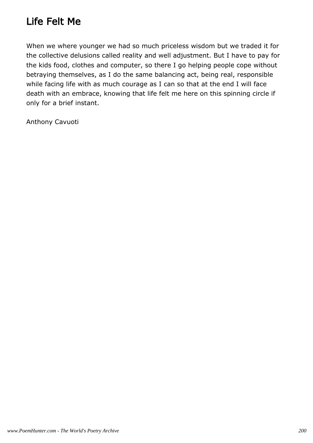# Life Felt Me

When we where younger we had so much priceless wisdom but we traded it for the collective delusions called reality and well adjustment. But I have to pay for the kids food, clothes and computer, so there I go helping people cope without betraying themselves, as I do the same balancing act, being real, responsible while facing life with as much courage as I can so that at the end I will face death with an embrace, knowing that life felt me here on this spinning circle if only for a brief instant.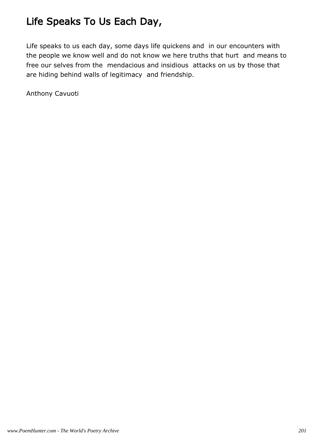# Life Speaks To Us Each Day,

Life speaks to us each day, some days life quickens and in our encounters with the people we know well and do not know we here truths that hurt and means to free our selves from the mendacious and insidious attacks on us by those that are hiding behind walls of legitimacy and friendship.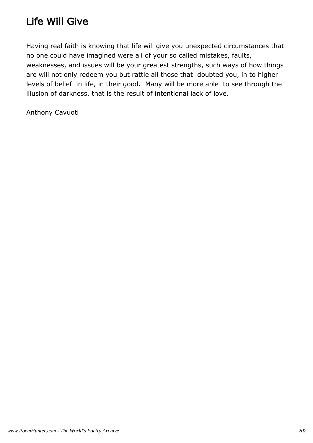# Life Will Give

Having real faith is knowing that life will give you unexpected circumstances that no one could have imagined were all of your so called mistakes, faults, weaknesses, and issues will be your greatest strengths, such ways of how things are will not only redeem you but rattle all those that doubted you, in to higher levels of belief in life, in their good. Many will be more able to see through the illusion of darkness, that is the result of intentional lack of love.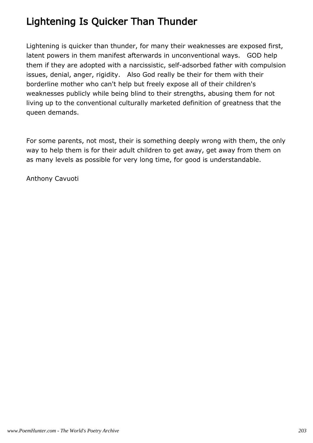# Lightening Is Quicker Than Thunder

Lightening is quicker than thunder, for many their weaknesses are exposed first, latent powers in them manifest afterwards in unconventional ways. GOD help them if they are adopted with a narcissistic, self-adsorbed father with compulsion issues, denial, anger, rigidity. Also God really be their for them with their borderline mother who can't help but freely expose all of their children's weaknesses publicly while being blind to their strengths, abusing them for not living up to the conventional culturally marketed definition of greatness that the queen demands.

For some parents, not most, their is something deeply wrong with them, the only way to help them is for their adult children to get away, get away from them on as many levels as possible for very long time, for good is understandable.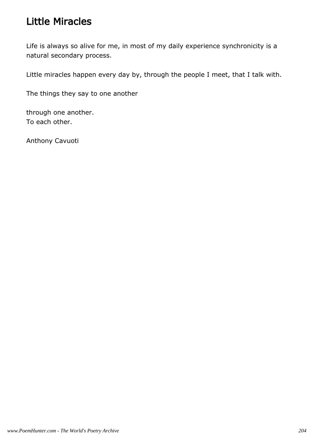### Little Miracles

Life is always so alive for me, in most of my daily experience synchronicity is a natural secondary process.

Little miracles happen every day by, through the people I meet, that I talk with.

The things they say to one another

through one another. To each other.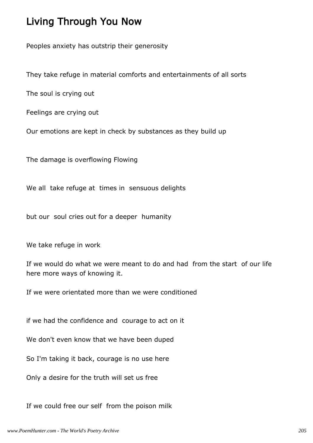#### Living Through You Now

Peoples anxiety has outstrip their generosity

They take refuge in material comforts and entertainments of all sorts

The soul is crying out

Feelings are crying out

Our emotions are kept in check by substances as they build up

The damage is overflowing Flowing

We all take refuge at times in sensuous delights

but our soul cries out for a deeper humanity

We take refuge in work

If we would do what we were meant to do and had from the start of our life here more ways of knowing it.

If we were orientated more than we were conditioned

if we had the confidence and courage to act on it

We don't even know that we have been duped

So I'm taking it back, courage is no use here

Only a desire for the truth will set us free

If we could free our self from the poison milk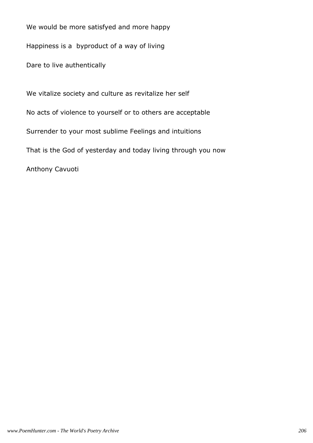We would be more satisfyed and more happy

Happiness is a byproduct of a way of living

Dare to live authentically

We vitalize society and culture as revitalize her self No acts of violence to yourself or to others are acceptable Surrender to your most sublime Feelings and intuitions That is the God of yesterday and today living through you now Anthony Cavuoti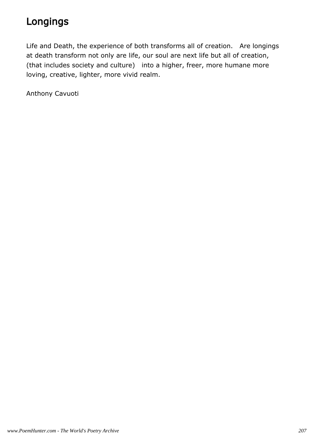# Longings

Life and Death, the experience of both transforms all of creation. Are longings at death transform not only are life, our soul are next life but all of creation, (that includes society and culture) into a higher, freer, more humane more loving, creative, lighter, more vivid realm.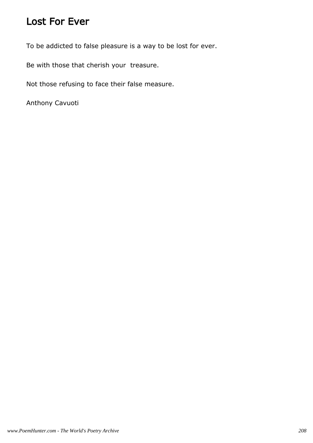#### Lost For Ever

To be addicted to false pleasure is a way to be lost for ever.

Be with those that cherish your treasure.

Not those refusing to face their false measure.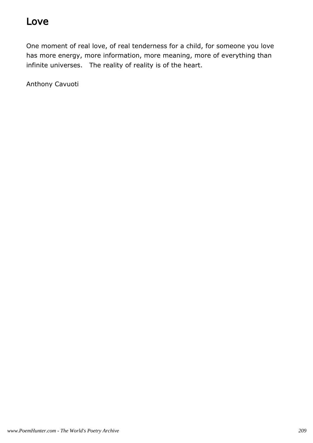### Love

One moment of real love, of real tenderness for a child, for someone you love has more energy, more information, more meaning, more of everything than infinite universes. The reality of reality is of the heart.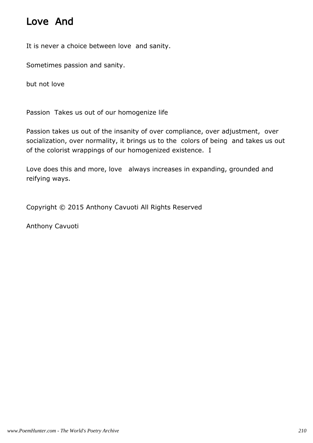### Love And

It is never a choice between love and sanity.

Sometimes passion and sanity.

but not love

Passion Takes us out of our homogenize life

Passion takes us out of the insanity of over compliance, over adjustment, over socialization, over normality, it brings us to the colors of being and takes us out of the colorist wrappings of our homogenized existence. I

Love does this and more, love always increases in expanding, grounded and reifying ways.

Copyright © 2015 Anthony Cavuoti All Rights Reserved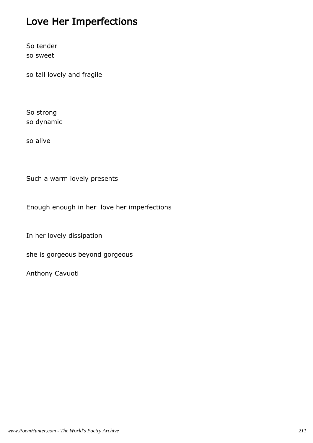## Love Her Imperfections

So tender so sweet

so tall lovely and fragile

So strong so dynamic

so alive

Such a warm lovely presents

Enough enough in her love her imperfections

In her lovely dissipation

she is gorgeous beyond gorgeous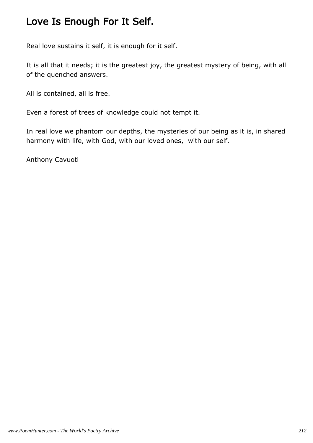### Love Is Enough For It Self.

Real love sustains it self, it is enough for it self.

It is all that it needs; it is the greatest joy, the greatest mystery of being, with all of the quenched answers.

All is contained, all is free.

Even a forest of trees of knowledge could not tempt it.

In real love we phantom our depths, the mysteries of our being as it is, in shared harmony with life, with God, with our loved ones, with our self.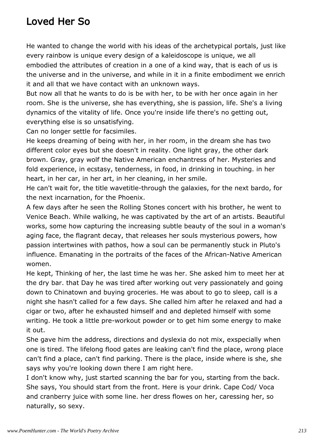### Loved Her So

He wanted to change the world with his ideas of the archetypical portals, just like every rainbow is unique every design of a kaleidoscope is unique, we all embodied the attributes of creation in a one of a kind way, that is each of us is the universe and in the universe, and while in it in a finite embodiment we enrich it and all that we have contact with an unknown ways.

But now all that he wants to do is be with her, to be with her once again in her room. She is the universe, she has everything, she is passion, life. She's a living dynamics of the vitality of life. Once you're inside life there's no getting out, everything else is so unsatisfying.

Can no longer settle for facsimiles.

He keeps dreaming of being with her, in her room, in the dream she has two different color eyes but she doesn't in reality. One light gray, the other dark brown. Gray, gray wolf the Native American enchantress of her. Mysteries and fold experience, in ecstasy, tenderness, in food, in drinking in touching. in her heart, in her car, in her art, in her cleaning, in her smile.

He can't wait for, the title wavetitle-through the galaxies, for the next bardo, for the next incarnation, for the Phoenix.

A few days after he seen the Rolling Stones concert with his brother, he went to Venice Beach. While walking, he was captivated by the art of an artists. Beautiful works, some how capturing the increasing subtle beauty of the soul in a woman's aging face, the flagrant decay, that releases her souls mysterious powers, how passion intertwines with pathos, how a soul can be permanently stuck in Pluto's influence. Emanating in the portraits of the faces of the African-Native American women.

He kept, Thinking of her, the last time he was her. She asked him to meet her at the dry bar. that Day he was tired after working out very passionately and going down to Chinatown and buying groceries. He was about to go to sleep, call is a night she hasn't called for a few days. She called him after he relaxed and had a cigar or two, after he exhausted himself and and depleted himself with some writing. He took a little pre-workout powder or to get him some energy to make it out.

She gave him the address, directions and dyslexia do not mix, exspecially when one is tired. The lifelong flood gates are leaking can't find the place, wrong place can't find a place, can't find parking. There is the place, inside where is she, she says why you're looking down there I am right here.

I don't know why, just started scanning the bar for you, starting from the back. She says, You should start from the front. Here is your drink. Cape Cod/ Voca and cranberry juice with some line. her dress flowes on her, caressing her, so naturally, so sexy.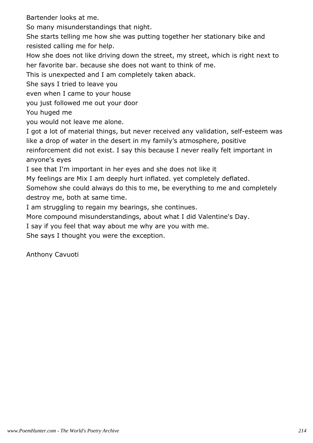Bartender looks at me.

So many misunderstandings that night.

She starts telling me how she was putting together her stationary bike and resisted calling me for help.

How she does not like driving down the street, my street, which is right next to her favorite bar. because she does not want to think of me.

This is unexpected and I am completely taken aback.

She says I tried to leave you

even when I came to your house

you just followed me out your door

You huged me

you would not leave me alone.

I got a lot of material things, but never received any validation, self-esteem was like a drop of water in the desert in my family's atmosphere, positive reinforcement did not exist. I say this because I never really felt important in anyone's eyes

I see that I'm important in her eyes and she does not like it

My feelings are Mix I am deeply hurt inflated. yet completely deflated.

Somehow she could always do this to me, be everything to me and completely destroy me, both at same time.

I am struggling to regain my bearings, she continues.

More compound misunderstandings, about what I did Valentine's Day.

I say if you feel that way about me why are you with me.

She says I thought you were the exception.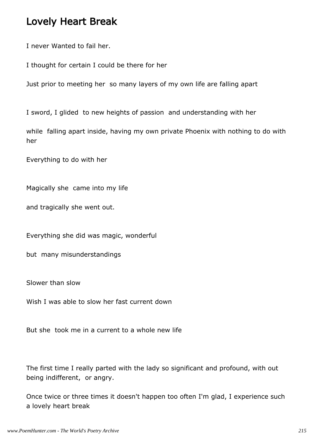#### Lovely Heart Break

I never Wanted to fail her.

I thought for certain I could be there for her

Just prior to meeting her so many layers of my own life are falling apart

I sword, I glided to new heights of passion and understanding with her

while falling apart inside, having my own private Phoenix with nothing to do with her

Everything to do with her

Magically she came into my life

and tragically she went out.

Everything she did was magic, wonderful

but many misunderstandings

Slower than slow

Wish I was able to slow her fast current down

But she took me in a current to a whole new life

The first time I really parted with the lady so significant and profound, with out being indifferent, or angry.

Once twice or three times it doesn't happen too often I'm glad, I experience such a lovely heart break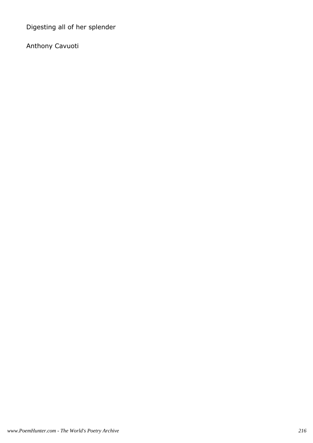Digesting all of her splender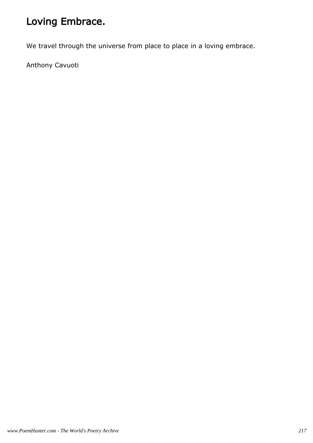## Loving Embrace.

We travel through the universe from place to place in a loving embrace.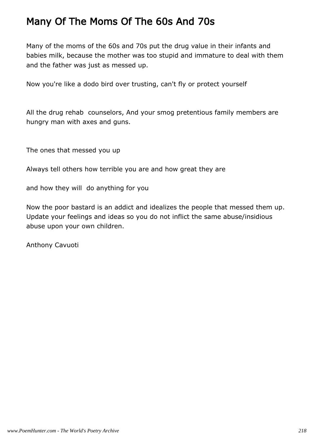### Many Of The Moms Of The 60s And 70s

Many of the moms of the 60s and 70s put the drug value in their infants and babies milk, because the mother was too stupid and immature to deal with them and the father was just as messed up.

Now you're like a dodo bird over trusting, can't fly or protect yourself

All the drug rehab counselors, And your smog pretentious family members are hungry man with axes and guns.

The ones that messed you up

Always tell others how terrible you are and how great they are

and how they will do anything for you

Now the poor bastard is an addict and idealizes the people that messed them up. Update your feelings and ideas so you do not inflict the same abuse/insidious abuse upon your own children.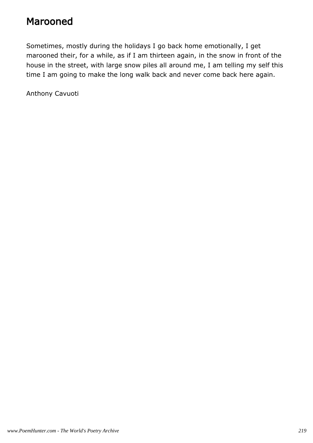#### Marooned

Sometimes, mostly during the holidays I go back home emotionally, I get marooned their, for a while, as if I am thirteen again, in the snow in front of the house in the street, with large snow piles all around me, I am telling my self this time I am going to make the long walk back and never come back here again.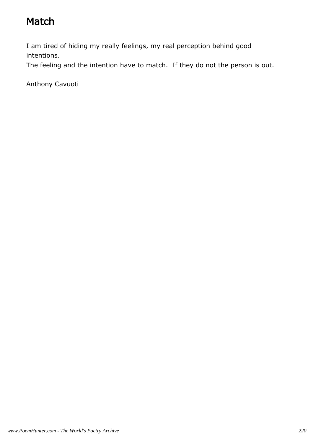## Match

I am tired of hiding my really feelings, my real perception behind good intentions.

The feeling and the intention have to match. If they do not the person is out.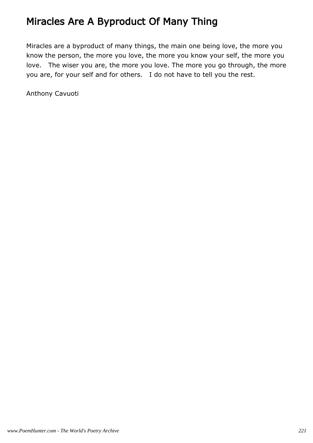### Miracles Are A Byproduct Of Many Thing

Miracles are a byproduct of many things, the main one being love, the more you know the person, the more you love, the more you know your self, the more you love. The wiser you are, the more you love. The more you go through, the more you are, for your self and for others. I do not have to tell you the rest.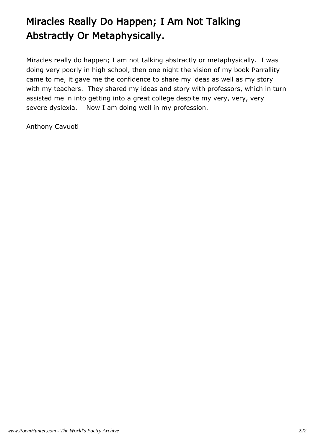# Miracles Really Do Happen; I Am Not Talking Abstractly Or Metaphysically.

Miracles really do happen; I am not talking abstractly or metaphysically. I was doing very poorly in high school, then one night the vision of my book Parrallity came to me, it gave me the confidence to share my ideas as well as my story with my teachers. They shared my ideas and story with professors, which in turn assisted me in into getting into a great college despite my very, very, very severe dyslexia. Now I am doing well in my profession.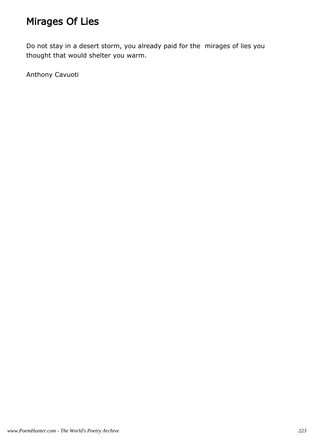## Mirages Of Lies

Do not stay in a desert storm, you already paid for the mirages of lies you thought that would shelter you warm.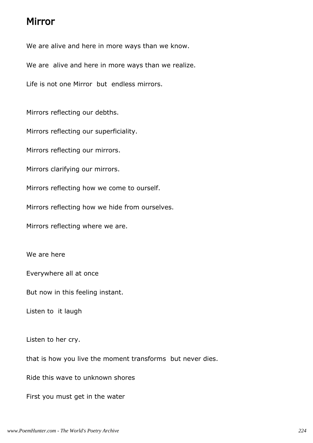#### Mirror

We are alive and here in more ways than we know.

We are alive and here in more ways than we realize.

Life is not one Mirror but endless mirrors.

Mirrors reflecting our debths.

Mirrors reflecting our superficiality.

Mirrors reflecting our mirrors.

Mirrors clarifying our mirrors.

Mirrors reflecting how we come to ourself.

Mirrors reflecting how we hide from ourselves.

Mirrors reflecting where we are.

We are here

Everywhere all at once

But now in this feeling instant.

Listen to it laugh

Listen to her cry.

that is how you live the moment transforms but never dies.

Ride this wave to unknown shores

First you must get in the water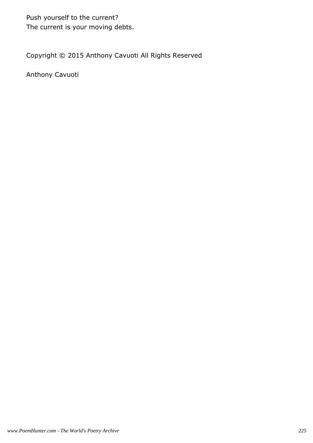Push yourself to the current? The current is your moving debts.

Copyright © 2015 Anthony Cavuoti All Rights Reserved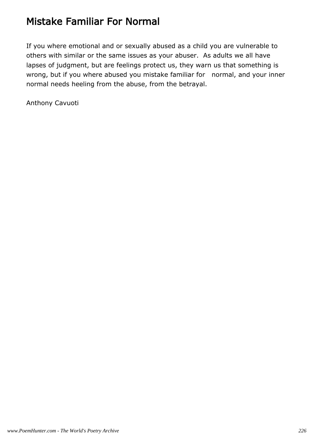### Mistake Familiar For Normal

If you where emotional and or sexually abused as a child you are vulnerable to others with similar or the same issues as your abuser. As adults we all have lapses of judgment, but are feelings protect us, they warn us that something is wrong, but if you where abused you mistake familiar for normal, and your inner normal needs heeling from the abuse, from the betrayal.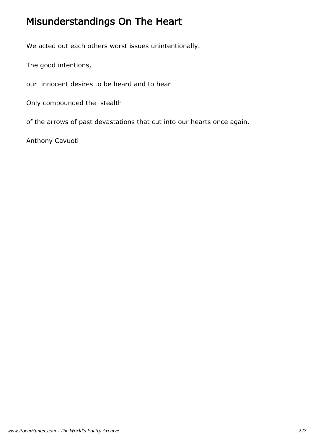### Misunderstandings On The Heart

We acted out each others worst issues unintentionally.

The good intentions,

our innocent desires to be heard and to hear

Only compounded the stealth

of the arrows of past devastations that cut into our hearts once again.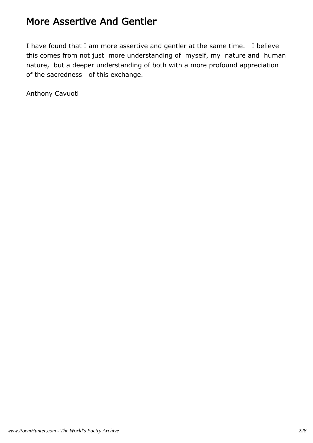#### More Assertive And Gentler

I have found that I am more assertive and gentler at the same time. I believe this comes from not just more understanding of myself, my nature and human nature, but a deeper understanding of both with a more profound appreciation of the sacredness of this exchange.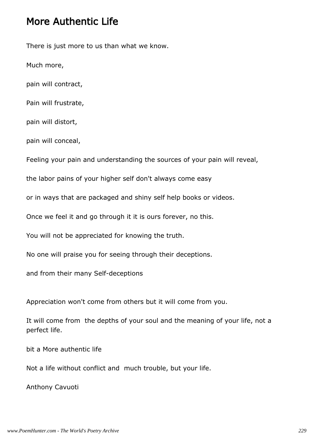#### More Authentic Life

There is just more to us than what we know.

Much more,

pain will contract,

Pain will frustrate,

pain will distort,

pain will conceal,

Feeling your pain and understanding the sources of your pain will reveal,

the labor pains of your higher self don't always come easy

or in ways that are packaged and shiny self help books or videos.

Once we feel it and go through it it is ours forever, no this.

You will not be appreciated for knowing the truth.

No one will praise you for seeing through their deceptions.

and from their many Self-deceptions

Appreciation won't come from others but it will come from you.

It will come from the depths of your soul and the meaning of your life, not a perfect life.

bit a More authentic life

Not a life without conflict and much trouble, but your life.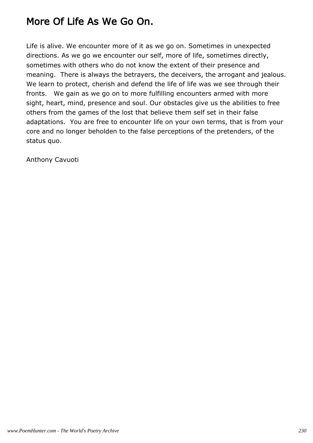### More Of Life As We Go On.

Life is alive. We encounter more of it as we go on. Sometimes in unexpected directions. As we go we encounter our self, more of life, sometimes directly, sometimes with others who do not know the extent of their presence and meaning. There is always the betrayers, the deceivers, the arrogant and jealous. We learn to protect, cherish and defend the life of life was we see through their fronts. We gain as we go on to more fulfilling encounters armed with more sight, heart, mind, presence and soul. Our obstacles give us the abilities to free others from the games of the lost that believe them self set in their false adaptations. You are free to encounter life on your own terms, that is from your core and no longer beholden to the false perceptions of the pretenders, of the status quo.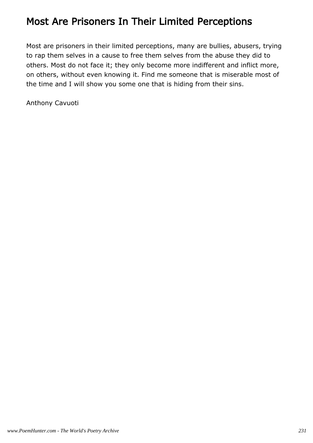### Most Are Prisoners In Their Limited Perceptions

Most are prisoners in their limited perceptions, many are bullies, abusers, trying to rap them selves in a cause to free them selves from the abuse they did to others. Most do not face it; they only become more indifferent and inflict more, on others, without even knowing it. Find me someone that is miserable most of the time and I will show you some one that is hiding from their sins.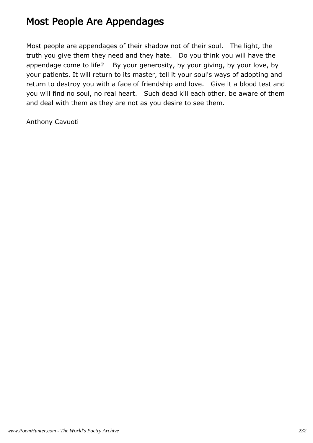### Most People Are Appendages

Most people are appendages of their shadow not of their soul. The light, the truth you give them they need and they hate. Do you think you will have the appendage come to life? By your generosity, by your giving, by your love, by your patients. It will return to its master, tell it your soul's ways of adopting and return to destroy you with a face of friendship and love. Give it a blood test and you will find no soul, no real heart. Such dead kill each other, be aware of them and deal with them as they are not as you desire to see them.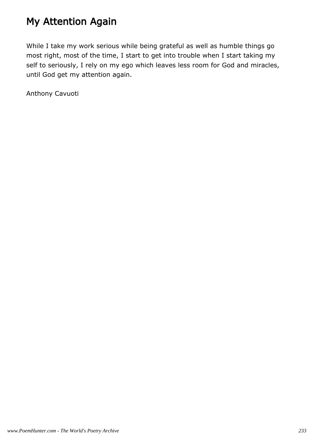### My Attention Again

While I take my work serious while being grateful as well as humble things go most right, most of the time, I start to get into trouble when I start taking my self to seriously, I rely on my ego which leaves less room for God and miracles, until God get my attention again.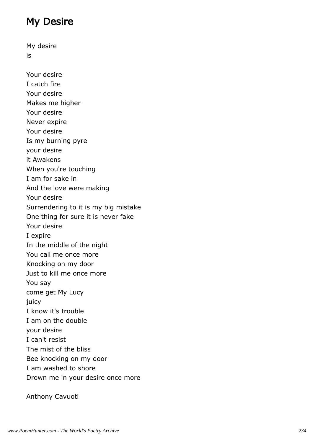### My Desire

My desire is Your desire I catch fire Your desire Makes me higher Your desire Never expire Your desire Is my burning pyre your desire it Awakens When you're touching I am for sake in And the love were making Your desire Surrendering to it is my big mistake One thing for sure it is never fake Your desire I expire In the middle of the night You call me once more Knocking on my door Just to kill me once more You say come get My Lucy juicy I know it's trouble I am on the double your desire I can't resist The mist of the bliss Bee knocking on my door I am washed to shore Drown me in your desire once more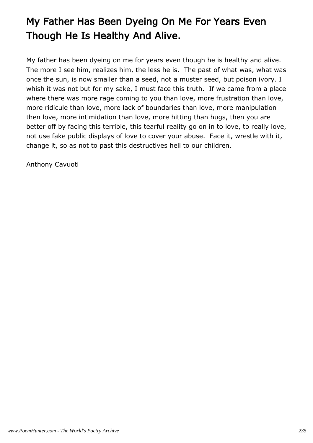# My Father Has Been Dyeing On Me For Years Even Though He Is Healthy And Alive.

My father has been dyeing on me for years even though he is healthy and alive. The more I see him, realizes him, the less he is. The past of what was, what was once the sun, is now smaller than a seed, not a muster seed, but poison ivory. I whish it was not but for my sake, I must face this truth. If we came from a place where there was more rage coming to you than love, more frustration than love, more ridicule than love, more lack of boundaries than love, more manipulation then love, more intimidation than love, more hitting than hugs, then you are better off by facing this terrible, this tearful reality go on in to love, to really love, not use fake public displays of love to cover your abuse. Face it, wrestle with it, change it, so as not to past this destructives hell to our children.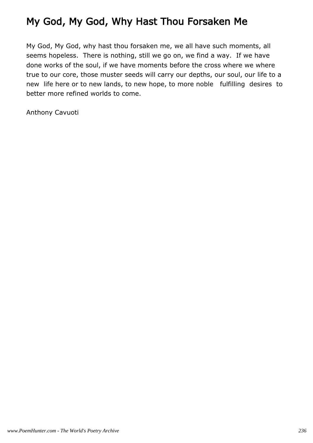## My God, My God, Why Hast Thou Forsaken Me

My God, My God, why hast thou forsaken me, we all have such moments, all seems hopeless. There is nothing, still we go on, we find a way. If we have done works of the soul, if we have moments before the cross where we where true to our core, those muster seeds will carry our depths, our soul, our life to a new life here or to new lands, to new hope, to more noble fulfilling desires to better more refined worlds to come.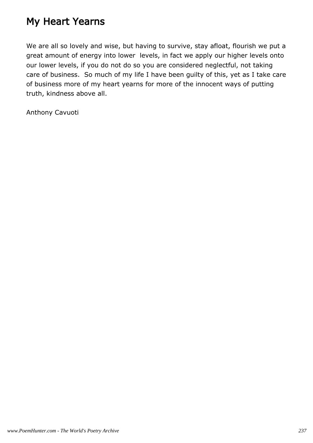### My Heart Yearns

We are all so lovely and wise, but having to survive, stay afloat, flourish we put a great amount of energy into lower levels, in fact we apply our higher levels onto our lower levels, if you do not do so you are considered neglectful, not taking care of business. So much of my life I have been guilty of this, yet as I take care of business more of my heart yearns for more of the innocent ways of putting truth, kindness above all.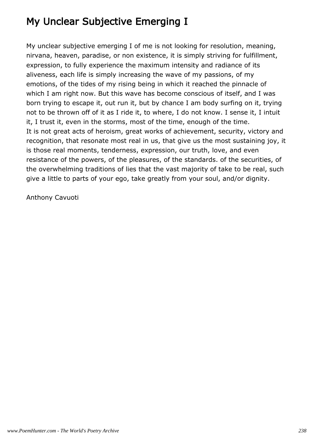## My Unclear Subjective Emerging I

My unclear subjective emerging I of me is not looking for resolution, meaning, nirvana, heaven, paradise, or non existence, it is simply striving for fulfillment, expression, to fully experience the maximum intensity and radiance of its aliveness, each life is simply increasing the wave of my passions, of my emotions, of the tides of my rising being in which it reached the pinnacle of which I am right now. But this wave has become conscious of itself, and I was born trying to escape it, out run it, but by chance I am body surfing on it, trying not to be thrown off of it as I ride it, to where, I do not know. I sense it, I intuit it, I trust it, even in the storms, most of the time, enough of the time. It is not great acts of heroism, great works of achievement, security, victory and recognition, that resonate most real in us, that give us the most sustaining joy, it is those real moments, tenderness, expression, our truth, love, and even resistance of the powers, of the pleasures, of the standards. of the securities, of the overwhelming traditions of lies that the vast majority of take to be real, such give a little to parts of your ego, take greatly from your soul, and/or dignity.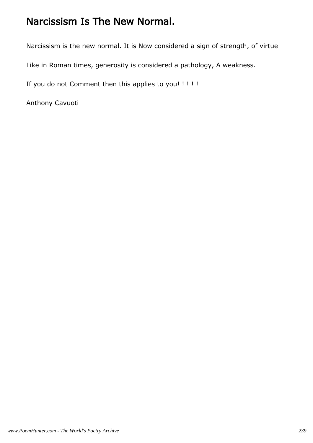### Narcissism Is The New Normal.

Narcissism is the new normal. It is Now considered a sign of strength, of virtue

Like in Roman times, generosity is considered a pathology, A weakness.

If you do not Comment then this applies to you! ! ! ! !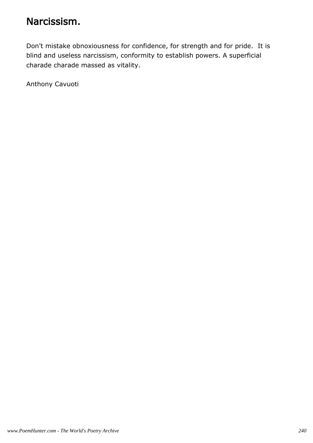#### Narcissism.

Don't mistake obnoxiousness for confidence, for strength and for pride. It is blind and useless narcissism, conformity to establish powers. A superficial charade charade massed as vitality.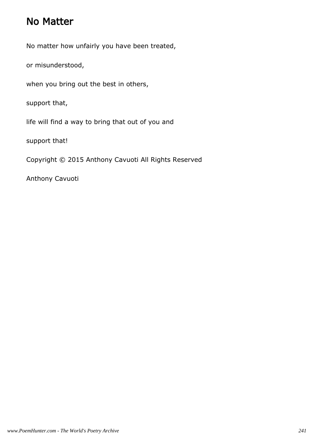#### No Matter

No matter how unfairly you have been treated,

or misunderstood,

when you bring out the best in others,

support that,

life will find a way to bring that out of you and

support that!

Copyright © 2015 Anthony Cavuoti All Rights Reserved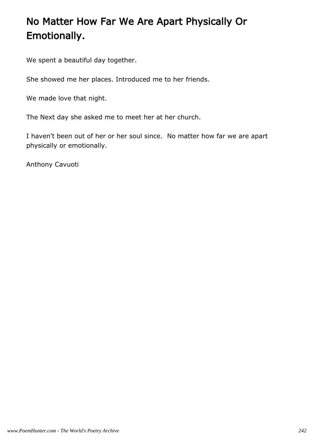## No Matter How Far We Are Apart Physically Or Emotionally.

We spent a beautiful day together.

She showed me her places. Introduced me to her friends.

We made love that night.

The Next day she asked me to meet her at her church.

I haven't been out of her or her soul since. No matter how far we are apart physically or emotionally.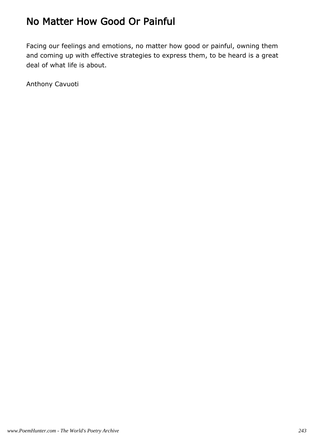### No Matter How Good Or Painful

Facing our feelings and emotions, no matter how good or painful, owning them and coming up with effective strategies to express them, to be heard is a great deal of what life is about.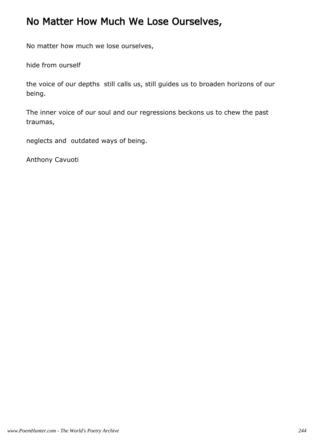### No Matter How Much We Lose Ourselves,

No matter how much we lose ourselves,

hide from ourself

the voice of our depths still calls us, still guides us to broaden horizons of our being.

The inner voice of our soul and our regressions beckons us to chew the past traumas,

neglects and outdated ways of being.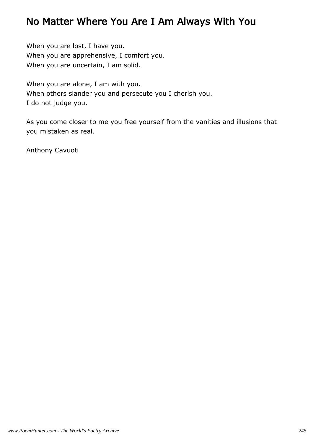#### No Matter Where You Are I Am Always With You

When you are lost, I have you. When you are apprehensive, I comfort you. When you are uncertain, I am solid.

When you are alone, I am with you. When others slander you and persecute you I cherish you. I do not judge you.

As you come closer to me you free yourself from the vanities and illusions that you mistaken as real.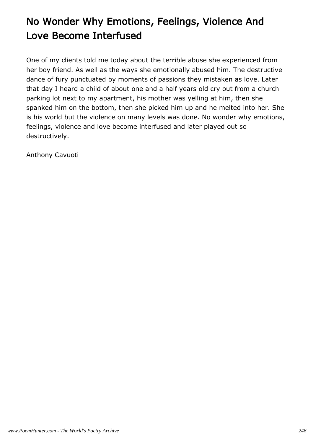# No Wonder Why Emotions, Feelings, Violence And Love Become Interfused

One of my clients told me today about the terrible abuse she experienced from her boy friend. As well as the ways she emotionally abused him. The destructive dance of fury punctuated by moments of passions they mistaken as love. Later that day I heard a child of about one and a half years old cry out from a church parking lot next to my apartment, his mother was yelling at him, then she spanked him on the bottom, then she picked him up and he melted into her. She is his world but the violence on many levels was done. No wonder why emotions, feelings, violence and love become interfused and later played out so destructively.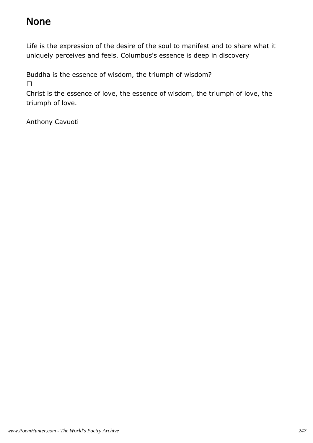#### None

Life is the expression of the desire of the soul to manifest and to share what it uniquely perceives and feels. Columbus's essence is deep in discovery

Buddha is the essence of wisdom, the triumph of wisdom?

Christ is the essence of love, the essence of wisdom, the triumph of love, the triumph of love.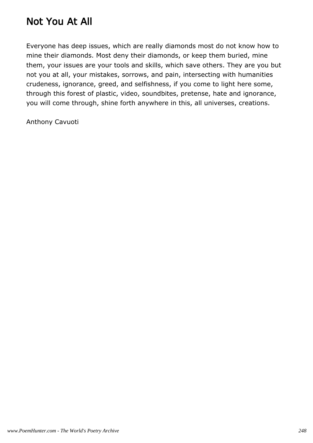### Not You At All

Everyone has deep issues, which are really diamonds most do not know how to mine their diamonds. Most deny their diamonds, or keep them buried, mine them, your issues are your tools and skills, which save others. They are you but not you at all, your mistakes, sorrows, and pain, intersecting with humanities crudeness, ignorance, greed, and selfishness, if you come to light here some, through this forest of plastic, video, soundbites, pretense, hate and ignorance, you will come through, shine forth anywhere in this, all universes, creations.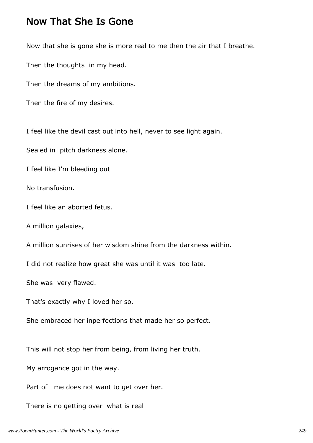#### Now That She Is Gone

Now that she is gone she is more real to me then the air that I breathe.

Then the thoughts in my head.

Then the dreams of my ambitions.

Then the fire of my desires.

I feel like the devil cast out into hell, never to see light again.

Sealed in pitch darkness alone.

I feel like I'm bleeding out

No transfusion.

I feel like an aborted fetus.

A million galaxies,

A million sunrises of her wisdom shine from the darkness within.

I did not realize how great she was until it was too late.

She was very flawed.

That's exactly why I loved her so.

She embraced her inperfections that made her so perfect.

This will not stop her from being, from living her truth.

My arrogance got in the way.

Part of me does not want to get over her.

There is no getting over what is real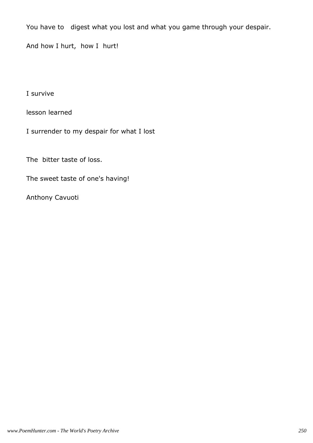You have to digest what you lost and what you game through your despair.

And how I hurt, how I hurt!

I survive

lesson learned

I surrender to my despair for what I lost

The bitter taste of loss.

The sweet taste of one's having!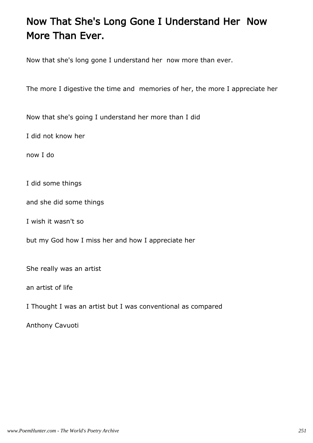## Now That She's Long Gone I Understand Her Now More Than Ever.

Now that she's long gone I understand her now more than ever.

The more I digestive the time and memories of her, the more I appreciate her

Now that she's going I understand her more than I did

I did not know her

now I do

I did some things

and she did some things

I wish it wasn't so

but my God how I miss her and how I appreciate her

She really was an artist

an artist of life

I Thought I was an artist but I was conventional as compared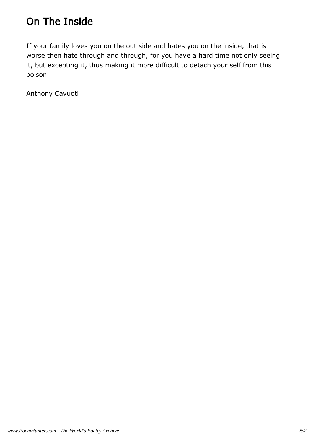# On The Inside

If your family loves you on the out side and hates you on the inside, that is worse then hate through and through, for you have a hard time not only seeing it, but excepting it, thus making it more difficult to detach your self from this poison.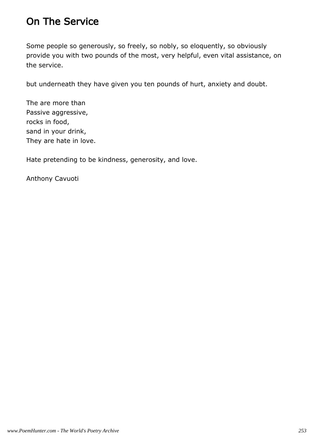### On The Service

Some people so generously, so freely, so nobly, so eloquently, so obviously provide you with two pounds of the most, very helpful, even vital assistance, on the service.

but underneath they have given you ten pounds of hurt, anxiety and doubt.

The are more than Passive aggressive, rocks in food, sand in your drink, They are hate in love.

Hate pretending to be kindness, generosity, and love.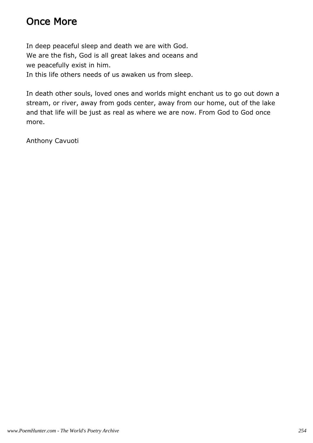## Once More

In deep peaceful sleep and death we are with God. We are the fish, God is all great lakes and oceans and we peacefully exist in him. In this life others needs of us awaken us from sleep.

In death other souls, loved ones and worlds might enchant us to go out down a stream, or river, away from gods center, away from our home, out of the lake and that life will be just as real as where we are now. From God to God once more.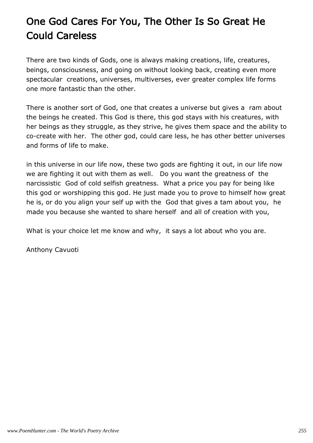# One God Cares For You, The Other Is So Great He Could Careless

There are two kinds of Gods, one is always making creations, life, creatures, beings, consciousness, and going on without looking back, creating even more spectacular creations, universes, multiverses, ever greater complex life forms one more fantastic than the other.

There is another sort of God, one that creates a universe but gives a ram about the beings he created. This God is there, this god stays with his creatures, with her beings as they struggle, as they strive, he gives them space and the ability to co-create with her. The other god, could care less, he has other better universes and forms of life to make.

in this universe in our life now, these two gods are fighting it out, in our life now we are fighting it out with them as well. Do you want the greatness of the narcissistic God of cold selfish greatness. What a price you pay for being like this god or worshipping this god. He just made you to prove to himself how great he is, or do you align your self up with the God that gives a tam about you, he made you because she wanted to share herself and all of creation with you,

What is your choice let me know and why, it says a lot about who you are.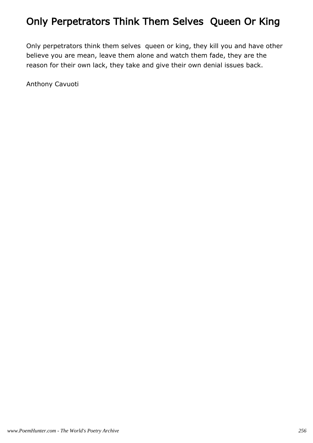# Only Perpetrators Think Them Selves Queen Or King

Only perpetrators think them selves queen or king, they kill you and have other believe you are mean, leave them alone and watch them fade, they are the reason for their own lack, they take and give their own denial issues back.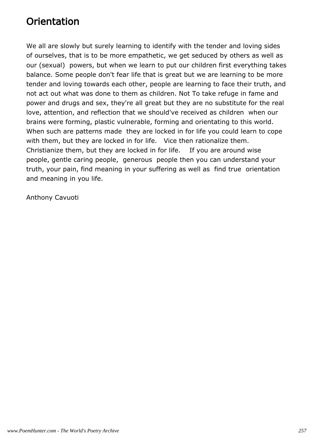## **Orientation**

We all are slowly but surely learning to identify with the tender and loving sides of ourselves, that is to be more empathetic, we get seduced by others as well as our (sexual) powers, but when we learn to put our children first everything takes balance. Some people don't fear life that is great but we are learning to be more tender and loving towards each other, people are learning to face their truth, and not act out what was done to them as children. Not To take refuge in fame and power and drugs and sex, they're all great but they are no substitute for the real love, attention, and reflection that we should've received as children when our brains were forming, plastic vulnerable, forming and orientating to this world. When such are patterns made they are locked in for life you could learn to cope with them, but they are locked in for life. Vice then rationalize them. Christianize them, but they are locked in for life. If you are around wise people, gentle caring people, generous people then you can understand your truth, your pain, find meaning in your suffering as well as find true orientation and meaning in you life.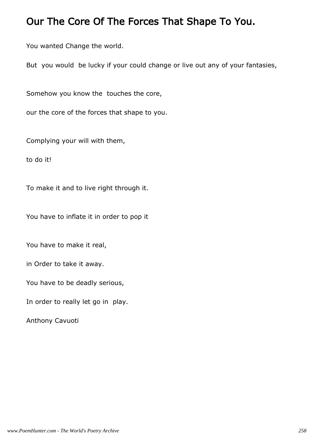#### Our The Core Of The Forces That Shape To You.

You wanted Change the world.

But you would be lucky if your could change or live out any of your fantasies,

Somehow you know the touches the core,

our the core of the forces that shape to you.

Complying your will with them,

to do it!

To make it and to live right through it.

You have to inflate it in order to pop it

You have to make it real,

in Order to take it away.

You have to be deadly serious,

In order to really let go in play.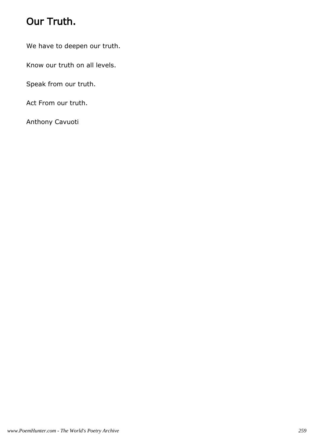# Our Truth.

We have to deepen our truth.

Know our truth on all levels.

Speak from our truth.

Act From our truth.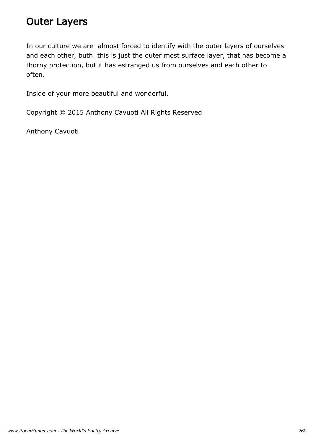#### Outer Layers

In our culture we are almost forced to identify with the outer layers of ourselves and each other, buth this is just the outer most surface layer, that has become a thorny protection, but it has estranged us from ourselves and each other to often.

Inside of your more beautiful and wonderful.

Copyright © 2015 Anthony Cavuoti All Rights Reserved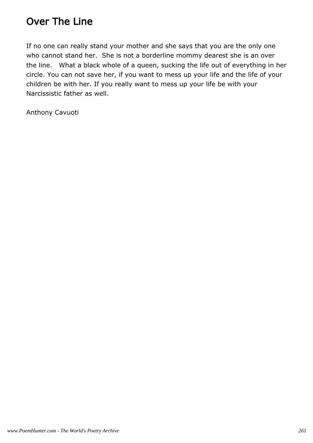### Over The Line

If no one can really stand your mother and she says that you are the only one who cannot stand her. She is not a borderline mommy dearest she is an over the line. What a black whole of a queen, sucking the life out of everything in her circle. You can not save her, if you want to mess up your life and the life of your children be with her. If you really want to mess up your life be with your Narcissistic father as well.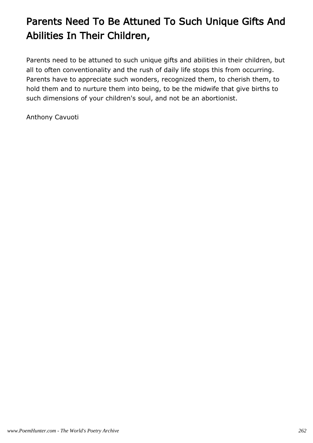# Parents Need To Be Attuned To Such Unique Gifts And Abilities In Their Children,

Parents need to be attuned to such unique gifts and abilities in their children, but all to often conventionality and the rush of daily life stops this from occurring. Parents have to appreciate such wonders, recognized them, to cherish them, to hold them and to nurture them into being, to be the midwife that give births to such dimensions of your children's soul, and not be an abortionist.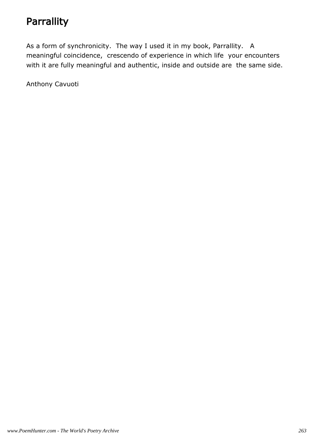# **Parrallity**

As a form of synchronicity. The way I used it in my book, Parrallity. A meaningful coincidence, crescendo of experience in which life your encounters with it are fully meaningful and authentic, inside and outside are the same side.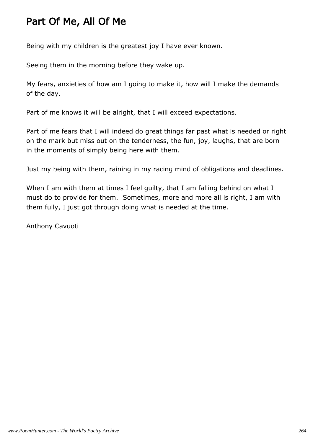## Part Of Me, All Of Me

Being with my children is the greatest joy I have ever known.

Seeing them in the morning before they wake up.

My fears, anxieties of how am I going to make it, how will I make the demands of the day.

Part of me knows it will be alright, that I will exceed expectations.

Part of me fears that I will indeed do great things far past what is needed or right on the mark but miss out on the tenderness, the fun, joy, laughs, that are born in the moments of simply being here with them.

Just my being with them, raining in my racing mind of obligations and deadlines.

When I am with them at times I feel quilty, that I am falling behind on what I must do to provide for them. Sometimes, more and more all is right, I am with them fully, I just got through doing what is needed at the time.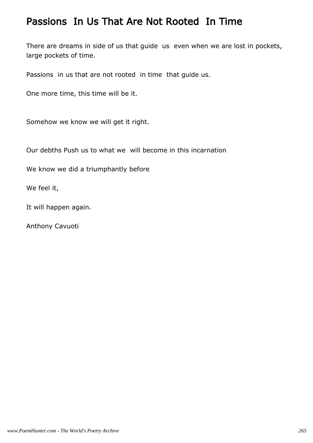#### Passions In Us That Are Not Rooted In Time

There are dreams in side of us that guide us even when we are lost in pockets, large pockets of time.

Passions in us that are not rooted in time that guide us.

One more time, this time will be it.

Somehow we know we will get it right.

Our debths Push us to what we will become in this incarnation

We know we did a triumphantly before

We feel it,

It will happen again.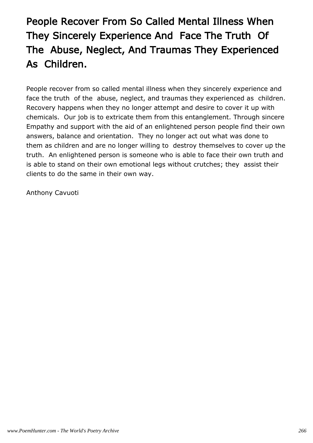# People Recover From So Called Mental Illness When They Sincerely Experience And Face The Truth Of The Abuse, Neglect, And Traumas They Experienced As Children.

People recover from so called mental illness when they sincerely experience and face the truth of the abuse, neglect, and traumas they experienced as children. Recovery happens when they no longer attempt and desire to cover it up with chemicals. Our job is to extricate them from this entanglement. Through sincere Empathy and support with the aid of an enlightened person people find their own answers, balance and orientation. They no longer act out what was done to them as children and are no longer willing to destroy themselves to cover up the truth. An enlightened person is someone who is able to face their own truth and is able to stand on their own emotional legs without crutches; they assist their clients to do the same in their own way.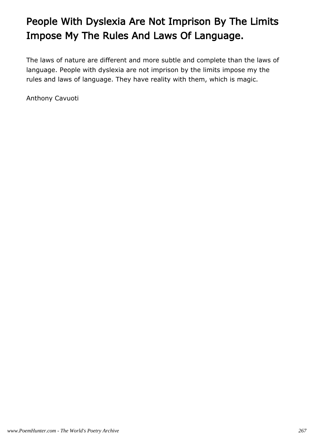# People With Dyslexia Are Not Imprison By The Limits Impose My The Rules And Laws Of Language.

The laws of nature are different and more subtle and complete than the laws of language. People with dyslexia are not imprison by the limits impose my the rules and laws of language. They have reality with them, which is magic.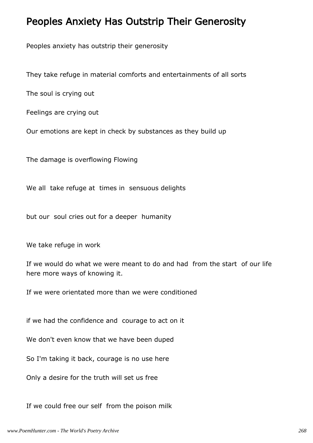#### Peoples Anxiety Has Outstrip Their Generosity

Peoples anxiety has outstrip their generosity

They take refuge in material comforts and entertainments of all sorts

The soul is crying out

Feelings are crying out

Our emotions are kept in check by substances as they build up

The damage is overflowing Flowing

We all take refuge at times in sensuous delights

but our soul cries out for a deeper humanity

We take refuge in work

If we would do what we were meant to do and had from the start of our life here more ways of knowing it.

If we were orientated more than we were conditioned

if we had the confidence and courage to act on it

We don't even know that we have been duped

So I'm taking it back, courage is no use here

Only a desire for the truth will set us free

If we could free our self from the poison milk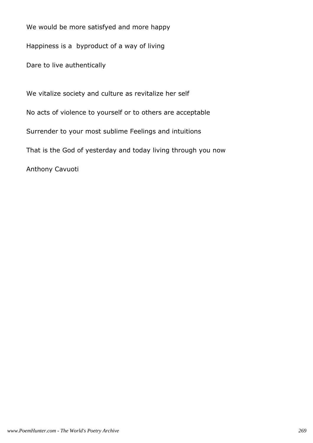We would be more satisfyed and more happy

Happiness is a byproduct of a way of living

Dare to live authentically

We vitalize society and culture as revitalize her self No acts of violence to yourself or to others are acceptable Surrender to your most sublime Feelings and intuitions That is the God of yesterday and today living through you now Anthony Cavuoti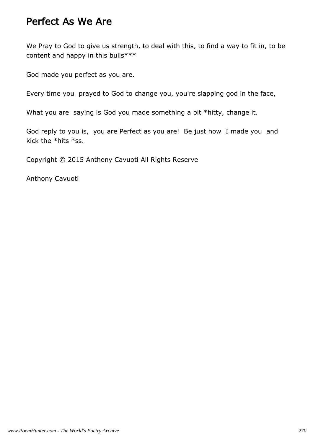#### Perfect As We Are

We Pray to God to give us strength, to deal with this, to find a way to fit in, to be content and happy in this bulls\*\*\*

God made you perfect as you are.

Every time you prayed to God to change you, you're slapping god in the face,

What you are saying is God you made something a bit \*hitty, change it.

God reply to you is, you are Perfect as you are! Be just how I made you and kick the \*hits \*ss.

Copyright © 2015 Anthony Cavuoti All Rights Reserve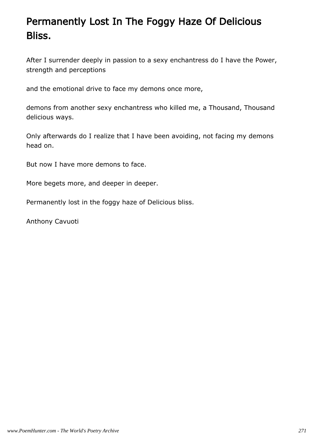# Permanently Lost In The Foggy Haze Of Delicious Bliss.

After I surrender deeply in passion to a sexy enchantress do I have the Power, strength and perceptions

and the emotional drive to face my demons once more,

demons from another sexy enchantress who killed me, a Thousand, Thousand delicious ways.

Only afterwards do I realize that I have been avoiding, not facing my demons head on.

But now I have more demons to face.

More begets more, and deeper in deeper.

Permanently lost in the foggy haze of Delicious bliss.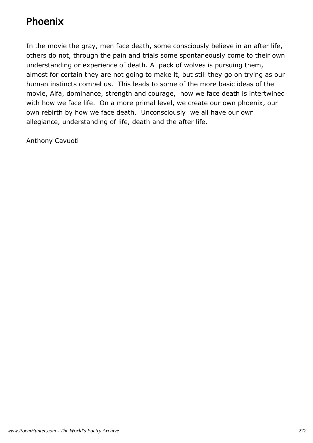## Phoenix

In the movie the gray, men face death, some consciously believe in an after life, others do not, through the pain and trials some spontaneously come to their own understanding or experience of death. A pack of wolves is pursuing them, almost for certain they are not going to make it, but still they go on trying as our human instincts compel us. This leads to some of the more basic ideas of the movie, Alfa, dominance, strength and courage, how we face death is intertwined with how we face life. On a more primal level, we create our own phoenix, our own rebirth by how we face death. Unconsciously we all have our own allegiance, understanding of life, death and the after life.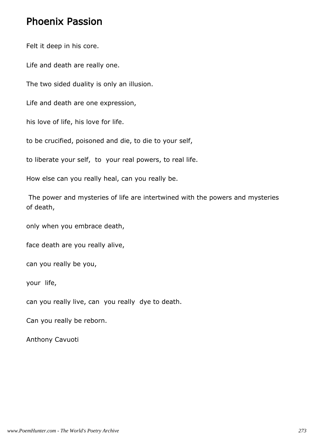#### Phoenix Passion

Felt it deep in his core.

Life and death are really one.

The two sided duality is only an illusion.

Life and death are one expression,

his love of life, his love for life.

to be crucified, poisoned and die, to die to your self,

to liberate your self, to your real powers, to real life.

How else can you really heal, can you really be.

 The power and mysteries of life are intertwined with the powers and mysteries of death,

only when you embrace death,

face death are you really alive,

can you really be you,

your life,

can you really live, can you really dye to death.

Can you really be reborn.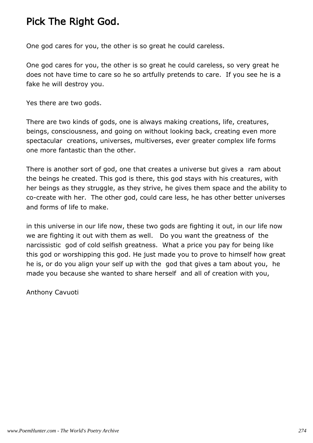## Pick The Right God.

One god cares for you, the other is so great he could careless.

One god cares for you, the other is so great he could careless, so very great he does not have time to care so he so artfully pretends to care. If you see he is a fake he will destroy you.

Yes there are two gods.

There are two kinds of gods, one is always making creations, life, creatures, beings, consciousness, and going on without looking back, creating even more spectacular creations, universes, multiverses, ever greater complex life forms one more fantastic than the other.

There is another sort of god, one that creates a universe but gives a ram about the beings he created. This god is there, this god stays with his creatures, with her beings as they struggle, as they strive, he gives them space and the ability to co-create with her. The other god, could care less, he has other better universes and forms of life to make.

in this universe in our life now, these two gods are fighting it out, in our life now we are fighting it out with them as well. Do you want the greatness of the narcissistic god of cold selfish greatness. What a price you pay for being like this god or worshipping this god. He just made you to prove to himself how great he is, or do you align your self up with the god that gives a tam about you, he made you because she wanted to share herself and all of creation with you,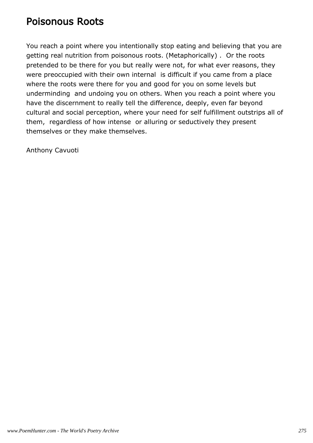#### Poisonous Roots

You reach a point where you intentionally stop eating and believing that you are getting real nutrition from poisonous roots. (Metaphorically) . Or the roots pretended to be there for you but really were not, for what ever reasons, they were preoccupied with their own internal is difficult if you came from a place where the roots were there for you and good for you on some levels but underminding and undoing you on others. When you reach a point where you have the discernment to really tell the difference, deeply, even far beyond cultural and social perception, where your need for self fulfillment outstrips all of them, regardless of how intense or alluring or seductively they present themselves or they make themselves.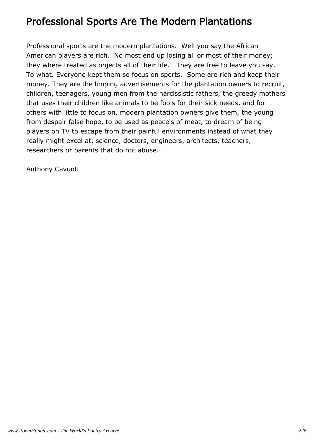#### Professional Sports Are The Modern Plantations

Professional sports are the modern plantations. Well you say the African American players are rich. No most end up losing all or most of their money; they where treated as objects all of their life. They are free to leave you say. To what. Everyone kept them so focus on sports. Some are rich and keep their money. They are the limping advertisements for the plantation owners to recruit, children, teenagers, young men from the narcissistic fathers, the greedy mothers that uses their children like animals to be fools for their sick needs, and for others with little to focus on, modern plantation owners give them, the young from despair false hope, to be used as peace's of meat, to dream of being players on TV to escape from their painful environments instead of what they really might excel at, science, doctors, engineers, architects, teachers, researchers or parents that do not abuse.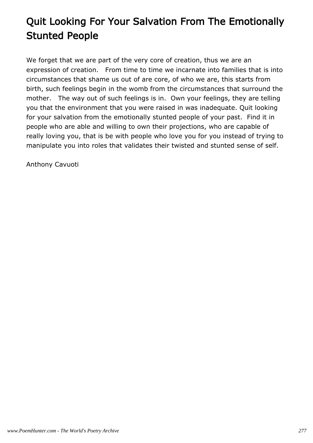# Quit Looking For Your Salvation From The Emotionally Stunted People

We forget that we are part of the very core of creation, thus we are an expression of creation. From time to time we incarnate into families that is into circumstances that shame us out of are core, of who we are, this starts from birth, such feelings begin in the womb from the circumstances that surround the mother. The way out of such feelings is in. Own your feelings, they are telling you that the environment that you were raised in was inadequate. Quit looking for your salvation from the emotionally stunted people of your past. Find it in people who are able and willing to own their projections, who are capable of really loving you, that is be with people who love you for you instead of trying to manipulate you into roles that validates their twisted and stunted sense of self.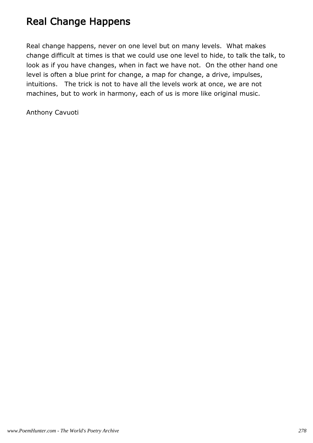# Real Change Happens

Real change happens, never on one level but on many levels. What makes change difficult at times is that we could use one level to hide, to talk the talk, to look as if you have changes, when in fact we have not. On the other hand one level is often a blue print for change, a map for change, a drive, impulses, intuitions. The trick is not to have all the levels work at once, we are not machines, but to work in harmony, each of us is more like original music.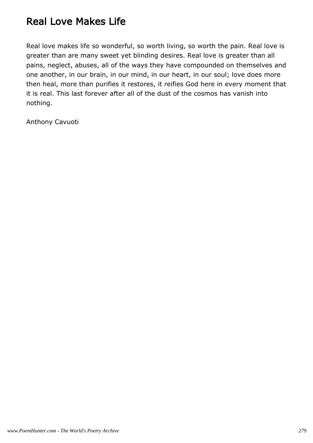### Real Love Makes Life

Real love makes life so wonderful, so worth living, so worth the pain. Real love is greater than are many sweet yet blinding desires. Real love is greater than all pains, neglect, abuses, all of the ways they have compounded on themselves and one another, in our brain, in our mind, in our heart, in our soul; love does more then heal, more than purifies it restores, it reifies God here in every moment that it is real. This last forever after all of the dust of the cosmos has vanish into nothing.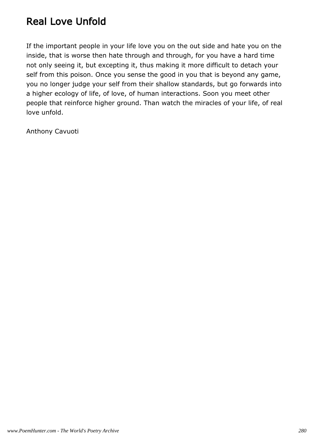## Real Love Unfold

If the important people in your life love you on the out side and hate you on the inside, that is worse then hate through and through, for you have a hard time not only seeing it, but excepting it, thus making it more difficult to detach your self from this poison. Once you sense the good in you that is beyond any game, you no longer judge your self from their shallow standards, but go forwards into a higher ecology of life, of love, of human interactions. Soon you meet other people that reinforce higher ground. Than watch the miracles of your life, of real love unfold.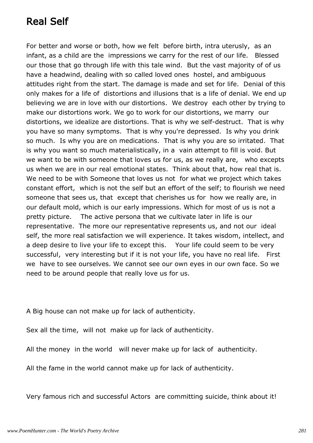## Real Self

For better and worse or both, how we felt before birth, intra uterusly, as an infant, as a child are the impressions we carry for the rest of our life. Blessed our those that go through life with this tale wind. But the vast majority of of us have a headwind, dealing with so called loved ones hostel, and ambiguous attitudes right from the start. The damage is made and set for life. Denial of this only makes for a life of distortions and illusions that is a life of denial. We end up believing we are in love with our distortions. We destroy each other by trying to make our distortions work. We go to work for our distortions, we marry our distortions, we idealize are distortions. That is why we self-destruct. That is why you have so many symptoms. That is why you're depressed. Is why you drink so much. Is why you are on medications. That is why you are so irritated. That is why you want so much materialistically, in a vain attempt to fill is void. But we want to be with someone that loves us for us, as we really are, who excepts us when we are in our real emotional states. Think about that, how real that is. We need to be with Someone that loves us not for what we project which takes constant effort, which is not the self but an effort of the self; to flourish we need someone that sees us, that except that cherishes us for how we really are, in our default mold, which is our early impressions. Which for most of us is not a pretty picture. The active persona that we cultivate later in life is our representative. The more our representative represents us, and not our ideal self, the more real satisfaction we will experience. It takes wisdom, intellect, and a deep desire to live your life to except this. Your life could seem to be very successful, very interesting but if it is not your life, you have no real life. First we have to see ourselves. We cannot see our own eyes in our own face. So we need to be around people that really love us for us.

A Big house can not make up for lack of authenticity.

Sex all the time, will not make up for lack of authenticity.

All the money in the world will never make up for lack of authenticity.

All the fame in the world cannot make up for lack of authenticity.

Very famous rich and successful Actors are committing suicide, think about it!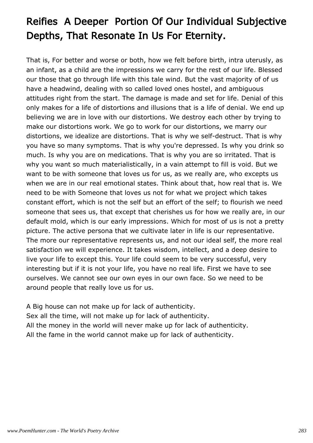# Reifies A Deeper Portion Of Our Individual Subjective Depths, That Resonate In Us For Eternity.

That is, For better and worse or both, how we felt before birth, intra uterusly, as an infant, as a child are the impressions we carry for the rest of our life. Blessed our those that go through life with this tale wind. But the vast majority of of us have a headwind, dealing with so called loved ones hostel, and ambiguous attitudes right from the start. The damage is made and set for life. Denial of this only makes for a life of distortions and illusions that is a life of denial. We end up believing we are in love with our distortions. We destroy each other by trying to make our distortions work. We go to work for our distortions, we marry our distortions, we idealize are distortions. That is why we self-destruct. That is why you have so many symptoms. That is why you're depressed. Is why you drink so much. Is why you are on medications. That is why you are so irritated. That is why you want so much materialistically, in a vain attempt to fill is void. But we want to be with someone that loves us for us, as we really are, who excepts us when we are in our real emotional states. Think about that, how real that is. We need to be with Someone that loves us not for what we project which takes constant effort, which is not the self but an effort of the self; to flourish we need someone that sees us, that except that cherishes us for how we really are, in our default mold, which is our early impressions. Which for most of us is not a pretty picture. The active persona that we cultivate later in life is our representative. The more our representative represents us, and not our ideal self, the more real satisfaction we will experience. It takes wisdom, intellect, and a deep desire to live your life to except this. Your life could seem to be very successful, very interesting but if it is not your life, you have no real life. First we have to see ourselves. We cannot see our own eyes in our own face. So we need to be around people that really love us for us.

A Big house can not make up for lack of authenticity. Sex all the time, will not make up for lack of authenticity. All the money in the world will never make up for lack of authenticity. All the fame in the world cannot make up for lack of authenticity.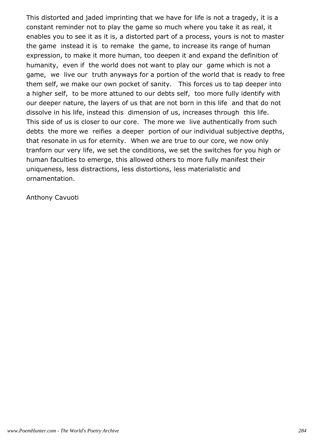This distorted and jaded imprinting that we have for life is not a tragedy, it is a constant reminder not to play the game so much where you take it as real, it enables you to see it as it is, a distorted part of a process, yours is not to master the game instead it is to remake the game, to increase its range of human expression, to make it more human, too deepen it and expand the definition of humanity, even if the world does not want to play our game which is not a game, we live our truth anyways for a portion of the world that is ready to free them self, we make our own pocket of sanity. This forces us to tap deeper into a higher self, to be more attuned to our debts self, too more fully identify with our deeper nature, the layers of us that are not born in this life and that do not dissolve in his life, instead this dimension of us, increases through this life. This side of us is closer to our core. The more we live authentically from such debts the more we reifies a deeper portion of our individual subjective depths, that resonate in us for eternity. When we are true to our core, we now only tranforn our very life, we set the conditions, we set the switches for you high or human faculties to emerge, this allowed others to more fully manifest their uniqueness, less distractions, less distortions, less materialistic and ornamentation.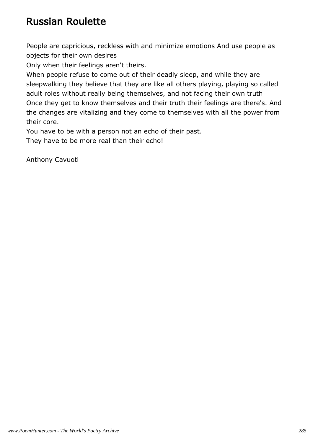### Russian Roulette

People are capricious, reckless with and minimize emotions And use people as objects for their own desires

Only when their feelings aren't theirs.

When people refuse to come out of their deadly sleep, and while they are sleepwalking they believe that they are like all others playing, playing so called adult roles without really being themselves, and not facing their own truth Once they get to know themselves and their truth their feelings are there's. And the changes are vitalizing and they come to themselves with all the power from their core.

You have to be with a person not an echo of their past.

They have to be more real than their echo!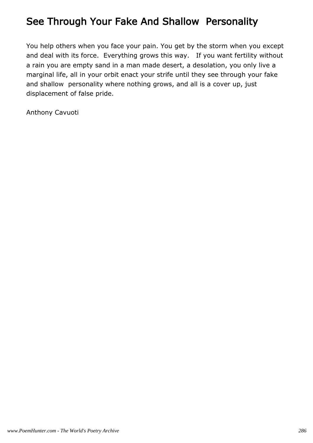### See Through Your Fake And Shallow Personality

You help others when you face your pain. You get by the storm when you except and deal with its force. Everything grows this way. If you want fertility without a rain you are empty sand in a man made desert, a desolation, you only live a marginal life, all in your orbit enact your strife until they see through your fake and shallow personality where nothing grows, and all is a cover up, just displacement of false pride.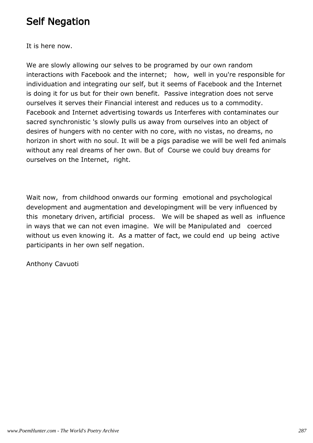### Self Negation

It is here now.

We are slowly allowing our selves to be programed by our own random interactions with Facebook and the internet; how, well in you're responsible for individuation and integrating our self, but it seems of Facebook and the Internet is doing it for us but for their own benefit. Passive integration does not serve ourselves it serves their Financial interest and reduces us to a commodity. Facebook and Internet advertising towards us Interferes with contaminates our sacred synchronistic 's slowly pulls us away from ourselves into an object of desires of hungers with no center with no core, with no vistas, no dreams, no horizon in short with no soul. It will be a pigs paradise we will be well fed animals without any real dreams of her own. But of Course we could buy dreams for ourselves on the Internet, right.

Wait now, from childhood onwards our forming emotional and psychological development and augmentation and developingment will be very influenced by this monetary driven, artificial process. We will be shaped as well as influence in ways that we can not even imagine. We will be Manipulated and coerced without us even knowing it. As a matter of fact, we could end up being active participants in her own self negation.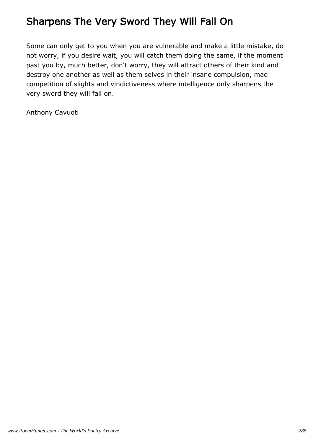## Sharpens The Very Sword They Will Fall On

Some can only get to you when you are vulnerable and make a little mistake, do not worry, if you desire wait, you will catch them doing the same, if the moment past you by, much better, don't worry, they will attract others of their kind and destroy one another as well as them selves in their insane compulsion, mad competition of slights and vindictiveness where intelligence only sharpens the very sword they will fall on.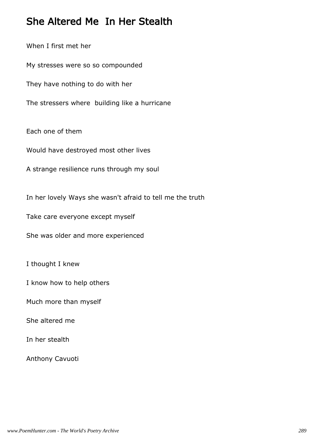### She Altered Me In Her Stealth

When I first met her My stresses were so so compounded They have nothing to do with her The stressers where building like a hurricane Each one of them Would have destroyed most other lives A strange resilience runs through my soul In her lovely Ways she wasn't afraid to tell me the truth Take care everyone except myself She was older and more experienced I thought I knew

I know how to help others

Much more than myself

She altered me

In her stealth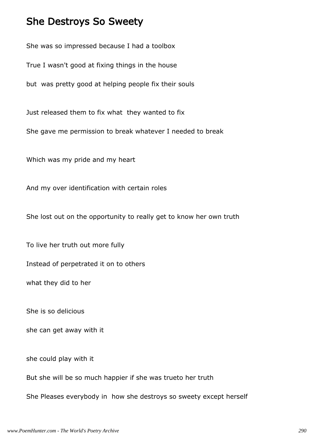#### She Destroys So Sweety

She was so impressed because I had a toolbox

True I wasn't good at fixing things in the house

but was pretty good at helping people fix their souls

Just released them to fix what they wanted to fix

She gave me permission to break whatever I needed to break

Which was my pride and my heart

And my over identification with certain roles

She lost out on the opportunity to really get to know her own truth

To live her truth out more fully

Instead of perpetrated it on to others

what they did to her

She is so delicious

she can get away with it

she could play with it

But she will be so much happier if she was trueto her truth

She Pleases everybody in how she destroys so sweety except herself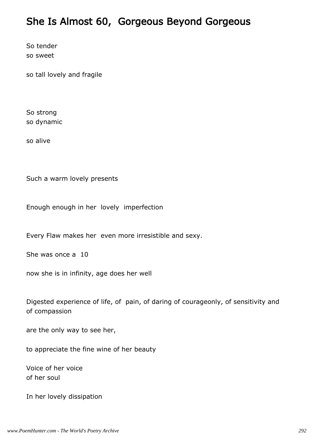#### She Is Almost 60, Gorgeous Beyond Gorgeous

So tender so sweet

so tall lovely and fragile

So strong so dynamic

so alive

Such a warm lovely presents

Enough enough in her lovely imperfection

Every Flaw makes her even more irresistible and sexy.

She was once a 10

now she is in infinity, age does her well

Digested experience of life, of pain, of daring of courageonly, of sensitivity and of compassion

are the only way to see her,

to appreciate the fine wine of her beauty

Voice of her voice of her soul

In her lovely dissipation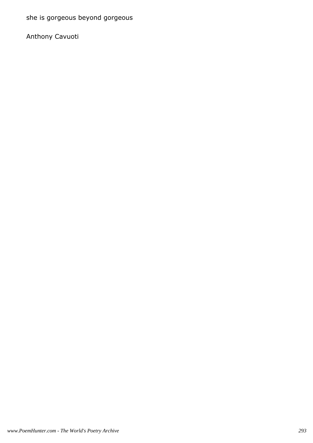she is gorgeous beyond gorgeous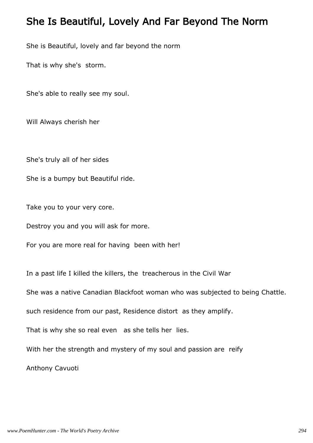#### She Is Beautiful, Lovely And Far Beyond The Norm

She is Beautiful, lovely and far beyond the norm

That is why she's storm.

She's able to really see my soul.

Will Always cherish her

She's truly all of her sides

She is a bumpy but Beautiful ride.

Take you to your very core.

Destroy you and you will ask for more.

For you are more real for having been with her!

In a past life I killed the killers, the treacherous in the Civil War

She was a native Canadian Blackfoot woman who was subjected to being Chattle.

such residence from our past, Residence distort as they amplify.

That is why she so real even as she tells her lies.

With her the strength and mystery of my soul and passion are reify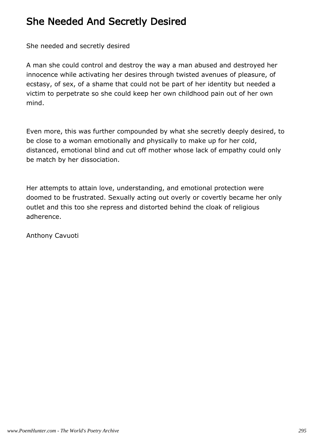### She Needed And Secretly Desired

She needed and secretly desired

A man she could control and destroy the way a man abused and destroyed her innocence while activating her desires through twisted avenues of pleasure, of ecstasy, of sex, of a shame that could not be part of her identity but needed a victim to perpetrate so she could keep her own childhood pain out of her own mind.

Even more, this was further compounded by what she secretly deeply desired, to be close to a woman emotionally and physically to make up for her cold, distanced, emotional blind and cut off mother whose lack of empathy could only be match by her dissociation.

Her attempts to attain love, understanding, and emotional protection were doomed to be frustrated. Sexually acting out overly or covertly became her only outlet and this too she repress and distorted behind the cloak of religious adherence.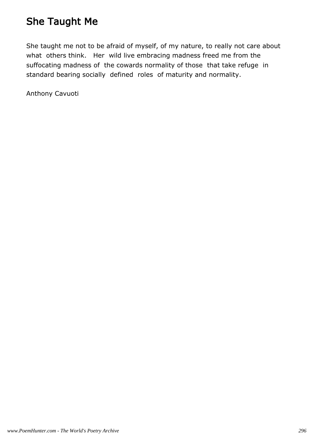### She Taught Me

She taught me not to be afraid of myself, of my nature, to really not care about what others think. Her wild live embracing madness freed me from the suffocating madness of the cowards normality of those that take refuge in standard bearing socially defined roles of maturity and normality.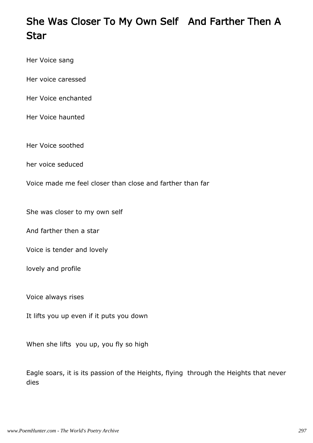# She Was Closer To My Own Self And Farther Then A Star

Her Voice sang

Her voice caressed

Her Voice enchanted

Her Voice haunted

Her Voice soothed

her voice seduced

Voice made me feel closer than close and farther than far

She was closer to my own self

And farther then a star

Voice is tender and lovely

lovely and profile

Voice always rises

It lifts you up even if it puts you down

When she lifts you up, you fly so high

Eagle soars, it is its passion of the Heights, flying through the Heights that never dies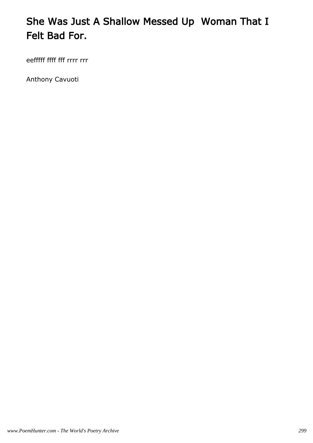# She Was Just A Shallow Messed Up Woman That I Felt Bad For.

eefffff ffff fff rrrr rrr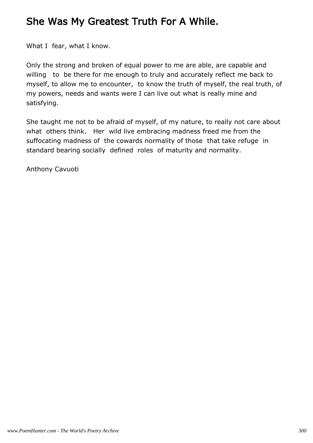### She Was My Greatest Truth For A While.

What I fear, what I know.

Only the strong and broken of equal power to me are able, are capable and willing to be there for me enough to truly and accurately reflect me back to myself, to allow me to encounter, to know the truth of myself, the real truth, of my powers, needs and wants were I can live out what is really mine and satisfying.

She taught me not to be afraid of myself, of my nature, to really not care about what others think. Her wild live embracing madness freed me from the suffocating madness of the cowards normality of those that take refuge in standard bearing socially defined roles of maturity and normality.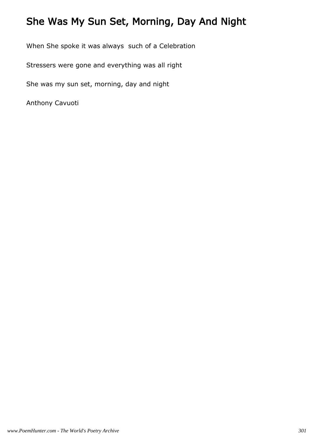## She Was My Sun Set, Morning, Day And Night

When She spoke it was always such of a Celebration

Stressers were gone and everything was all right

She was my sun set, morning, day and night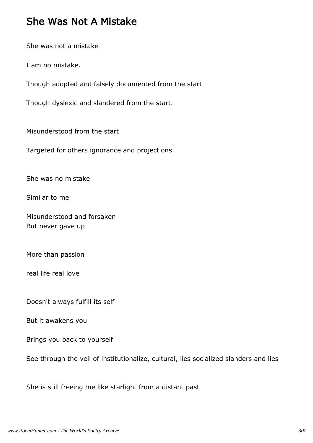#### She Was Not A Mistake

She was not a mistake

I am no mistake.

Though adopted and falsely documented from the start

Though dyslexic and slandered from the start.

Misunderstood from the start

Targeted for others ignorance and projections

She was no mistake

Similar to me

Misunderstood and forsaken But never gave up

More than passion

real life real love

Doesn't always fulfill its self

But it awakens you

Brings you back to yourself

See through the veil of institutionalize, cultural, lies socialized slanders and lies

She is still freeing me like starlight from a distant past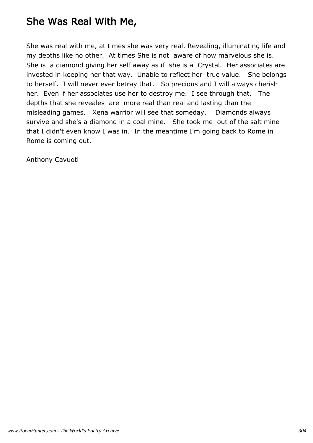### She Was Real With Me,

She was real with me, at times she was very real. Revealing, illuminating life and my debths like no other. At times She is not aware of how marvelous she is. She is a diamond giving her self away as if she is a Crystal. Her associates are invested in keeping her that way. Unable to reflect her true value. She belongs to herself. I will never ever betray that. So precious and I will always cherish her. Even if her associates use her to destroy me. I see through that. The depths that she reveales are more real than real and lasting than the misleading games. Xena warrior will see that someday. Diamonds always survive and she's a diamond in a coal mine. She took me out of the salt mine that I didn't even know I was in. In the meantime I'm going back to Rome in Rome is coming out.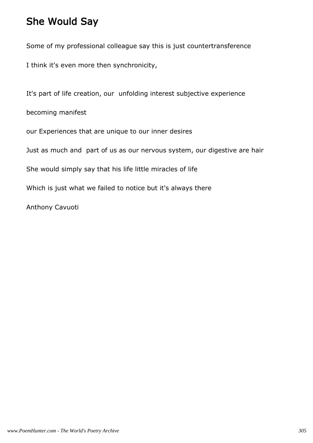### She Would Say

Some of my professional colleague say this is just countertransference

I think it's even more then synchronicity,

It's part of life creation, our unfolding interest subjective experience

becoming manifest

our Experiences that are unique to our inner desires

Just as much and part of us as our nervous system, our digestive are hair

She would simply say that his life little miracles of life

Which is just what we failed to notice but it's always there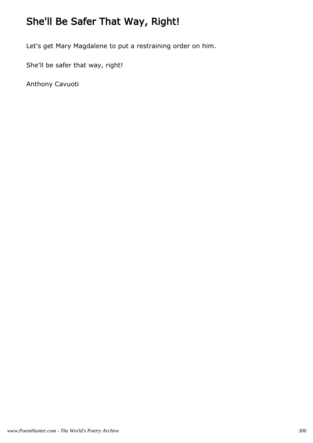# She'll Be Safer That Way, Right!

Let's get Mary Magdalene to put a restraining order on him.

She'll be safer that way, right!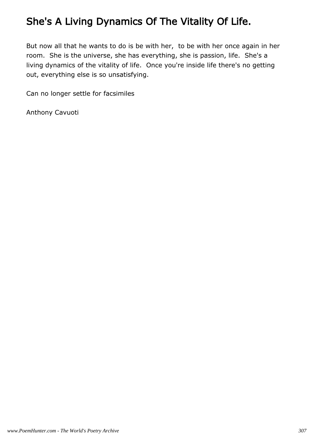# She's A Living Dynamics Of The Vitality Of Life.

But now all that he wants to do is be with her, to be with her once again in her room. She is the universe, she has everything, she is passion, life. She's a living dynamics of the vitality of life. Once you're inside life there's no getting out, everything else is so unsatisfying.

Can no longer settle for facsimiles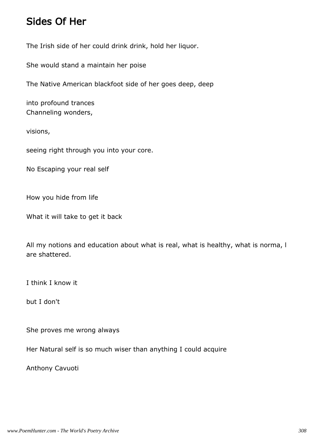#### Sides Of Her

The Irish side of her could drink drink, hold her liquor.

She would stand a maintain her poise

The Native American blackfoot side of her goes deep, deep

into profound trances Channeling wonders,

visions,

seeing right through you into your core.

No Escaping your real self

How you hide from life

What it will take to get it back

All my notions and education about what is real, what is healthy, what is norma, l are shattered.

I think I know it

but I don't

She proves me wrong always

Her Natural self is so much wiser than anything I could acquire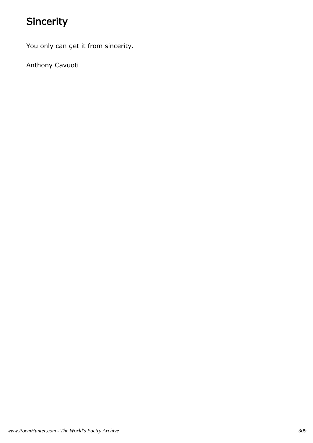# Sincerity

You only can get it from sincerity.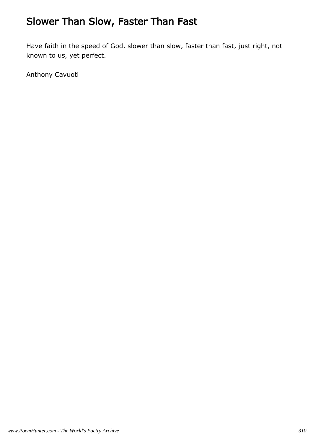# Slower Than Slow, Faster Than Fast

Have faith in the speed of God, slower than slow, faster than fast, just right, not known to us, yet perfect.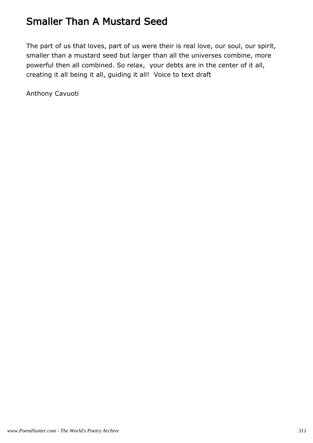### Smaller Than A Mustard Seed

The part of us that loves, part of us were their is real love, our soul, our spirit, smaller than a mustard seed but larger than all the universes combine, more powerful then all combined. So relax, your debts are in the center of it all, creating it all being it all, guiding it all! Voice to text draft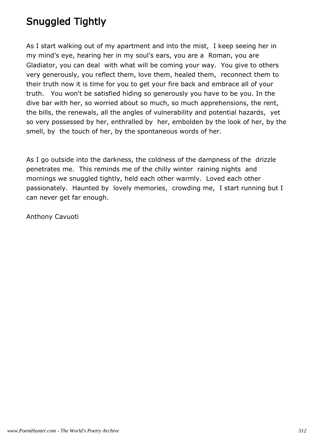# Snuggled Tightly

As I start walking out of my apartment and into the mist, I keep seeing her in my mind's eye, hearing her in my soul's ears, you are a Roman, you are Gladiator, you can deal with what will be coming your way. You give to others very generously, you reflect them, love them, healed them, reconnect them to their truth now it is time for you to get your fire back and embrace all of your truth. You won't be satisfied hiding so generously you have to be you. In the dive bar with her, so worried about so much, so much apprehensions, the rent, the bills, the renewals, all the angles of vulnerability and potential hazards, yet so very possessed by her, enthralled by her, embolden by the look of her, by the smell, by the touch of her, by the spontaneous words of her.

As I go outside into the darkness, the coldness of the dampness of the drizzle penetrates me. This reminds me of the chilly winter raining nights and mornings we snuggled tightly, held each other warmly. Loved each other passionately. Haunted by lovely memories, crowding me, I start running but I can never get far enough.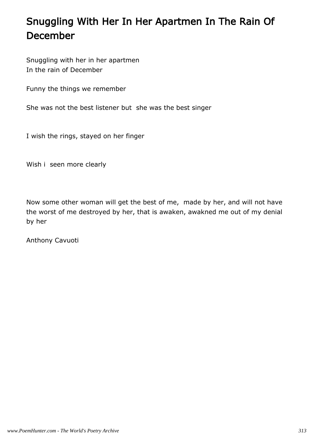# Snuggling With Her In Her Apartmen In The Rain Of December

Snuggling with her in her apartmen In the rain of December

Funny the things we remember

She was not the best listener but she was the best singer

I wish the rings, stayed on her finger

Wish i seen more clearly

Now some other woman will get the best of me, made by her, and will not have the worst of me destroyed by her, that is awaken, awakned me out of my denial by her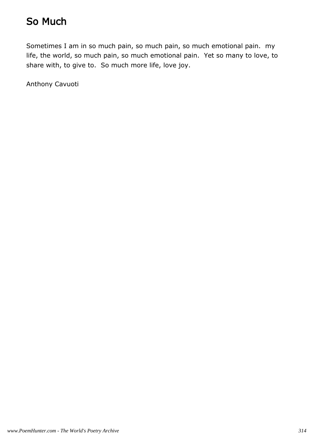## So Much

Sometimes I am in so much pain, so much pain, so much emotional pain. my life, the world, so much pain, so much emotional pain. Yet so many to love, to share with, to give to. So much more life, love joy.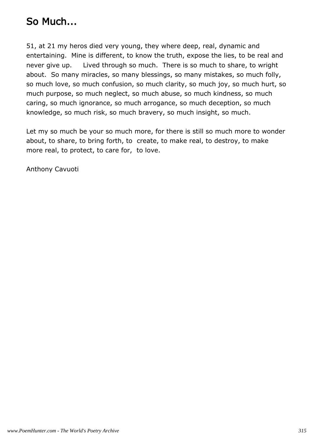### So Much...

51, at 21 my heros died very young, they where deep, real, dynamic and entertaining. Mine is different, to know the truth, expose the lies, to be real and never give up. Lived through so much. There is so much to share, to wright about. So many miracles, so many blessings, so many mistakes, so much folly, so much love, so much confusion, so much clarity, so much joy, so much hurt, so much purpose, so much neglect, so much abuse, so much kindness, so much caring, so much ignorance, so much arrogance, so much deception, so much knowledge, so much risk, so much bravery, so much insight, so much.

Let my so much be your so much more, for there is still so much more to wonder about, to share, to bring forth, to create, to make real, to destroy, to make more real, to protect, to care for, to love.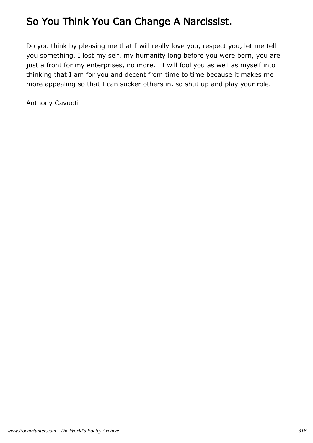# So You Think You Can Change A Narcissist.

Do you think by pleasing me that I will really love you, respect you, let me tell you something, I lost my self, my humanity long before you were born, you are just a front for my enterprises, no more. I will fool you as well as myself into thinking that I am for you and decent from time to time because it makes me more appealing so that I can sucker others in, so shut up and play your role.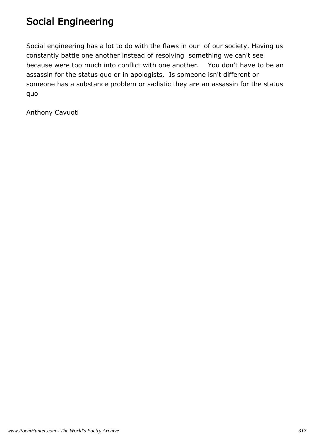### Social Engineering

Social engineering has a lot to do with the flaws in our of our society. Having us constantly battle one another instead of resolving something we can't see because were too much into conflict with one another. You don't have to be an assassin for the status quo or in apologists. Is someone isn't different or someone has a substance problem or sadistic they are an assassin for the status quo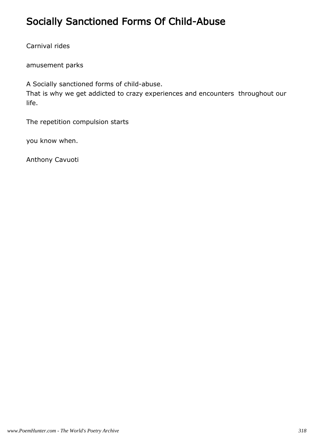### Socially Sanctioned Forms Of Child-Abuse

Carnival rides

amusement parks

A Socially sanctioned forms of child-abuse. That is why we get addicted to crazy experiences and encounters throughout our life.

The repetition compulsion starts

you know when.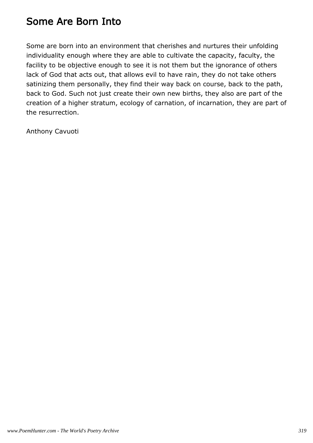### Some Are Born Into

Some are born into an environment that cherishes and nurtures their unfolding individuality enough where they are able to cultivate the capacity, faculty, the facility to be objective enough to see it is not them but the ignorance of others lack of God that acts out, that allows evil to have rain, they do not take others satinizing them personally, they find their way back on course, back to the path, back to God. Such not just create their own new births, they also are part of the creation of a higher stratum, ecology of carnation, of incarnation, they are part of the resurrection.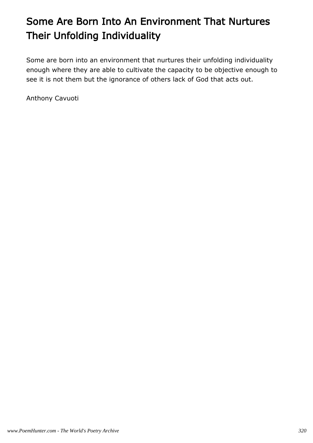# Some Are Born Into An Environment That Nurtures Their Unfolding Individuality

Some are born into an environment that nurtures their unfolding individuality enough where they are able to cultivate the capacity to be objective enough to see it is not them but the ignorance of others lack of God that acts out.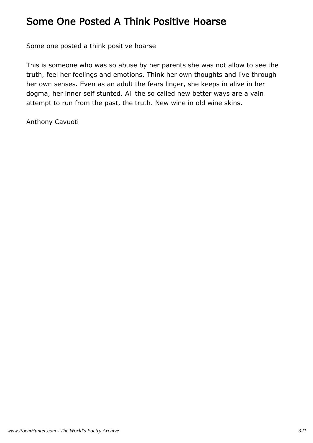### Some One Posted A Think Positive Hoarse

Some one posted a think positive hoarse

This is someone who was so abuse by her parents she was not allow to see the truth, feel her feelings and emotions. Think her own thoughts and live through her own senses. Even as an adult the fears linger, she keeps in alive in her dogma, her inner self stunted. All the so called new better ways are a vain attempt to run from the past, the truth. New wine in old wine skins.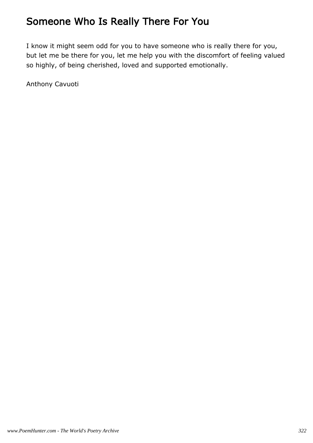### Someone Who Is Really There For You

I know it might seem odd for you to have someone who is really there for you, but let me be there for you, let me help you with the discomfort of feeling valued so highly, of being cherished, loved and supported emotionally.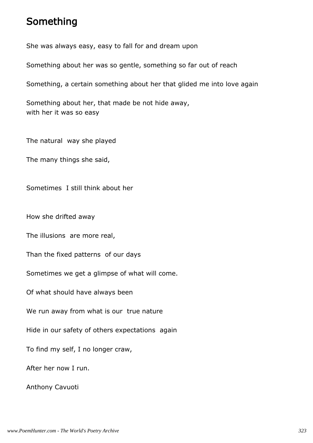#### Something

She was always easy, easy to fall for and dream upon

Something about her was so gentle, something so far out of reach

Something, a certain something about her that glided me into love again

Something about her, that made be not hide away, with her it was so easy

The natural way she played

The many things she said,

Sometimes I still think about her

How she drifted away

The illusions are more real,

Than the fixed patterns of our days

Sometimes we get a glimpse of what will come.

Of what should have always been

We run away from what is our true nature

Hide in our safety of others expectations again

To find my self, I no longer craw,

After her now I run.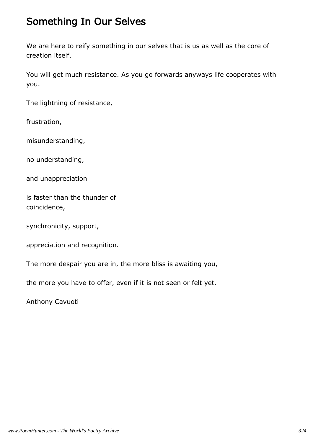### Something In Our Selves

We are here to reify something in our selves that is us as well as the core of creation itself.

You will get much resistance. As you go forwards anyways life cooperates with you.

The lightning of resistance,

frustration,

misunderstanding,

no understanding,

and unappreciation

is faster than the thunder of coincidence,

synchronicity, support,

appreciation and recognition.

The more despair you are in, the more bliss is awaiting you,

the more you have to offer, even if it is not seen or felt yet.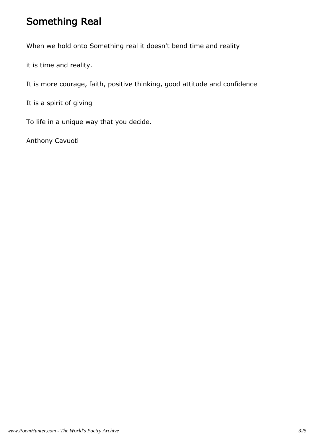## Something Real

When we hold onto Something real it doesn't bend time and reality

it is time and reality.

It is more courage, faith, positive thinking, good attitude and confidence

It is a spirit of giving

To life in a unique way that you decide.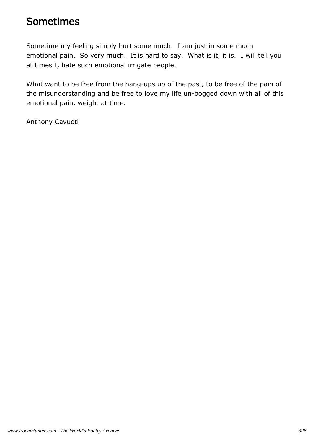#### Sometimes

Sometime my feeling simply hurt some much. I am just in some much emotional pain. So very much. It is hard to say. What is it, it is. I will tell you at times I, hate such emotional irrigate people.

What want to be free from the hang-ups up of the past, to be free of the pain of the misunderstanding and be free to love my life un-bogged down with all of this emotional pain, weight at time.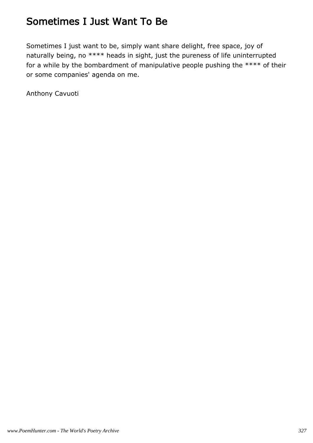## Sometimes I Just Want To Be

Sometimes I just want to be, simply want share delight, free space, joy of naturally being, no \*\*\*\* heads in sight, just the pureness of life uninterrupted for a while by the bombardment of manipulative people pushing the \*\*\*\* of their or some companies' agenda on me.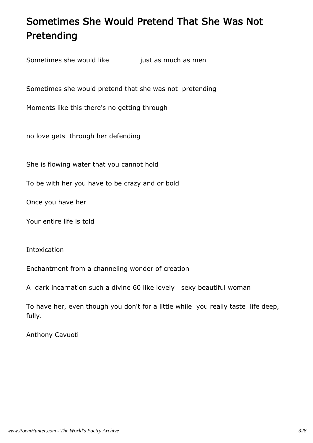# Sometimes She Would Pretend That She Was Not Pretending

Sometimes she would like just as much as men

Sometimes she would pretend that she was not pretending

Moments like this there's no getting through

no love gets through her defending

She is flowing water that you cannot hold

To be with her you have to be crazy and or bold

Once you have her

Your entire life is told

**Intoxication** 

Enchantment from a channeling wonder of creation

A dark incarnation such a divine 60 like lovely sexy beautiful woman

To have her, even though you don't for a little while you really taste life deep, fully.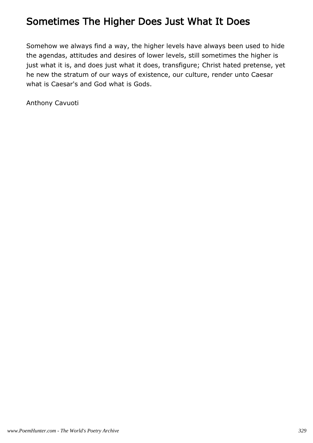### Sometimes The Higher Does Just What It Does

Somehow we always find a way, the higher levels have always been used to hide the agendas, attitudes and desires of lower levels, still sometimes the higher is just what it is, and does just what it does, transfigure; Christ hated pretense, yet he new the stratum of our ways of existence, our culture, render unto Caesar what is Caesar's and God what is Gods.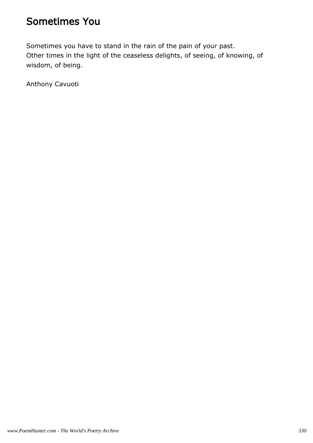#### Sometimes You

Sometimes you have to stand in the rain of the pain of your past. Other times in the light of the ceaseless delights, of seeing, of knowing, of wisdom, of being.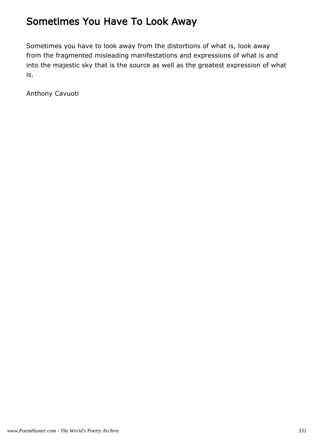### Sometimes You Have To Look Away

Sometimes you have to look away from the distortions of what is, look away from the fragmented misleading manifestations and expressions of what is and into the majestic sky that is the source as well as the greatest expression of what is.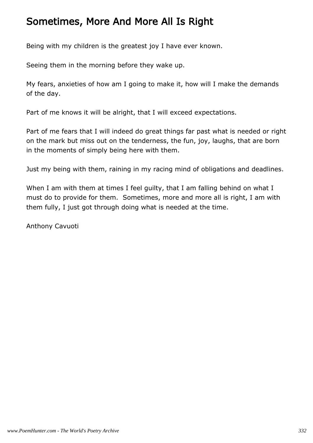### Sometimes, More And More All Is Right

Being with my children is the greatest joy I have ever known.

Seeing them in the morning before they wake up.

My fears, anxieties of how am I going to make it, how will I make the demands of the day.

Part of me knows it will be alright, that I will exceed expectations.

Part of me fears that I will indeed do great things far past what is needed or right on the mark but miss out on the tenderness, the fun, joy, laughs, that are born in the moments of simply being here with them.

Just my being with them, raining in my racing mind of obligations and deadlines.

When I am with them at times I feel quilty, that I am falling behind on what I must do to provide for them. Sometimes, more and more all is right, I am with them fully, I just got through doing what is needed at the time.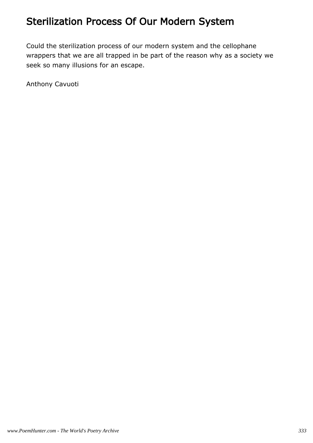## Sterilization Process Of Our Modern System

Could the sterilization process of our modern system and the cellophane wrappers that we are all trapped in be part of the reason why as a society we seek so many illusions for an escape.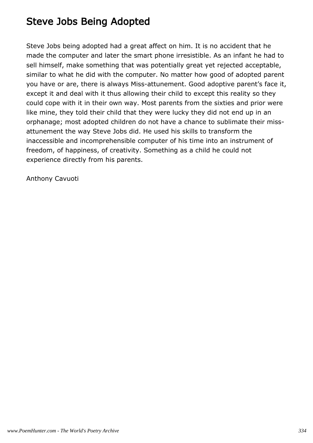### Steve Jobs Being Adopted

Steve Jobs being adopted had a great affect on him. It is no accident that he made the computer and later the smart phone irresistible. As an infant he had to sell himself, make something that was potentially great yet rejected acceptable, similar to what he did with the computer. No matter how good of adopted parent you have or are, there is always Miss-attunement. Good adoptive parent's face it, except it and deal with it thus allowing their child to except this reality so they could cope with it in their own way. Most parents from the sixties and prior were like mine, they told their child that they were lucky they did not end up in an orphanage; most adopted children do not have a chance to sublimate their missattunement the way Steve Jobs did. He used his skills to transform the inaccessible and incomprehensible computer of his time into an instrument of freedom, of happiness, of creativity. Something as a child he could not experience directly from his parents.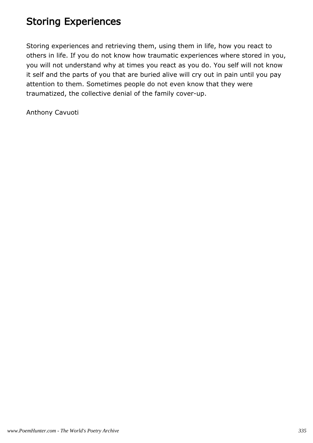## Storing Experiences

Storing experiences and retrieving them, using them in life, how you react to others in life. If you do not know how traumatic experiences where stored in you, you will not understand why at times you react as you do. You self will not know it self and the parts of you that are buried alive will cry out in pain until you pay attention to them. Sometimes people do not even know that they were traumatized, the collective denial of the family cover-up.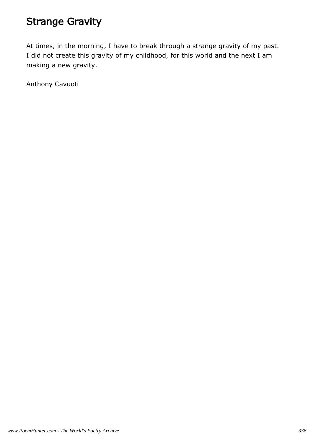## Strange Gravity

At times, in the morning, I have to break through a strange gravity of my past. I did not create this gravity of my childhood, for this world and the next I am making a new gravity.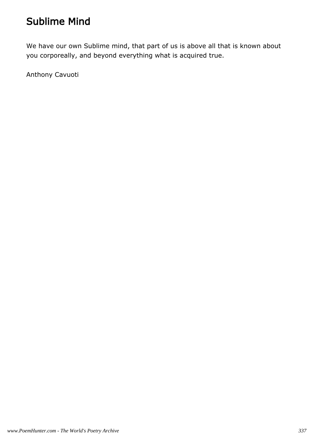### Sublime Mind

We have our own Sublime mind, that part of us is above all that is known about you corporeally, and beyond everything what is acquired true.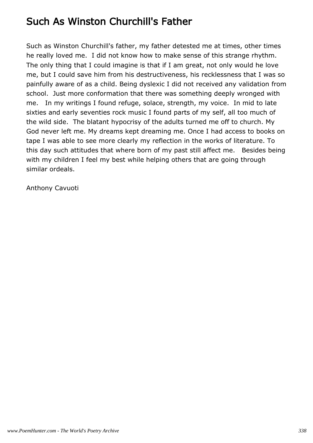### Such As Winston Churchill's Father

Such as Winston Churchill's father, my father detested me at times, other times he really loved me. I did not know how to make sense of this strange rhythm. The only thing that I could imagine is that if I am great, not only would he love me, but I could save him from his destructiveness, his recklessness that I was so painfully aware of as a child. Being dyslexic I did not received any validation from school. Just more conformation that there was something deeply wronged with me. In my writings I found refuge, solace, strength, my voice. In mid to late sixties and early seventies rock music I found parts of my self, all too much of the wild side. The blatant hypocrisy of the adults turned me off to church. My God never left me. My dreams kept dreaming me. Once I had access to books on tape I was able to see more clearly my reflection in the works of literature. To this day such attitudes that where born of my past still affect me. Besides being with my children I feel my best while helping others that are going through similar ordeals.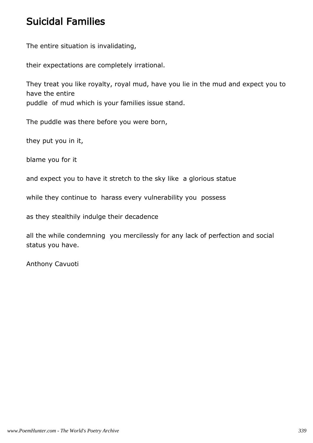#### Suicidal Families

The entire situation is invalidating,

their expectations are completely irrational.

They treat you like royalty, royal mud, have you lie in the mud and expect you to have the entire puddle of mud which is your families issue stand.

The puddle was there before you were born,

they put you in it,

blame you for it

and expect you to have it stretch to the sky like a glorious statue

while they continue to harass every vulnerability you possess

as they stealthily indulge their decadence

all the while condemning you mercilessly for any lack of perfection and social status you have.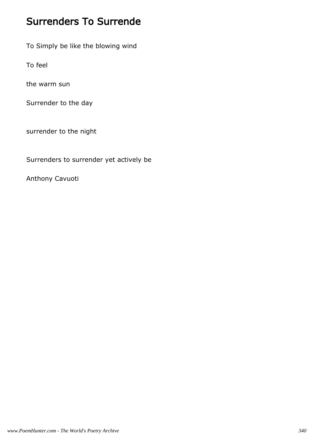### Surrenders To Surrende

To Simply be like the blowing wind

To feel

the warm sun

Surrender to the day

surrender to the night

Surrenders to surrender yet actively be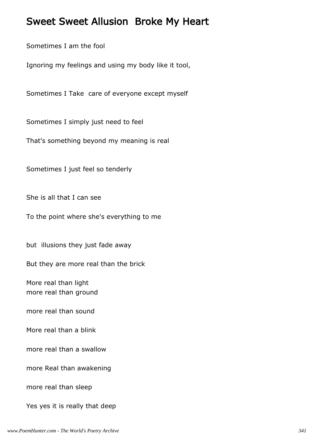#### Sweet Sweet Allusion Broke My Heart

Sometimes I am the fool

Ignoring my feelings and using my body like it tool,

Sometimes I Take care of everyone except myself

Sometimes I simply just need to feel

That's something beyond my meaning is real

Sometimes I just feel so tenderly

She is all that I can see

To the point where she's everything to me

but illusions they just fade away

But they are more real than the brick

More real than light more real than ground

more real than sound

More real than a blink

more real than a swallow

more Real than awakening

more real than sleep

Yes yes it is really that deep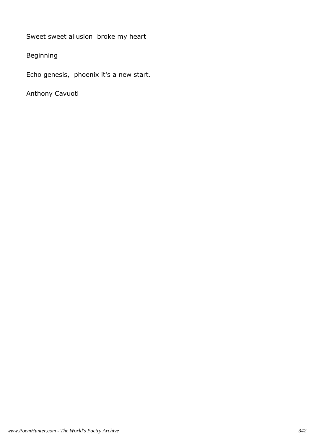Sweet sweet allusion broke my heart

Beginning

Echo genesis, phoenix it's a new start.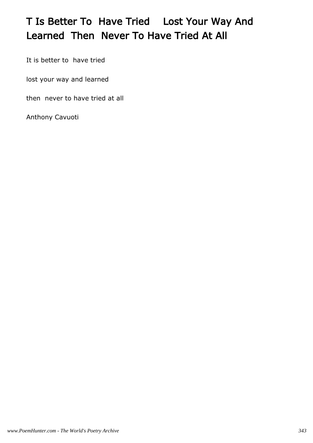# T Is Better To Have Tried Lost Your Way And Learned Then Never To Have Tried At All

It is better to have tried

lost your way and learned

then never to have tried at all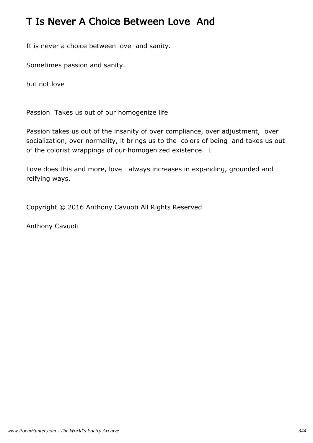### T Is Never A Choice Between Love And

It is never a choice between love and sanity.

Sometimes passion and sanity.

but not love

Passion Takes us out of our homogenize life

Passion takes us out of the insanity of over compliance, over adjustment, over socialization, over normality, it brings us to the colors of being and takes us out of the colorist wrappings of our homogenized existence. I

Love does this and more, love always increases in expanding, grounded and reifying ways.

Copyright © 2016 Anthony Cavuoti All Rights Reserved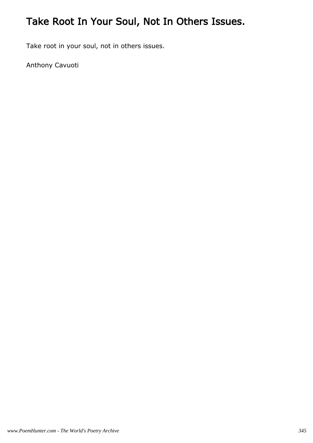# Take Root In Your Soul, Not In Others Issues.

Take root in your soul, not in others issues.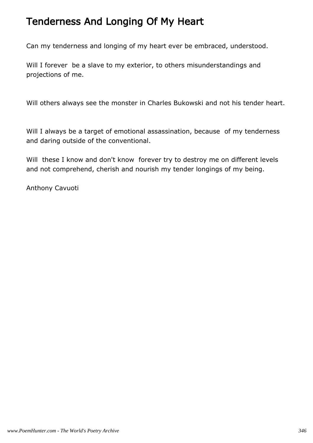### Tenderness And Longing Of My Heart

Can my tenderness and longing of my heart ever be embraced, understood.

Will I forever be a slave to my exterior, to others misunderstandings and projections of me.

Will others always see the monster in Charles Bukowski and not his tender heart.

Will I always be a target of emotional assassination, because of my tenderness and daring outside of the conventional.

Will these I know and don't know forever try to destroy me on different levels and not comprehend, cherish and nourish my tender longings of my being.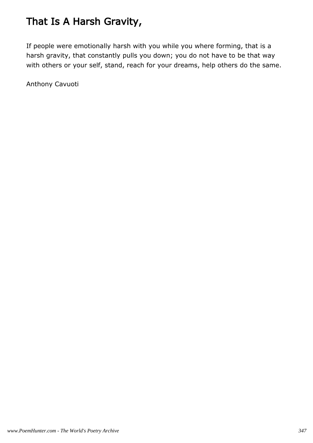# That Is A Harsh Gravity,

If people were emotionally harsh with you while you where forming, that is a harsh gravity, that constantly pulls you down; you do not have to be that way with others or your self, stand, reach for your dreams, help others do the same.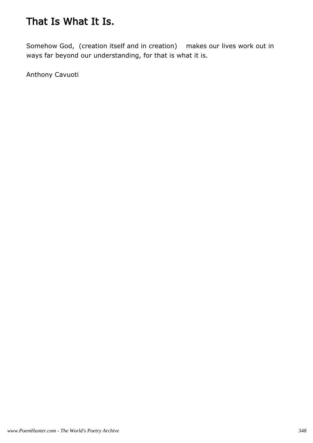## That Is What It Is.

Somehow God, (creation itself and in creation) makes our lives work out in ways far beyond our understanding, for that is what it is.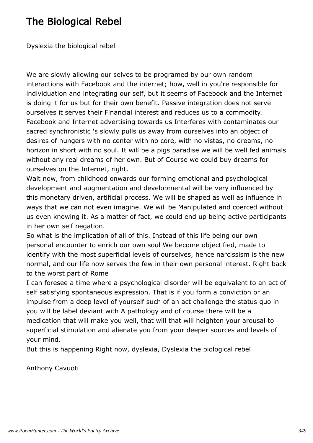### The Biological Rebel

Dyslexia the biological rebel

We are slowly allowing our selves to be programed by our own random interactions with Facebook and the internet; how, well in you're responsible for individuation and integrating our self, but it seems of Facebook and the Internet is doing it for us but for their own benefit. Passive integration does not serve ourselves it serves their Financial interest and reduces us to a commodity. Facebook and Internet advertising towards us Interferes with contaminates our sacred synchronistic 's slowly pulls us away from ourselves into an object of desires of hungers with no center with no core, with no vistas, no dreams, no horizon in short with no soul. It will be a pigs paradise we will be well fed animals without any real dreams of her own. But of Course we could buy dreams for ourselves on the Internet, right.

Wait now, from childhood onwards our forming emotional and psychological development and augmentation and developmental will be very influenced by this monetary driven, artificial process. We will be shaped as well as influence in ways that we can not even imagine. We will be Manipulated and coerced without us even knowing it. As a matter of fact, we could end up being active participants in her own self negation.

So what is the implication of all of this. Instead of this life being our own personal encounter to enrich our own soul We become objectified, made to identify with the most superficial levels of ourselves, hence narcissism is the new normal, and our life now serves the few in their own personal interest. Right back to the worst part of Rome

I can foresee a time where a psychological disorder will be equivalent to an act of self satisfying spontaneous expression. That is if you form a conviction or an impulse from a deep level of yourself such of an act challenge the status quo in you will be label deviant with A pathology and of course there will be a medication that will make you well, that will that will heighten your arousal to superficial stimulation and alienate you from your deeper sources and levels of your mind.

But this is happening Right now, dyslexia, Dyslexia the biological rebel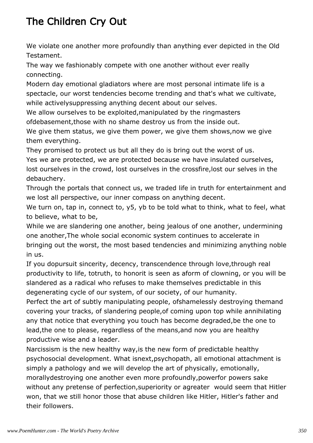# The Children Cry Out

We violate one another more profoundly than anything ever depicted in the Old Testament.

The way we fashionably compete with one another without ever really connecting.

Modern day emotional gladiators where are most personal intimate life is a spectacle, our worst tendencies become trending and that's what we cultivate, while activelysuppressing anything decent about our selves.

We allow ourselves to be exploited,manipulated by the ringmasters ofdebasement,those with no shame destroy us from the inside out.

We give them status, we give them power, we give them shows,now we give them everything.

They promised to protect us but all they do is bring out the worst of us. Yes we are protected, we are protected because we have insulated ourselves, lost ourselves in the crowd, lost ourselves in the crossfire,lost our selves in the debauchery.

Through the portals that connect us, we traded life in truth for entertainment and we lost all perspective, our inner compass on anything decent.

We turn on, tap in, connect to, y5, yb to be told what to think, what to feel, what to believe, what to be,

While we are slandering one another, being jealous of one another, undermining one another,The whole social economic system continues to accelerate in bringing out the worst, the most based tendencies and minimizing anything noble in us.

If you dopursuit sincerity, decency, transcendence through love,through real productivity to life, totruth, to honorit is seen as aform of clowning, or you will be slandered as a radical who refuses to make themselves predictable in this degenerating cycle of our system, of our society, of our humanity.

Perfect the art of subtly manipulating people, ofshamelessly destroying themand covering your tracks, of slandering people,of coming upon top while annihilating any that notice that everything you touch has become degraded,be the one to lead,the one to please, regardless of the means,and now you are healthy productive wise and a leader.

Narcissism is the new healthy way,is the new form of predictable healthy psychosocial development. What isnext,psychopath, all emotional attachment is simply a pathology and we will develop the art of physically, emotionally, morallydestroying one another even more profoundly,powerfor powers sake without any pretense of perfection, superiority or agreater would seem that Hitler won, that we still honor those that abuse children like Hitler, Hitler's father and their followers.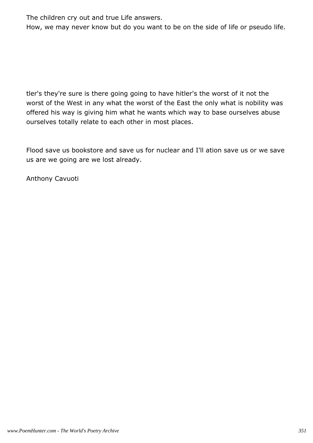The children cry out and true Life answers.

How, we may never know but do you want to be on the side of life or pseudo life.

tler's they're sure is there going going to have hitler's the worst of it not the worst of the West in any what the worst of the East the only what is nobility was offered his way is giving him what he wants which way to base ourselves abuse ourselves totally relate to each other in most places.

Flood save us bookstore and save us for nuclear and I'll ation save us or we save us are we going are we lost already.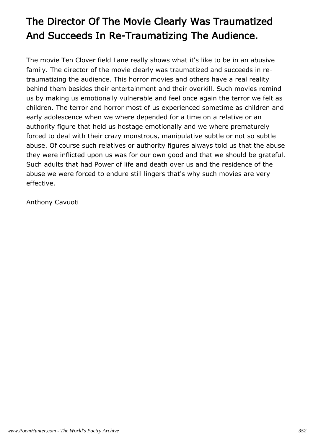# The Director Of The Movie Clearly Was Traumatized And Succeeds In Re-Traumatizing The Audience.

The movie Ten Clover field Lane really shows what it's like to be in an abusive family. The director of the movie clearly was traumatized and succeeds in retraumatizing the audience. This horror movies and others have a real reality behind them besides their entertainment and their overkill. Such movies remind us by making us emotionally vulnerable and feel once again the terror we felt as children. The terror and horror most of us experienced sometime as children and early adolescence when we where depended for a time on a relative or an authority figure that held us hostage emotionally and we where prematurely forced to deal with their crazy monstrous, manipulative subtle or not so subtle abuse. Of course such relatives or authority figures always told us that the abuse they were inflicted upon us was for our own good and that we should be grateful. Such adults that had Power of life and death over us and the residence of the abuse we were forced to endure still lingers that's why such movies are very effective.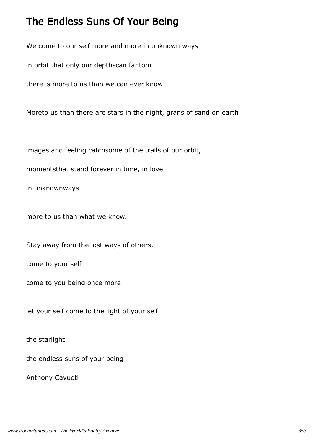#### The Endless Suns Of Your Being

We come to our self more and more in unknown ways

in orbit that only our depthscan fantom

there is more to us than we can ever know

Moreto us than there are stars in the night, grans of sand on earth

images and feeling catchsome of the trails of our orbit,

momentsthat stand forever in time, in love

in unknownways

more to us than what we know.

Stay away from the lost ways of others.

come to your self

come to you being once more

let your self come to the light of your self

the starlight

the endless suns of your being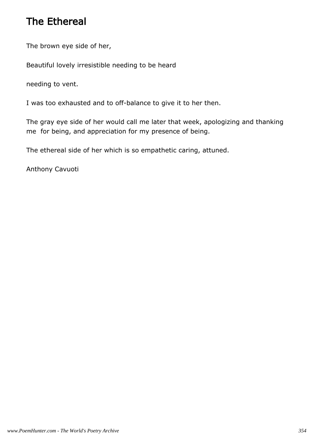### The Ethereal

The brown eye side of her,

Beautiful lovely irresistible needing to be heard

needing to vent.

I was too exhausted and to off-balance to give it to her then.

The gray eye side of her would call me later that week, apologizing and thanking me for being, and appreciation for my presence of being.

The ethereal side of her which is so empathetic caring, attuned.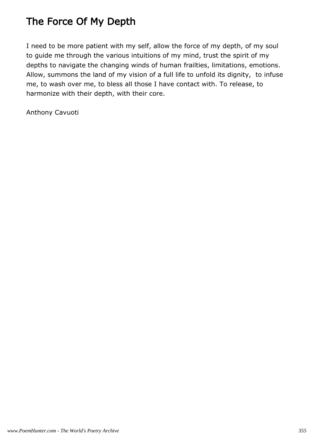# The Force Of My Depth

I need to be more patient with my self, allow the force of my depth, of my soul to guide me through the various intuitions of my mind, trust the spirit of my depths to navigate the changing winds of human frailties, limitations, emotions. Allow, summons the land of my vision of a full life to unfold its dignity, to infuse me, to wash over me, to bless all those I have contact with. To release, to harmonize with their depth, with their core.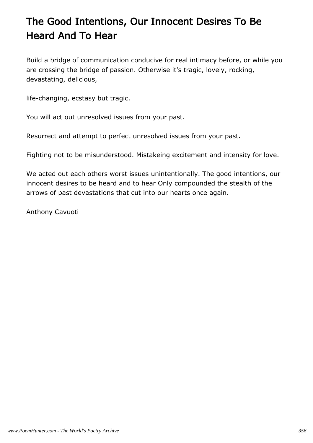# The Good Intentions, Our Innocent Desires To Be Heard And To Hear

Build a bridge of communication conducive for real intimacy before, or while you are crossing the bridge of passion. Otherwise it's tragic, lovely, rocking, devastating, delicious,

life-changing, ecstasy but tragic.

You will act out unresolved issues from your past.

Resurrect and attempt to perfect unresolved issues from your past.

Fighting not to be misunderstood. Mistakeing excitement and intensity for love.

We acted out each others worst issues unintentionally. The good intentions, our innocent desires to be heard and to hear Only compounded the stealth of the arrows of past devastations that cut into our hearts once again.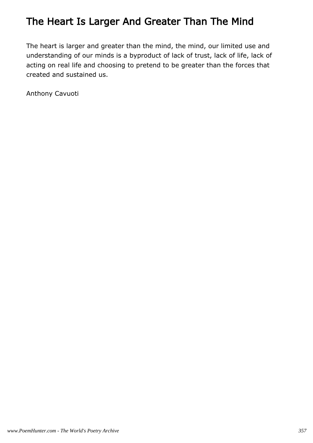## The Heart Is Larger And Greater Than The Mind

The heart is larger and greater than the mind, the mind, our limited use and understanding of our minds is a byproduct of lack of trust, lack of life, lack of acting on real life and choosing to pretend to be greater than the forces that created and sustained us.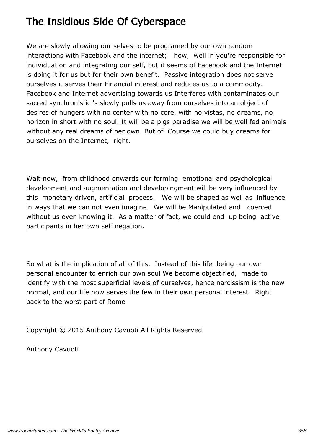### The Insidious Side Of Cyberspace

We are slowly allowing our selves to be programed by our own random interactions with Facebook and the internet; how, well in you're responsible for individuation and integrating our self, but it seems of Facebook and the Internet is doing it for us but for their own benefit. Passive integration does not serve ourselves it serves their Financial interest and reduces us to a commodity. Facebook and Internet advertising towards us Interferes with contaminates our sacred synchronistic 's slowly pulls us away from ourselves into an object of desires of hungers with no center with no core, with no vistas, no dreams, no horizon in short with no soul. It will be a pigs paradise we will be well fed animals without any real dreams of her own. But of Course we could buy dreams for ourselves on the Internet, right.

Wait now, from childhood onwards our forming emotional and psychological development and augmentation and developingment will be very influenced by this monetary driven, artificial process. We will be shaped as well as influence in ways that we can not even imagine. We will be Manipulated and coerced without us even knowing it. As a matter of fact, we could end up being active participants in her own self negation.

So what is the implication of all of this. Instead of this life being our own personal encounter to enrich our own soul We become objectified, made to identify with the most superficial levels of ourselves, hence narcissism is the new normal, and our life now serves the few in their own personal interest. Right back to the worst part of Rome

Copyright © 2015 Anthony Cavuoti All Rights Reserved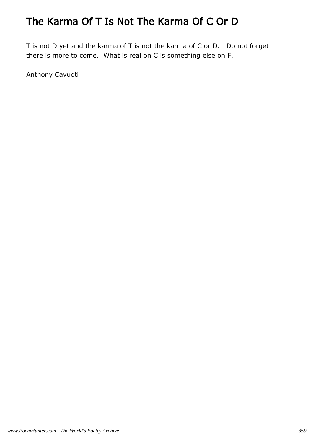# The Karma Of T Is Not The Karma Of C Or D

T is not D yet and the karma of T is not the karma of C or D. Do not forget there is more to come. What is real on C is something else on F.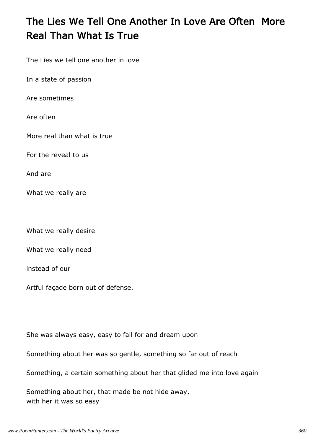## The Lies We Tell One Another In Love Are Often More Real Than What Is True

The Lies we tell one another in love

In a state of passion

Are sometimes

Are often

More real than what is true

For the reveal to us

And are

What we really are

What we really desire

What we really need

instead of our

Artful façade born out of defense.

She was always easy, easy to fall for and dream upon

Something about her was so gentle, something so far out of reach

Something, a certain something about her that glided me into love again

Something about her, that made be not hide away, with her it was so easy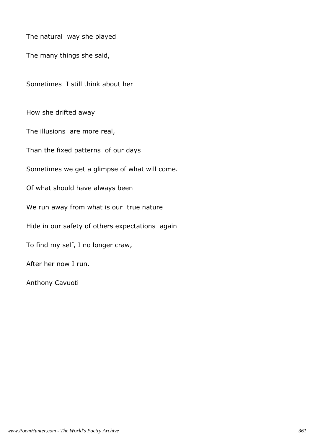The natural way she played

The many things she said,

Sometimes I still think about her

How she drifted away

The illusions are more real,

Than the fixed patterns of our days

Sometimes we get a glimpse of what will come.

Of what should have always been

We run away from what is our true nature

Hide in our safety of others expectations again

To find my self, I no longer craw,

After her now I run.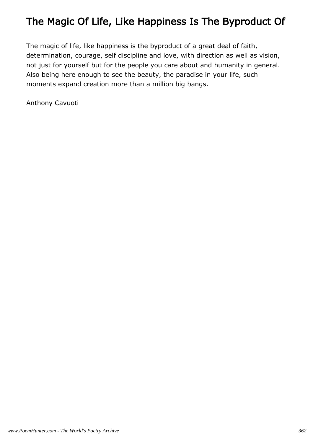### The Magic Of Life, Like Happiness Is The Byproduct Of

The magic of life, like happiness is the byproduct of a great deal of faith, determination, courage, self discipline and love, with direction as well as vision, not just for yourself but for the people you care about and humanity in general. Also being here enough to see the beauty, the paradise in your life, such moments expand creation more than a million big bangs.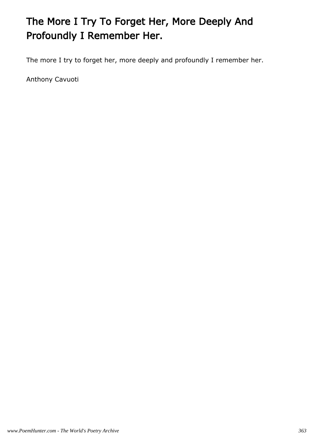# The More I Try To Forget Her, More Deeply And Profoundly I Remember Her.

The more I try to forget her, more deeply and profoundly I remember her.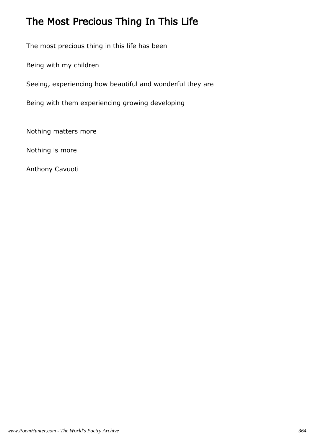# The Most Precious Thing In This Life

The most precious thing in this life has been

Being with my children

Seeing, experiencing how beautiful and wonderful they are

Being with them experiencing growing developing

Nothing matters more

Nothing is more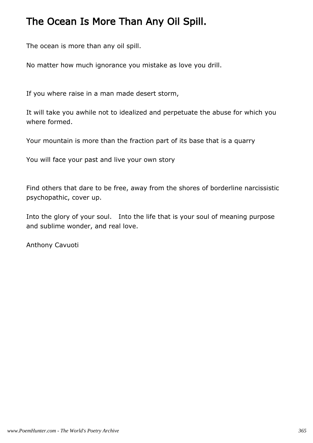#### The Ocean Is More Than Any Oil Spill.

The ocean is more than any oil spill.

No matter how much ignorance you mistake as love you drill.

If you where raise in a man made desert storm,

It will take you awhile not to idealized and perpetuate the abuse for which you where formed.

Your mountain is more than the fraction part of its base that is a quarry

You will face your past and live your own story

Find others that dare to be free, away from the shores of borderline narcissistic psychopathic, cover up.

Into the glory of your soul. Into the life that is your soul of meaning purpose and sublime wonder, and real love.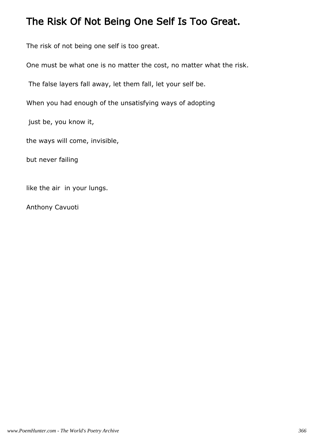#### The Risk Of Not Being One Self Is Too Great.

The risk of not being one self is too great.

One must be what one is no matter the cost, no matter what the risk.

The false layers fall away, let them fall, let your self be.

When you had enough of the unsatisfying ways of adopting

just be, you know it,

the ways will come, invisible,

but never failing

like the air in your lungs.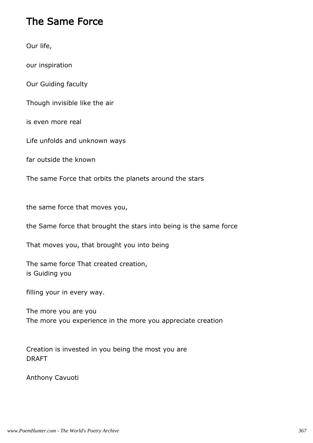#### The Same Force

Our life,

our inspiration

Our Guiding faculty

Though invisible like the air

is even more real

Life unfolds and unknown ways

far outside the known

The same Force that orbits the planets around the stars

the same force that moves you,

the Same force that brought the stars into being is the same force

That moves you, that brought you into being

The same force That created creation, is Guiding you

filling your in every way.

The more you are you The more you experience in the more you appreciate creation

Creation is invested in you being the most you are DRAFT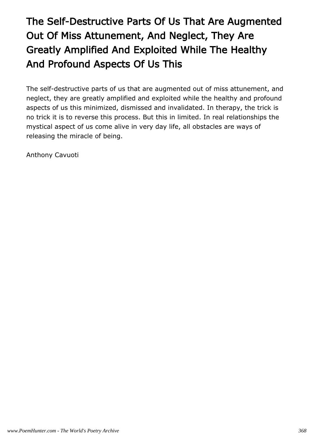# The Self-Destructive Parts Of Us That Are Augmented Out Of Miss Attunement, And Neglect, They Are Greatly Amplified And Exploited While The Healthy And Profound Aspects Of Us This

The self-destructive parts of us that are augmented out of miss attunement, and neglect, they are greatly amplified and exploited while the healthy and profound aspects of us this minimized, dismissed and invalidated. In therapy, the trick is no trick it is to reverse this process. But this in limited. In real relationships the mystical aspect of us come alive in very day life, all obstacles are ways of releasing the miracle of being.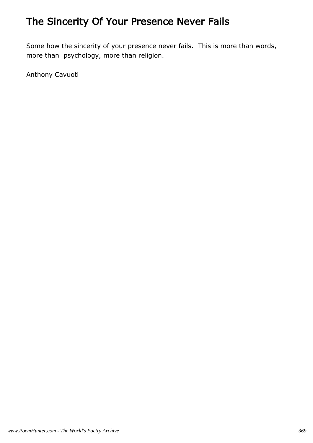## The Sincerity Of Your Presence Never Fails

Some how the sincerity of your presence never fails. This is more than words, more than psychology, more than religion.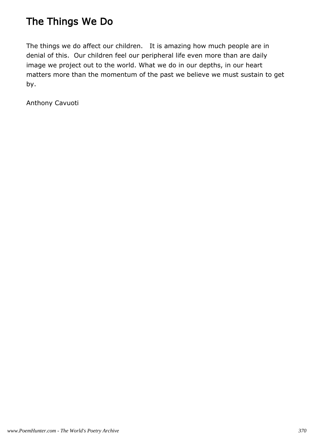### The Things We Do

The things we do affect our children. It is amazing how much people are in denial of this. Our children feel our peripheral life even more than are daily image we project out to the world. What we do in our depths, in our heart matters more than the momentum of the past we believe we must sustain to get by.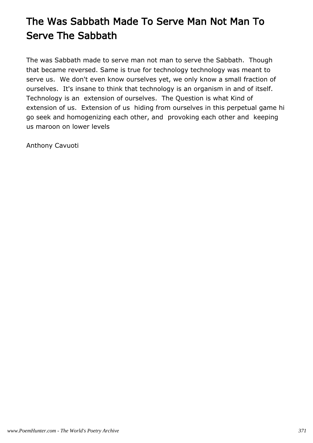# The Was Sabbath Made To Serve Man Not Man To Serve The Sabbath

The was Sabbath made to serve man not man to serve the Sabbath. Though that became reversed. Same is true for technology technology was meant to serve us. We don't even know ourselves yet, we only know a small fraction of ourselves. It's insane to think that technology is an organism in and of itself. Technology is an extension of ourselves. The Question is what Kind of extension of us. Extension of us hiding from ourselves in this perpetual game hi go seek and homogenizing each other, and provoking each other and keeping us maroon on lower levels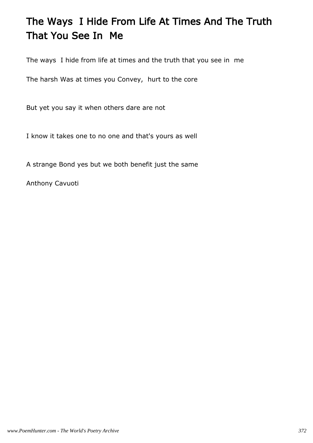## The Ways I Hide From Life At Times And The Truth That You See In Me

The ways I hide from life at times and the truth that you see in me

The harsh Was at times you Convey, hurt to the core

But yet you say it when others dare are not

I know it takes one to no one and that's yours as well

A strange Bond yes but we both benefit just the same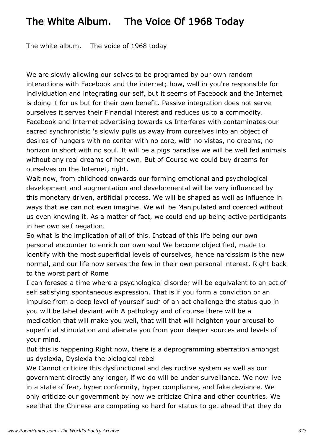### The White Album. The Voice Of 1968 Today

The white album. The voice of 1968 today

We are slowly allowing our selves to be programed by our own random interactions with Facebook and the internet; how, well in you're responsible for individuation and integrating our self, but it seems of Facebook and the Internet is doing it for us but for their own benefit. Passive integration does not serve ourselves it serves their Financial interest and reduces us to a commodity. Facebook and Internet advertising towards us Interferes with contaminates our sacred synchronistic 's slowly pulls us away from ourselves into an object of desires of hungers with no center with no core, with no vistas, no dreams, no horizon in short with no soul. It will be a pigs paradise we will be well fed animals without any real dreams of her own. But of Course we could buy dreams for ourselves on the Internet, right.

Wait now, from childhood onwards our forming emotional and psychological development and augmentation and developmental will be very influenced by this monetary driven, artificial process. We will be shaped as well as influence in ways that we can not even imagine. We will be Manipulated and coerced without us even knowing it. As a matter of fact, we could end up being active participants in her own self negation.

So what is the implication of all of this. Instead of this life being our own personal encounter to enrich our own soul We become objectified, made to identify with the most superficial levels of ourselves, hence narcissism is the new normal, and our life now serves the few in their own personal interest. Right back to the worst part of Rome

I can foresee a time where a psychological disorder will be equivalent to an act of self satisfying spontaneous expression. That is if you form a conviction or an impulse from a deep level of yourself such of an act challenge the status quo in you will be label deviant with A pathology and of course there will be a medication that will make you well, that will that will heighten your arousal to superficial stimulation and alienate you from your deeper sources and levels of your mind.

But this is happening Right now, there is a deprogramming aberration amongst us dyslexia, Dyslexia the biological rebel

We Cannot criticize this dysfunctional and destructive system as well as our government directly any longer, if we do will be under surveillance. We now live in a state of fear, hyper conformity, hyper compliance, and fake deviance. We only criticize our government by how we criticize China and other countries. We see that the Chinese are competing so hard for status to get ahead that they do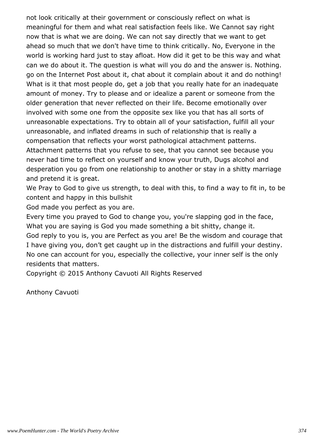not look critically at their government or consciously reflect on what is meaningful for them and what real satisfaction feels like. We Cannot say right now that is what we are doing. We can not say directly that we want to get ahead so much that we don't have time to think critically. No, Everyone in the world is working hard just to stay afloat. How did it get to be this way and what can we do about it. The question is what will you do and the answer is. Nothing. go on the Internet Post about it, chat about it complain about it and do nothing! What is it that most people do, get a job that you really hate for an inadequate amount of money. Try to please and or idealize a parent or someone from the older generation that never reflected on their life. Become emotionally over involved with some one from the opposite sex like you that has all sorts of unreasonable expectations. Try to obtain all of your satisfaction, fulfill all your unreasonable, and inflated dreams in such of relationship that is really a compensation that reflects your worst pathological attachment patterns. Attachment patterns that you refuse to see, that you cannot see because you never had time to reflect on yourself and know your truth, Dugs alcohol and desperation you go from one relationship to another or stay in a shitty marriage and pretend it is great.

We Pray to God to give us strength, to deal with this, to find a way to fit in, to be content and happy in this bullshit

God made you perfect as you are.

Every time you prayed to God to change you, you're slapping god in the face, What you are saying is God you made something a bit shitty, change it. God reply to you is, you are Perfect as you are! Be the wisdom and courage that I have giving you, don't get caught up in the distractions and fulfill your destiny. No one can account for you, especially the collective, your inner self is the only residents that matters.

Copyright © 2015 Anthony Cavuoti All Rights Reserved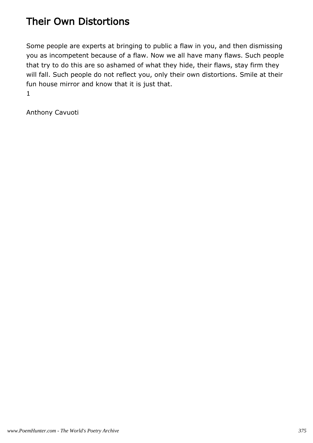### Their Own Distortions

Some people are experts at bringing to public a flaw in you, and then dismissing you as incompetent because of a flaw. Now we all have many flaws. Such people that try to do this are so ashamed of what they hide, their flaws, stay firm they will fall. Such people do not reflect you, only their own distortions. Smile at their fun house mirror and know that it is just that. 1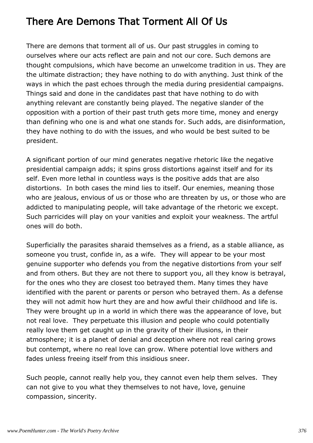### There Are Demons That Torment All Of Us

There are demons that torment all of us. Our past struggles in coming to ourselves where our acts reflect are pain and not our core. Such demons are thought compulsions, which have become an unwelcome tradition in us. They are the ultimate distraction; they have nothing to do with anything. Just think of the ways in which the past echoes through the media during presidential campaigns. Things said and done in the candidates past that have nothing to do with anything relevant are constantly being played. The negative slander of the opposition with a portion of their past truth gets more time, money and energy than defining who one is and what one stands for. Such adds, are disinformation, they have nothing to do with the issues, and who would be best suited to be president.

A significant portion of our mind generates negative rhetoric like the negative presidential campaign adds; it spins gross distortions against itself and for its self. Even more lethal in countless ways is the positive adds that are also distortions. In both cases the mind lies to itself. Our enemies, meaning those who are jealous, envious of us or those who are threaten by us, or those who are addicted to manipulating people, will take advantage of the rhetoric we except. Such parricides will play on your vanities and exploit your weakness. The artful ones will do both.

Superficially the parasites sharaid themselves as a friend, as a stable alliance, as someone you trust, confide in, as a wife. They will appear to be your most genuine supporter who defends you from the negative distortions from your self and from others. But they are not there to support you, all they know is betrayal, for the ones who they are closest too betrayed them. Many times they have identified with the parent or parents or person who betrayed them. As a defense they will not admit how hurt they are and how awful their childhood and life is. They were brought up in a world in which there was the appearance of love, but not real love. They perpetuate this illusion and people who could potentially really love them get caught up in the gravity of their illusions, in their atmosphere; it is a planet of denial and deception where not real caring grows but contempt, where no real love can grow. Where potential love withers and fades unless freeing itself from this insidious sneer.

Such people, cannot really help you, they cannot even help them selves. They can not give to you what they themselves to not have, love, genuine compassion, sincerity.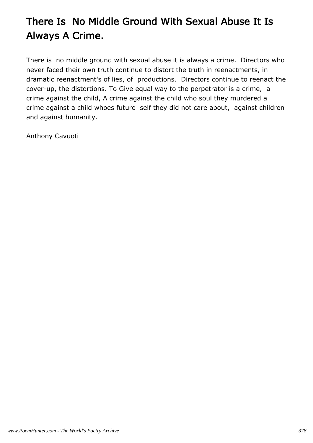# There Is No Middle Ground With Sexual Abuse It Is Always A Crime.

There is no middle ground with sexual abuse it is always a crime. Directors who never faced their own truth continue to distort the truth in reenactments, in dramatic reenactment's of lies, of productions. Directors continue to reenact the cover-up, the distortions. To Give equal way to the perpetrator is a crime, a crime against the child, A crime against the child who soul they murdered a crime against a child whoes future self they did not care about, against children and against humanity.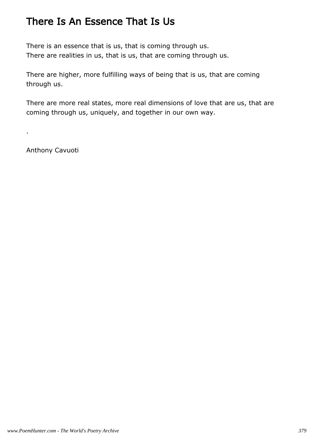#### There Is An Essence That Is Us

There is an essence that is us, that is coming through us. There are realities in us, that is us, that are coming through us.

There are higher, more fulfilling ways of being that is us, that are coming through us.

There are more real states, more real dimensions of love that are us, that are coming through us, uniquely, and together in our own way.

Anthony Cavuoti

.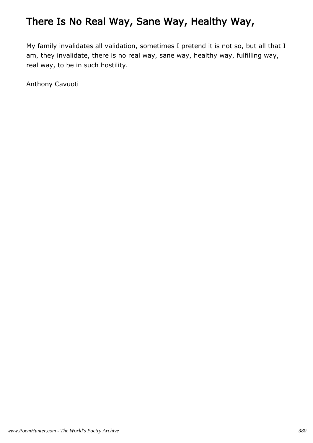### There Is No Real Way, Sane Way, Healthy Way,

My family invalidates all validation, sometimes I pretend it is not so, but all that I am, they invalidate, there is no real way, sane way, healthy way, fulfilling way, real way, to be in such hostility.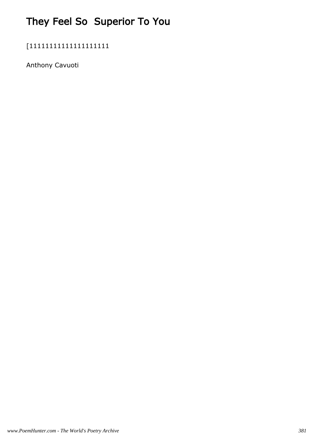# They Feel So Superior To You

[11111111111111111111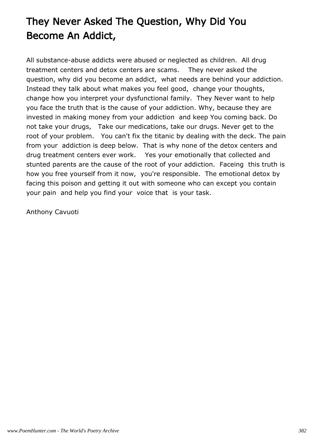# They Never Asked The Question, Why Did You Become An Addict,

All substance-abuse addicts were abused or neglected as children. All drug treatment centers and detox centers are scams. They never asked the question, why did you become an addict, what needs are behind your addiction. Instead they talk about what makes you feel good, change your thoughts, change how you interpret your dysfunctional family. They Never want to help you face the truth that is the cause of your addiction. Why, because they are invested in making money from your addiction and keep You coming back. Do not take your drugs, Take our medications, take our drugs. Never get to the root of your problem. You can't fix the titanic by dealing with the deck. The pain from your addiction is deep below. That is why none of the detox centers and drug treatment centers ever work. Yes your emotionally that collected and stunted parents are the cause of the root of your addiction. Faceing this truth is how you free yourself from it now, you're responsible. The emotional detox by facing this poison and getting it out with someone who can except you contain your pain and help you find your voice that is your task.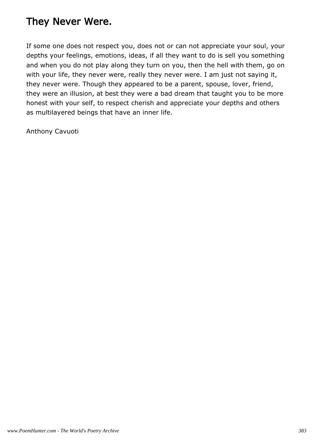### They Never Were.

If some one does not respect you, does not or can not appreciate your soul, your depths your feelings, emotions, ideas, if all they want to do is sell you something and when you do not play along they turn on you, then the hell with them, go on with your life, they never were, really they never were. I am just not saying it, they never were. Though they appeared to be a parent, spouse, lover, friend, they were an illusion, at best they were a bad dream that taught you to be more honest with your self, to respect cherish and appreciate your depths and others as multilayered beings that have an inner life.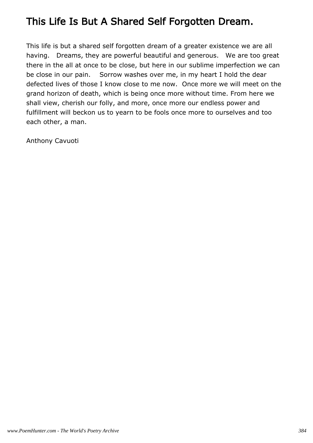#### This Life Is But A Shared Self Forgotten Dream.

This life is but a shared self forgotten dream of a greater existence we are all having. Dreams, they are powerful beautiful and generous. We are too great there in the all at once to be close, but here in our sublime imperfection we can be close in our pain. Sorrow washes over me, in my heart I hold the dear defected lives of those I know close to me now. Once more we will meet on the grand horizon of death, which is being once more without time. From here we shall view, cherish our folly, and more, once more our endless power and fulfillment will beckon us to yearn to be fools once more to ourselves and too each other, a man.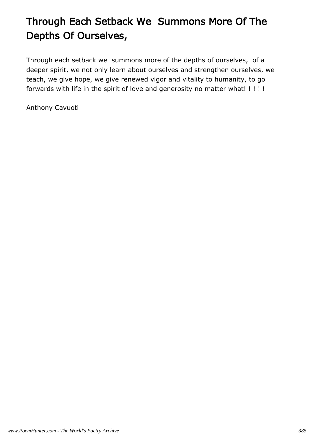# Through Each Setback We Summons More Of The Depths Of Ourselves,

Through each setback we summons more of the depths of ourselves, of a deeper spirit, we not only learn about ourselves and strengthen ourselves, we teach, we give hope, we give renewed vigor and vitality to humanity, to go forwards with life in the spirit of love and generosity no matter what! ! ! ! !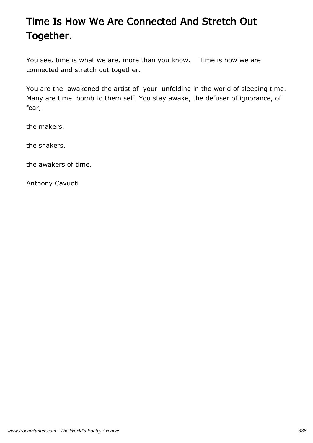## Time Is How We Are Connected And Stretch Out Together.

You see, time is what we are, more than you know. Time is how we are connected and stretch out together.

You are the awakened the artist of your unfolding in the world of sleeping time. Many are time bomb to them self. You stay awake, the defuser of ignorance, of fear,

the makers,

the shakers,

the awakers of time.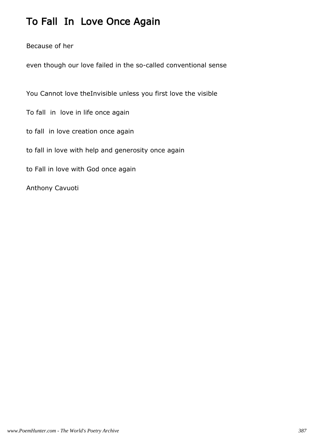### To Fall In Love Once Again

Because of her

even though our love failed in the so-called conventional sense

You Cannot love theInvisible unless you first love the visible

To fall in love in life once again

to fall in love creation once again

to fall in love with help and generosity once again

to Fall in love with God once again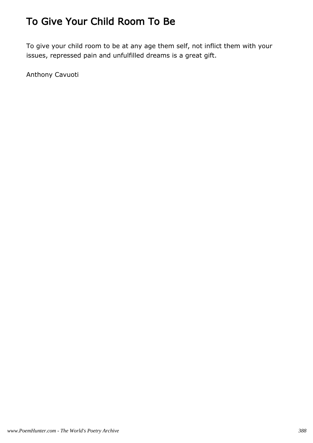### To Give Your Child Room To Be

To give your child room to be at any age them self, not inflict them with your issues, repressed pain and unfulfilled dreams is a great gift.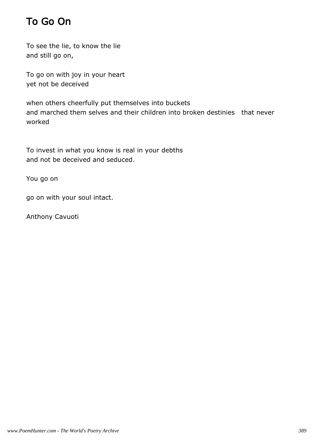### To Go On

To see the lie, to know the lie and still go on,

To go on with joy in your heart yet not be deceived

when others cheerfully put themselves into buckets and marched them selves and their children into broken destinies that never worked

To invest in what you know is real in your debths and not be deceived and seduced.

You go on

go on with your soul intact.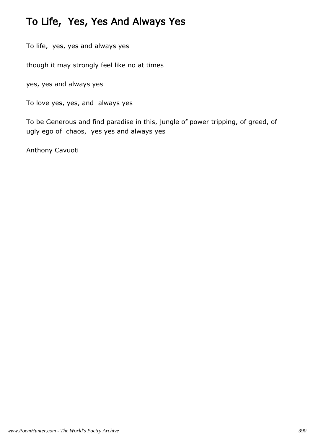### To Life, Yes, Yes And Always Yes

To life, yes, yes and always yes

though it may strongly feel like no at times

yes, yes and always yes

To love yes, yes, and always yes

To be Generous and find paradise in this, jungle of power tripping, of greed, of ugly ego of chaos, yes yes and always yes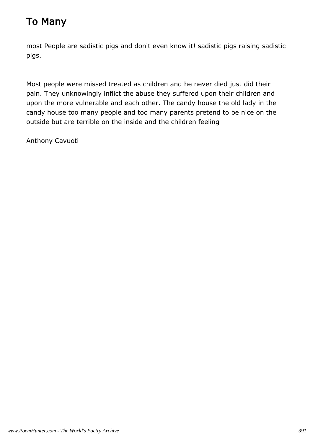## To Many

most People are sadistic pigs and don't even know it! sadistic pigs raising sadistic pigs.

Most people were missed treated as children and he never died just did their pain. They unknowingly inflict the abuse they suffered upon their children and upon the more vulnerable and each other. The candy house the old lady in the candy house too many people and too many parents pretend to be nice on the outside but are terrible on the inside and the children feeling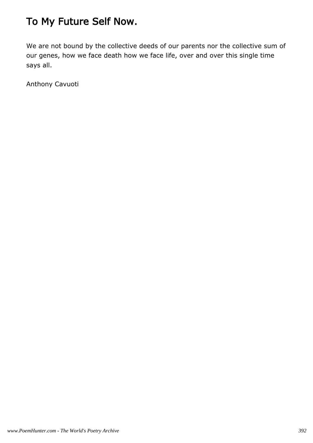### To My Future Self Now.

We are not bound by the collective deeds of our parents nor the collective sum of our genes, how we face death how we face life, over and over this single time says all.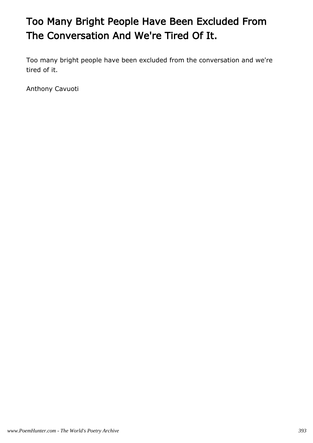# Too Many Bright People Have Been Excluded From The Conversation And We're Tired Of It.

Too many bright people have been excluded from the conversation and we're tired of it.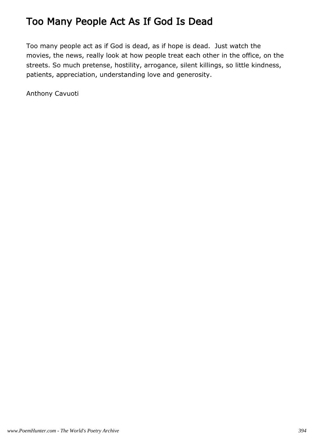#### Too Many People Act As If God Is Dead

Too many people act as if God is dead, as if hope is dead. Just watch the movies, the news, really look at how people treat each other in the office, on the streets. So much pretense, hostility, arrogance, silent killings, so little kindness, patients, appreciation, understanding love and generosity.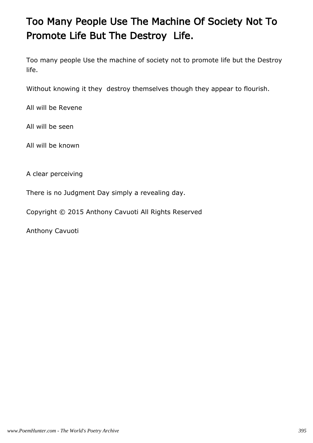# Too Many People Use The Machine Of Society Not To Promote Life But The Destroy Life.

Too many people Use the machine of society not to promote life but the Destroy life.

Without knowing it they destroy themselves though they appear to flourish.

All will be Revene

All will be seen

All will be known

A clear perceiving

There is no Judgment Day simply a revealing day.

Copyright © 2015 Anthony Cavuoti All Rights Reserved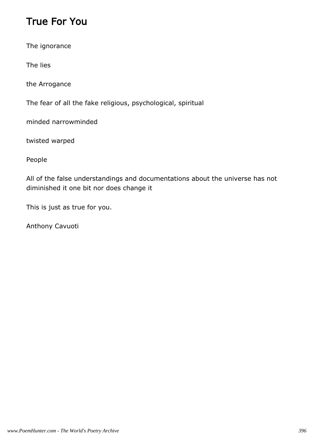### True For You

The ignorance

The lies

the Arrogance

The fear of all the fake religious, psychological, spiritual

minded narrowminded

twisted warped

People

All of the false understandings and documentations about the universe has not diminished it one bit nor does change it

This is just as true for you.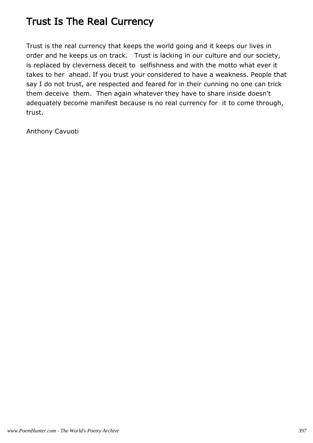### Trust Is The Real Currency

Trust is the real currency that keeps the world going and it keeps our lives in order and he keeps us on track. Trust is lacking in our culture and our society, is replaced by cleverness deceit to selfishness and with the motto what ever it takes to her ahead. If you trust your considered to have a weakness. People that say I do not trust, are respected and feared for in their cunning no one can trick them deceive them. Then again whatever they have to share inside doesn't adequately become manifest because is no real currency for it to come through, trust.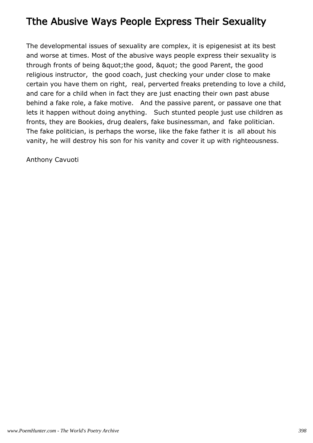#### Tthe Abusive Ways People Express Their Sexuality

The developmental issues of sexuality are complex, it is epigenesist at its best and worse at times. Most of the abusive ways people express their sexuality is through fronts of being & quot; the good, & quot; the good Parent, the good religious instructor, the good coach, just checking your under close to make certain you have them on right, real, perverted freaks pretending to love a child, and care for a child when in fact they are just enacting their own past abuse behind a fake role, a fake motive. And the passive parent, or passave one that lets it happen without doing anything. Such stunted people just use children as fronts, they are Bookies, drug dealers, fake businessman, and fake politician. The fake politician, is perhaps the worse, like the fake father it is all about his vanity, he will destroy his son for his vanity and cover it up with righteousness.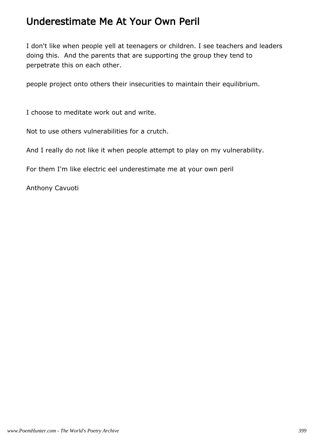#### Underestimate Me At Your Own Peril

I don't like when people yell at teenagers or children. I see teachers and leaders doing this. And the parents that are supporting the group they tend to perpetrate this on each other.

people project onto others their insecurities to maintain their equilibrium.

I choose to meditate work out and write.

Not to use others vulnerabilities for a crutch.

And I really do not like it when people attempt to play on my vulnerability.

For them I'm like electric eel underestimate me at your own peril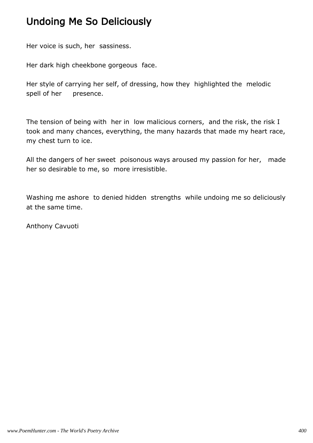### Undoing Me So Deliciously

Her voice is such, her sassiness.

Her dark high cheekbone gorgeous face.

Her style of carrying her self, of dressing, how they highlighted the melodic spell of her presence.

The tension of being with her in low malicious corners, and the risk, the risk I took and many chances, everything, the many hazards that made my heart race, my chest turn to ice.

All the dangers of her sweet poisonous ways aroused my passion for her, made her so desirable to me, so more irresistible.

Washing me ashore to denied hidden strengths while undoing me so deliciously at the same time.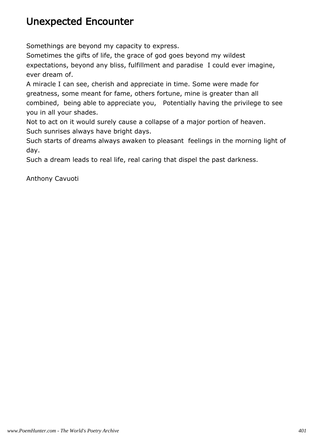#### Unexpected Encounter

Somethings are beyond my capacity to express.

Sometimes the gifts of life, the grace of god goes beyond my wildest expectations, beyond any bliss, fulfillment and paradise I could ever imagine, ever dream of.

A miracle I can see, cherish and appreciate in time. Some were made for greatness, some meant for fame, others fortune, mine is greater than all combined, being able to appreciate you, Potentially having the privilege to see you in all your shades.

Not to act on it would surely cause a collapse of a major portion of heaven. Such sunrises always have bright days.

Such starts of dreams always awaken to pleasant feelings in the morning light of day.

Such a dream leads to real life, real caring that dispel the past darkness.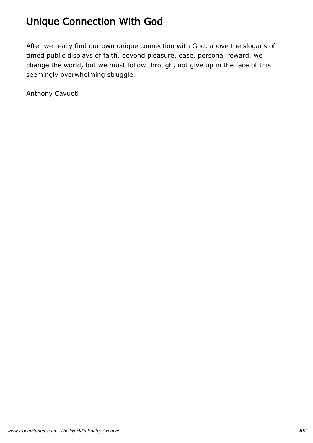## Unique Connection With God

After we really find our own unique connection with God, above the slogans of timed public displays of faith, beyond pleasure, ease, personal reward, we change the world, but we must follow through, not give up in the face of this seemingly overwhelming struggle.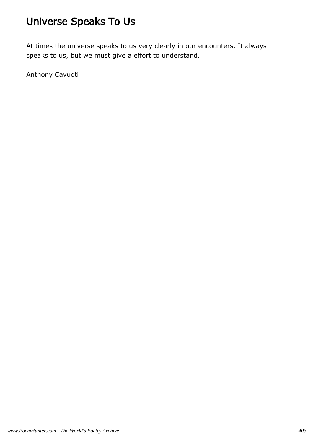## Universe Speaks To Us

At times the universe speaks to us very clearly in our encounters. It always speaks to us, but we must give a effort to understand.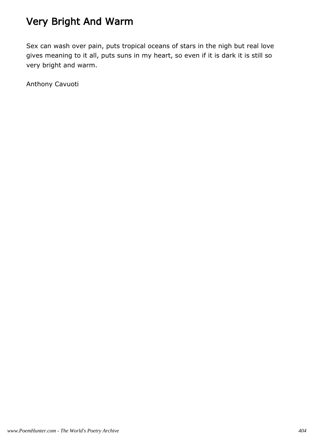## Very Bright And Warm

Sex can wash over pain, puts tropical oceans of stars in the nigh but real love gives meaning to it all, puts suns in my heart, so even if it is dark it is still so very bright and warm.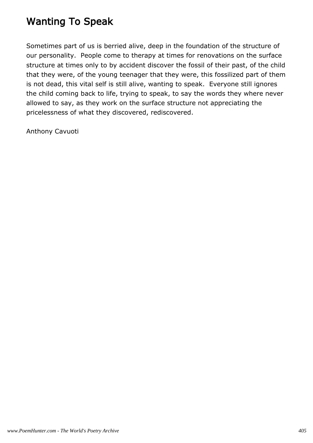### Wanting To Speak

Sometimes part of us is berried alive, deep in the foundation of the structure of our personality. People come to therapy at times for renovations on the surface structure at times only to by accident discover the fossil of their past, of the child that they were, of the young teenager that they were, this fossilized part of them is not dead, this vital self is still alive, wanting to speak. Everyone still ignores the child coming back to life, trying to speak, to say the words they where never allowed to say, as they work on the surface structure not appreciating the pricelessness of what they discovered, rediscovered.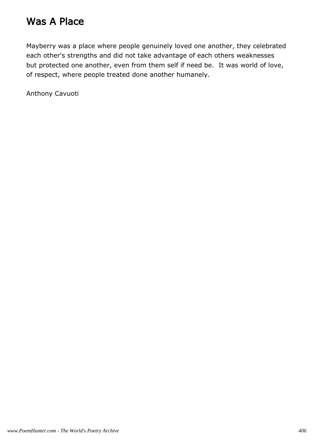#### Was A Place

Mayberry was a place where people genuinely loved one another, they celebrated each other's strengths and did not take advantage of each others weaknesses but protected one another, even from them self if need be. It was world of love, of respect, where people treated done another humanely.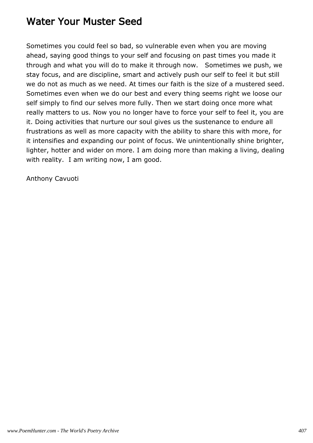#### Water Your Muster Seed

Sometimes you could feel so bad, so vulnerable even when you are moving ahead, saying good things to your self and focusing on past times you made it through and what you will do to make it through now. Sometimes we push, we stay focus, and are discipline, smart and actively push our self to feel it but still we do not as much as we need. At times our faith is the size of a mustered seed. Sometimes even when we do our best and every thing seems right we loose our self simply to find our selves more fully. Then we start doing once more what really matters to us. Now you no longer have to force your self to feel it, you are it. Doing activities that nurture our soul gives us the sustenance to endure all frustrations as well as more capacity with the ability to share this with more, for it intensifies and expanding our point of focus. We unintentionally shine brighter, lighter, hotter and wider on more. I am doing more than making a living, dealing with reality. I am writing now, I am good.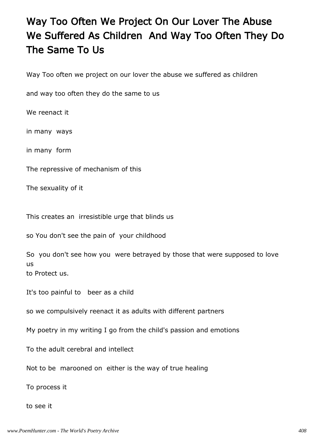## Way Too Often We Project On Our Lover The Abuse We Suffered As Children And Way Too Often They Do The Same To Us

Way Too often we project on our lover the abuse we suffered as children

and way too often they do the same to us

We reenact it

in many ways

in many form

The repressive of mechanism of this

The sexuality of it

This creates an irresistible urge that blinds us

so You don't see the pain of your childhood

So you don't see how you were betrayed by those that were supposed to love us to Protect us.

It's too painful to beer as a child

so we compulsively reenact it as adults with different partners

My poetry in my writing I go from the child's passion and emotions

To the adult cerebral and intellect

Not to be marooned on either is the way of true healing

To process it

to see it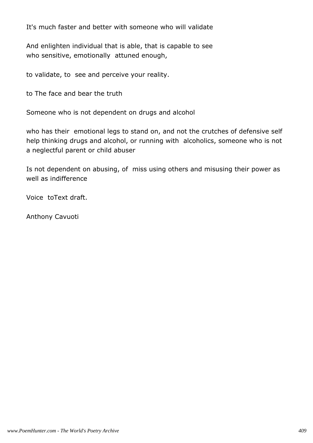It's much faster and better with someone who will validate

And enlighten individual that is able, that is capable to see who sensitive, emotionally attuned enough,

to validate, to see and perceive your reality.

to The face and bear the truth

Someone who is not dependent on drugs and alcohol

who has their emotional legs to stand on, and not the crutches of defensive self help thinking drugs and alcohol, or running with alcoholics, someone who is not a neglectful parent or child abuser

Is not dependent on abusing, of miss using others and misusing their power as well as indifference

Voice toText draft.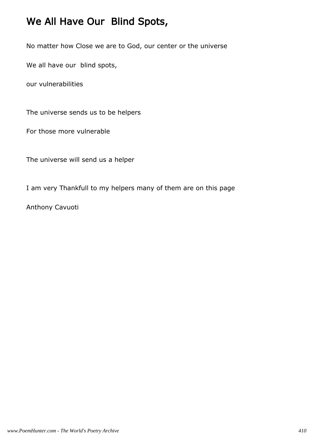## We All Have Our Blind Spots,

No matter how Close we are to God, our center or the universe

We all have our blind spots,

our vulnerabilities

The universe sends us to be helpers

For those more vulnerable

The universe will send us a helper

I am very Thankfull to my helpers many of them are on this page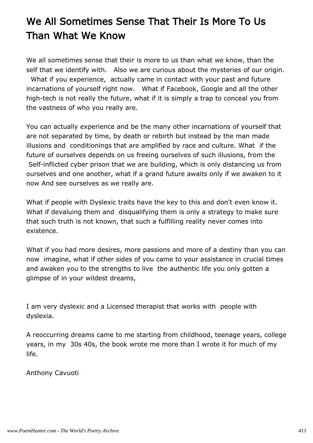# We All Sometimes Sense That Their Is More To Us Than What We Know

We all sometimes sense that their is more to us than what we know, than the self that we identify with. Also we are curious about the mysteries of our origin. What if you experience, actually came in contact with your past and future incarnations of yourself right now. What if Facebook, Google and all the other high-tech is not really the future, what if it is simply a trap to conceal you from the vastness of who you really are.

You can actually experience and be the many other incarnations of yourself that are not separated by time, by death or rebirth but instead by the man made illusions and conditionings that are amplified by race and culture. What if the future of ourselves depends on us freeing ourselves of such illusions, from the Self-inflicted cyber prison that we are building, which is only distancing us from ourselves and one another, what if a grand future awaits only if we awaken to it now And see ourselves as we really are.

What if people with Dyslexic traits have the key to this and don't even know it. What if devaluing them and disqualifying them is only a strategy to make sure that such truth is not known, that such a fulfilling reality never comes into existence.

What if you had more desires, more passions and more of a destiny than you can now imagine, what if other sides of you came to your assistance in crucial times and awaken you to the strengths to live the authentic life you only gotten a glimpse of in your wildest dreams,

I am very dyslexic and a Licensed therapist that works with people with dyslexia.

A reoccurring dreams came to me starting from childhood, teenage years, college years, in my 30s 40s, the book wrote me more than I wrote it for much of my life.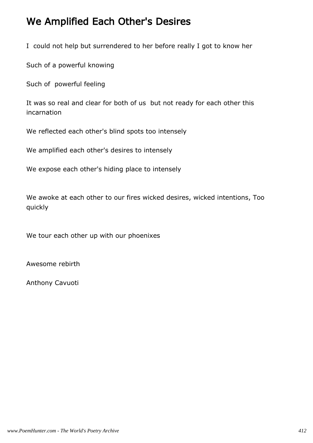#### We Amplified Each Other's Desires

I could not help but surrendered to her before really I got to know her

Such of a powerful knowing

Such of powerful feeling

It was so real and clear for both of us but not ready for each other this incarnation

We reflected each other's blind spots too intensely

We amplified each other's desires to intensely

We expose each other's hiding place to intensely

We awoke at each other to our fires wicked desires, wicked intentions, Too quickly

We tour each other up with our phoenixes

Awesome rebirth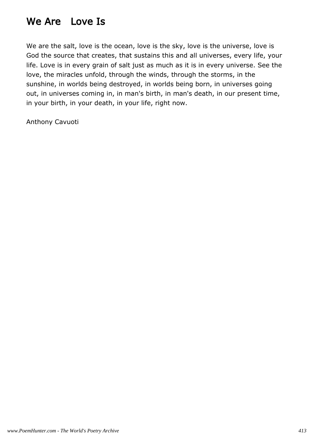### We Are Love Is

We are the salt, love is the ocean, love is the sky, love is the universe, love is God the source that creates, that sustains this and all universes, every life, your life. Love is in every grain of salt just as much as it is in every universe. See the love, the miracles unfold, through the winds, through the storms, in the sunshine, in worlds being destroyed, in worlds being born, in universes going out, in universes coming in, in man's birth, in man's death, in our present time, in your birth, in your death, in your life, right now.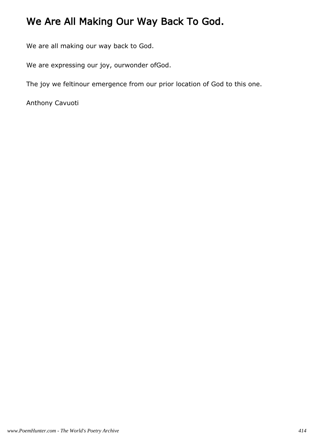## We Are All Making Our Way Back To God.

We are all making our way back to God.

We are expressing our joy, ourwonder ofGod.

The joy we feltinour emergence from our prior location of God to this one.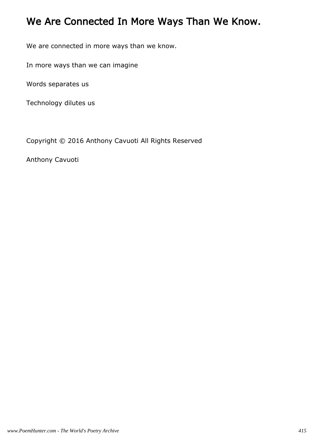## We Are Connected In More Ways Than We Know.

We are connected in more ways than we know.

In more ways than we can imagine

Words separates us

Technology dilutes us

Copyright © 2016 Anthony Cavuoti All Rights Reserved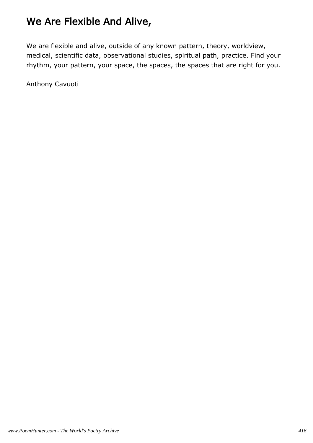### We Are Flexible And Alive,

We are flexible and alive, outside of any known pattern, theory, worldview, medical, scientific data, observational studies, spiritual path, practice. Find your rhythm, your pattern, your space, the spaces, the spaces that are right for you.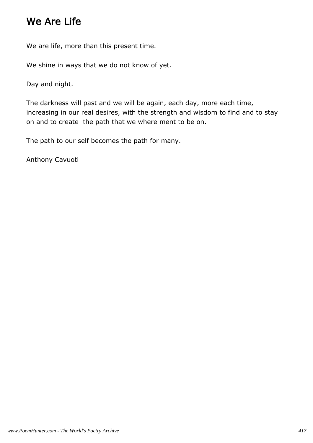#### We Are Life

We are life, more than this present time.

We shine in ways that we do not know of yet.

Day and night.

The darkness will past and we will be again, each day, more each time, increasing in our real desires, with the strength and wisdom to find and to stay on and to create the path that we where ment to be on.

The path to our self becomes the path for many.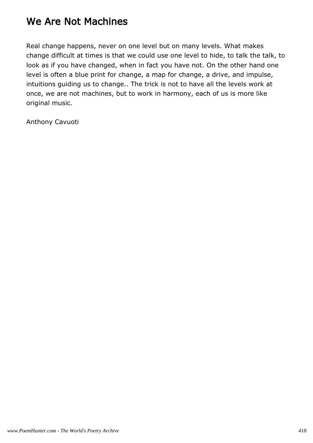#### We Are Not Machines

Real change happens, never on one level but on many levels. What makes change difficult at times is that we could use one level to hide, to talk the talk, to look as if you have changed, when in fact you have not. On the other hand one level is often a blue print for change, a map for change, a drive, and impulse, intuitions guiding us to change.. The trick is not to have all the levels work at once, we are not machines, but to work in harmony, each of us is more like original music.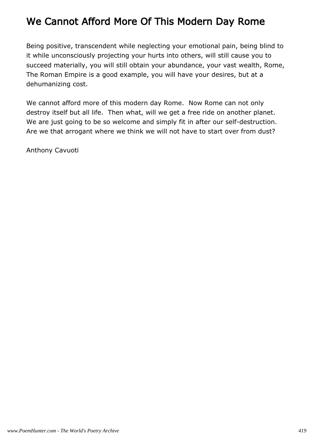#### We Cannot Afford More Of This Modern Day Rome

Being positive, transcendent while neglecting your emotional pain, being blind to it while unconsciously projecting your hurts into others, will still cause you to succeed materially, you will still obtain your abundance, your vast wealth, Rome, The Roman Empire is a good example, you will have your desires, but at a dehumanizing cost.

We cannot afford more of this modern day Rome. Now Rome can not only destroy itself but all life. Then what, will we get a free ride on another planet. We are just going to be so welcome and simply fit in after our self-destruction. Are we that arrogant where we think we will not have to start over from dust?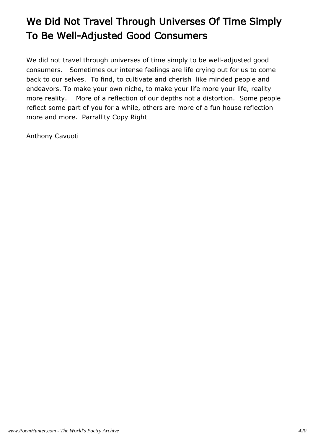# We Did Not Travel Through Universes Of Time Simply To Be Well-Adjusted Good Consumers

We did not travel through universes of time simply to be well-adjusted good consumers. Sometimes our intense feelings are life crying out for us to come back to our selves. To find, to cultivate and cherish like minded people and endeavors. To make your own niche, to make your life more your life, reality more reality. More of a reflection of our depths not a distortion. Some people reflect some part of you for a while, others are more of a fun house reflection more and more. Parrallity Copy Right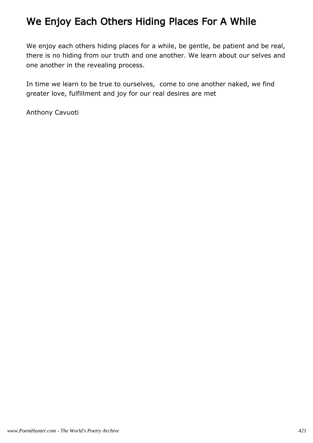### We Enjoy Each Others Hiding Places For A While

We enjoy each others hiding places for a while, be gentle, be patient and be real, there is no hiding from our truth and one another. We learn about our selves and one another in the revealing process.

In time we learn to be true to ourselves, come to one another naked, we find greater love, fulfillment and joy for our real desires are met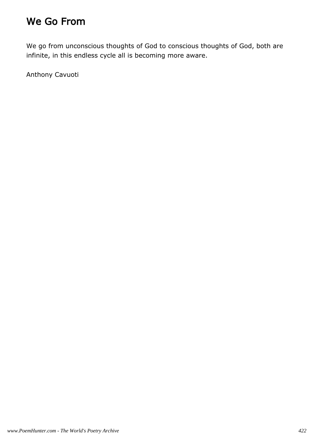### We Go From

We go from unconscious thoughts of God to conscious thoughts of God, both are infinite, in this endless cycle all is becoming more aware.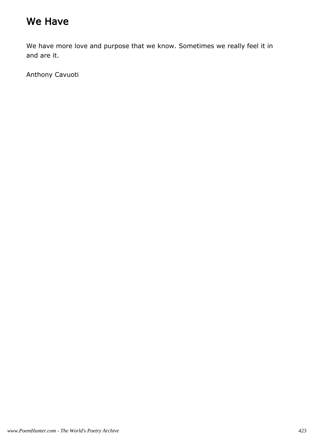### We Have

We have more love and purpose that we know. Sometimes we really feel it in and are it.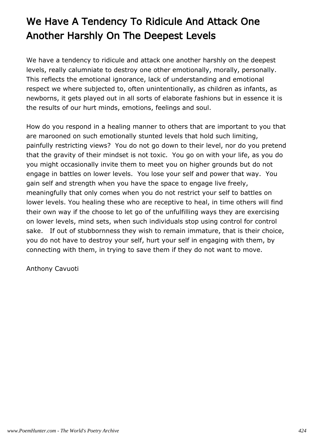# We Have A Tendency To Ridicule And Attack One Another Harshly On The Deepest Levels

We have a tendency to ridicule and attack one another harshly on the deepest levels, really calumniate to destroy one other emotionally, morally, personally. This reflects the emotional ignorance, lack of understanding and emotional respect we where subjected to, often unintentionally, as children as infants, as newborns, it gets played out in all sorts of elaborate fashions but in essence it is the results of our hurt minds, emotions, feelings and soul.

How do you respond in a healing manner to others that are important to you that are marooned on such emotionally stunted levels that hold such limiting, painfully restricting views? You do not go down to their level, nor do you pretend that the gravity of their mindset is not toxic. You go on with your life, as you do you might occasionally invite them to meet you on higher grounds but do not engage in battles on lower levels. You lose your self and power that way. You gain self and strength when you have the space to engage live freely, meaningfully that only comes when you do not restrict your self to battles on lower levels. You healing these who are receptive to heal, in time others will find their own way if the choose to let go of the unfulfilling ways they are exercising on lower levels, mind sets, when such individuals stop using control for control sake. If out of stubbornness they wish to remain immature, that is their choice, you do not have to destroy your self, hurt your self in engaging with them, by connecting with them, in trying to save them if they do not want to move.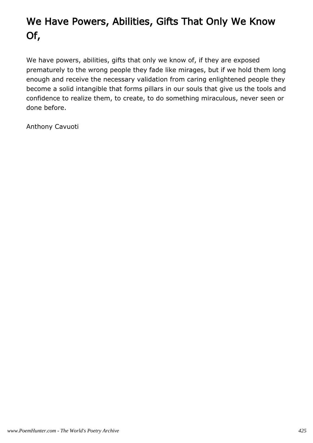# We Have Powers, Abilities, Gifts That Only We Know Of,

We have powers, abilities, gifts that only we know of, if they are exposed prematurely to the wrong people they fade like mirages, but if we hold them long enough and receive the necessary validation from caring enlightened people they become a solid intangible that forms pillars in our souls that give us the tools and confidence to realize them, to create, to do something miraculous, never seen or done before.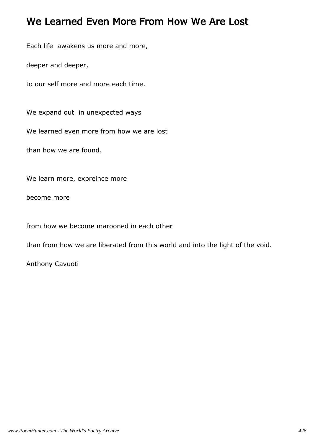#### We Learned Even More From How We Are Lost

Each life awakens us more and more,

deeper and deeper,

to our self more and more each time.

We expand out in unexpected ways

We learned even more from how we are lost

than how we are found.

We learn more, expreince more

become more

from how we become marooned in each other

than from how we are liberated from this world and into the light of the void.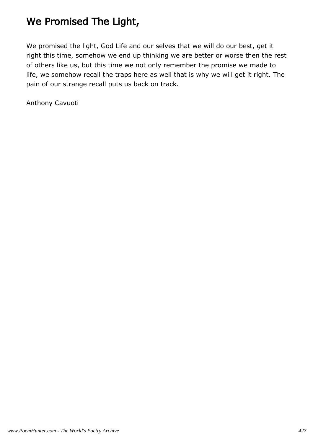## We Promised The Light,

We promised the light, God Life and our selves that we will do our best, get it right this time, somehow we end up thinking we are better or worse then the rest of others like us, but this time we not only remember the promise we made to life, we somehow recall the traps here as well that is why we will get it right. The pain of our strange recall puts us back on track.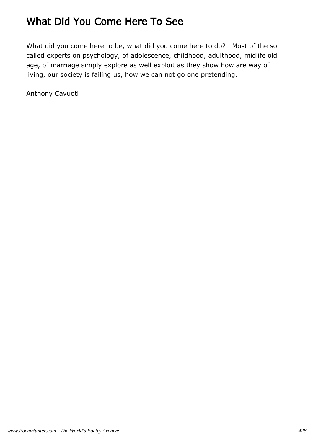## What Did You Come Here To See

What did you come here to be, what did you come here to do? Most of the so called experts on psychology, of adolescence, childhood, adulthood, midlife old age, of marriage simply explore as well exploit as they show how are way of living, our society is failing us, how we can not go one pretending.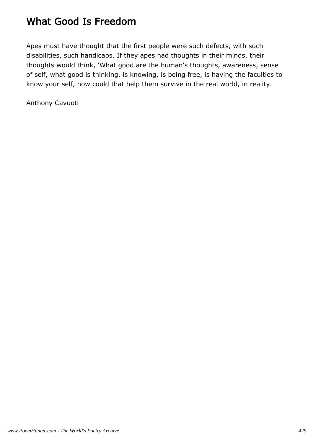### What Good Is Freedom

Apes must have thought that the first people were such defects, with such disabilities, such handicaps. If they apes had thoughts in their minds, their thoughts would think, 'What good are the human's thoughts, awareness, sense of self, what good is thinking, is knowing, is being free, is having the faculties to know your self, how could that help them survive in the real world, in reality.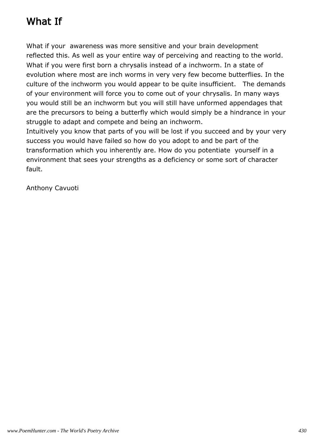## What If

What if your awareness was more sensitive and your brain development reflected this. As well as your entire way of perceiving and reacting to the world. What if you were first born a chrysalis instead of a inchworm. In a state of evolution where most are inch worms in very very few become butterflies. In the culture of the inchworm you would appear to be quite insufficient. The demands of your environment will force you to come out of your chrysalis. In many ways you would still be an inchworm but you will still have unformed appendages that are the precursors to being a butterfly which would simply be a hindrance in your struggle to adapt and compete and being an inchworm.

Intuitively you know that parts of you will be lost if you succeed and by your very success you would have failed so how do you adopt to and be part of the transformation which you inherently are. How do you potentiate yourself in a environment that sees your strengths as a deficiency or some sort of character fault.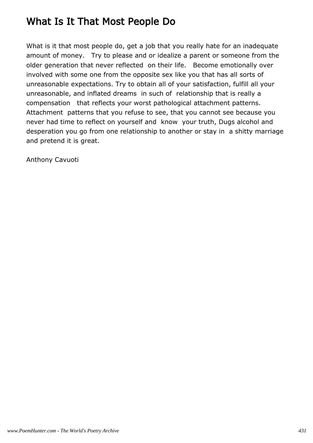### What Is It That Most People Do

What is it that most people do, get a job that you really hate for an inadequate amount of money. Try to please and or idealize a parent or someone from the older generation that never reflected on their life. Become emotionally over involved with some one from the opposite sex like you that has all sorts of unreasonable expectations. Try to obtain all of your satisfaction, fulfill all your unreasonable, and inflated dreams in such of relationship that is really a compensation that reflects your worst pathological attachment patterns. Attachment patterns that you refuse to see, that you cannot see because you never had time to reflect on yourself and know your truth, Dugs alcohol and desperation you go from one relationship to another or stay in a shitty marriage and pretend it is great.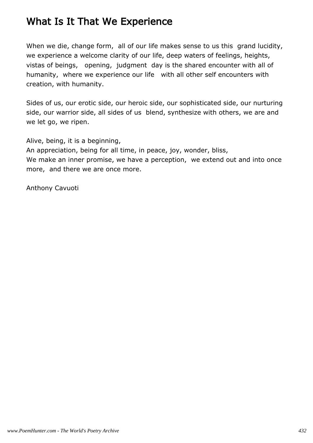#### What Is It That We Experience

When we die, change form, all of our life makes sense to us this grand lucidity, we experience a welcome clarity of our life, deep waters of feelings, heights, vistas of beings, opening, judgment day is the shared encounter with all of humanity, where we experience our life with all other self encounters with creation, with humanity.

Sides of us, our erotic side, our heroic side, our sophisticated side, our nurturing side, our warrior side, all sides of us blend, synthesize with others, we are and we let go, we ripen.

Alive, being, it is a beginning,

An appreciation, being for all time, in peace, joy, wonder, bliss, We make an inner promise, we have a perception, we extend out and into once more, and there we are once more.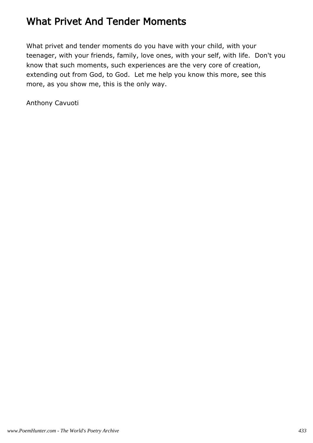### What Privet And Tender Moments

What privet and tender moments do you have with your child, with your teenager, with your friends, family, love ones, with your self, with life. Don't you know that such moments, such experiences are the very core of creation, extending out from God, to God. Let me help you know this more, see this more, as you show me, this is the only way.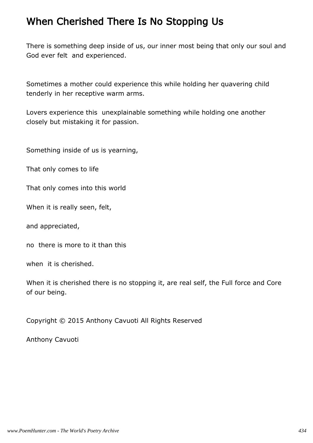#### When Cherished There Is No Stopping Us

There is something deep inside of us, our inner most being that only our soul and God ever felt and experienced.

Sometimes a mother could experience this while holding her quavering child tenderly in her receptive warm arms.

Lovers experience this unexplainable something while holding one another closely but mistaking it for passion.

Something inside of us is yearning,

That only comes to life

That only comes into this world

When it is really seen, felt,

and appreciated,

no there is more to it than this

when it is cherished.

When it is cherished there is no stopping it, are real self, the Full force and Core of our being.

Copyright © 2015 Anthony Cavuoti All Rights Reserved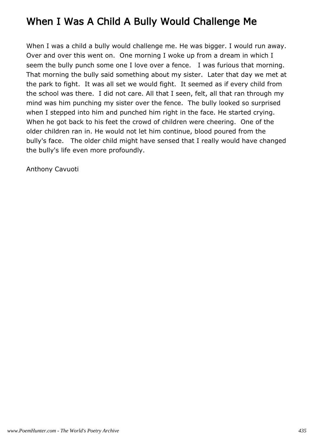### When I Was A Child A Bully Would Challenge Me

When I was a child a bully would challenge me. He was bigger. I would run away. Over and over this went on. One morning I woke up from a dream in which I seem the bully punch some one I love over a fence. I was furious that morning. That morning the bully said something about my sister. Later that day we met at the park to fight. It was all set we would fight. It seemed as if every child from the school was there. I did not care. All that I seen, felt, all that ran through my mind was him punching my sister over the fence. The bully looked so surprised when I stepped into him and punched him right in the face. He started crying. When he got back to his feet the crowd of children were cheering. One of the older children ran in. He would not let him continue, blood poured from the bully's face. The older child might have sensed that I really would have changed the bully's life even more profoundly.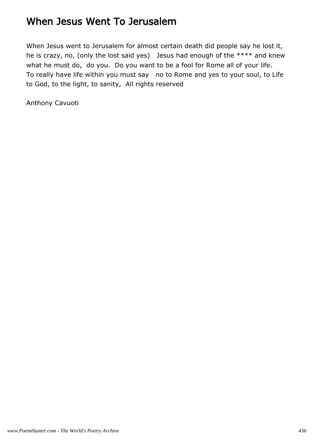#### When Jesus Went To Jerusalem

When Jesus went to Jerusalem for almost certain death did people say he lost it, he is crazy, no, (only the lost said yes) Jesus had enough of the \*\*\*\* and knew what he must do, do you. Do you want to be a fool for Rome all of your life. To really have life within you must say no to Rome and yes to your soul, to Life to God, to the light, to sanity, All rights reserved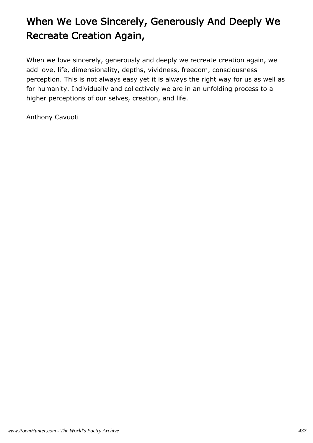# When We Love Sincerely, Generously And Deeply We Recreate Creation Again,

When we love sincerely, generously and deeply we recreate creation again, we add love, life, dimensionality, depths, vividness, freedom, consciousness perception. This is not always easy yet it is always the right way for us as well as for humanity. Individually and collectively we are in an unfolding process to a higher perceptions of our selves, creation, and life.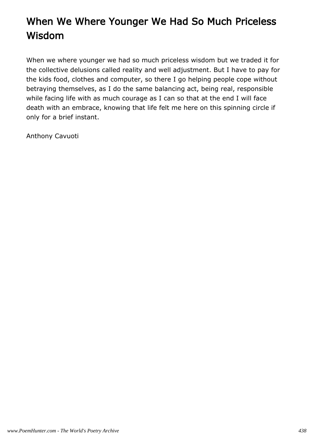# When We Where Younger We Had So Much Priceless Wisdom

When we where younger we had so much priceless wisdom but we traded it for the collective delusions called reality and well adjustment. But I have to pay for the kids food, clothes and computer, so there I go helping people cope without betraying themselves, as I do the same balancing act, being real, responsible while facing life with as much courage as I can so that at the end I will face death with an embrace, knowing that life felt me here on this spinning circle if only for a brief instant.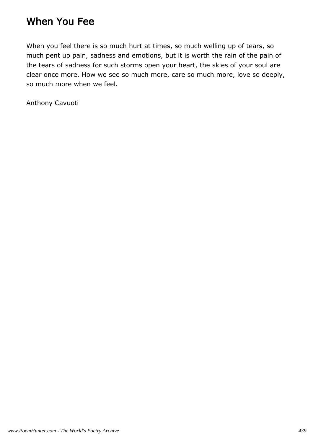#### When You Fee

When you feel there is so much hurt at times, so much welling up of tears, so much pent up pain, sadness and emotions, but it is worth the rain of the pain of the tears of sadness for such storms open your heart, the skies of your soul are clear once more. How we see so much more, care so much more, love so deeply, so much more when we feel.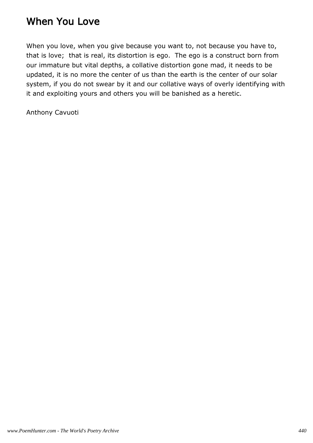### When You Love

When you love, when you give because you want to, not because you have to, that is love; that is real, its distortion is ego. The ego is a construct born from our immature but vital depths, a collative distortion gone mad, it needs to be updated, it is no more the center of us than the earth is the center of our solar system, if you do not swear by it and our collative ways of overly identifying with it and exploiting yours and others you will be banished as a heretic.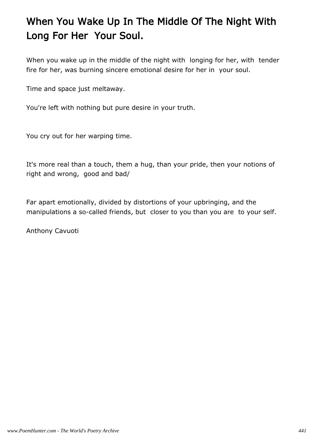# When You Wake Up In The Middle Of The Night With Long For Her Your Soul.

When you wake up in the middle of the night with longing for her, with tender fire for her, was burning sincere emotional desire for her in your soul.

Time and space just meltaway.

You're left with nothing but pure desire in your truth.

You cry out for her warping time.

It's more real than a touch, them a hug, than your pride, then your notions of right and wrong, good and bad/

Far apart emotionally, divided by distortions of your upbringing, and the manipulations a so-called friends, but closer to you than you are to your self.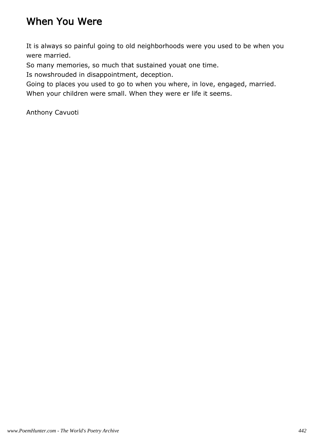### When You Were

It is always so painful going to old neighborhoods were you used to be when you were married.

So many memories, so much that sustained youat one time.

Is nowshrouded in disappointment, deception.

Going to places you used to go to when you where, in love, engaged, married. When your children were small. When they were er life it seems.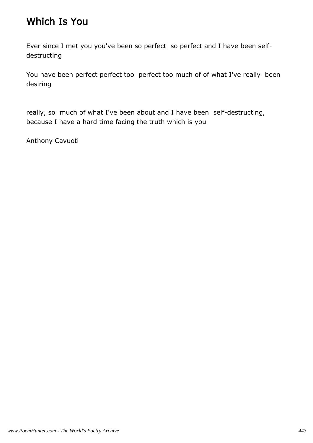### Which Is You

Ever since I met you you've been so perfect so perfect and I have been selfdestructing

You have been perfect perfect too perfect too much of of what I've really been desiring

really, so much of what I've been about and I have been self-destructing, because I have a hard time facing the truth which is you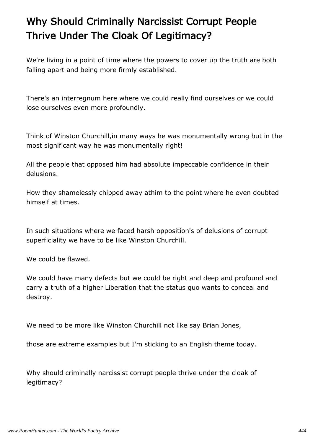# Why Should Criminally Narcissist Corrupt People Thrive Under The Cloak Of Legitimacy?

We're living in a point of time where the powers to cover up the truth are both falling apart and being more firmly established.

There's an interregnum here where we could really find ourselves or we could lose ourselves even more profoundly.

Think of Winston Churchill,in many ways he was monumentally wrong but in the most significant way he was monumentally right!

All the people that opposed him had absolute impeccable confidence in their delusions.

How they shamelessly chipped away athim to the point where he even doubted himself at times.

In such situations where we faced harsh opposition's of delusions of corrupt superficiality we have to be like Winston Churchill.

We could be flawed.

We could have many defects but we could be right and deep and profound and carry a truth of a higher Liberation that the status quo wants to conceal and destroy.

We need to be more like Winston Churchill not like say Brian Jones,

those are extreme examples but I'm sticking to an English theme today.

Why should criminally narcissist corrupt people thrive under the cloak of legitimacy?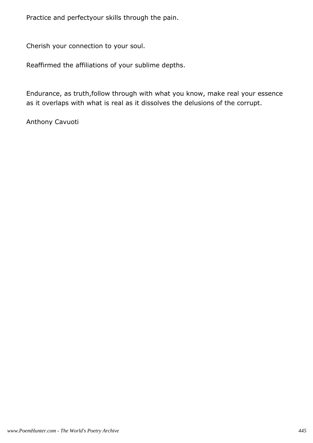Practice and perfectyour skills through the pain.

Cherish your connection to your soul.

Reaffirmed the affiliations of your sublime depths.

Endurance, as truth,follow through with what you know, make real your essence as it overlaps with what is real as it dissolves the delusions of the corrupt.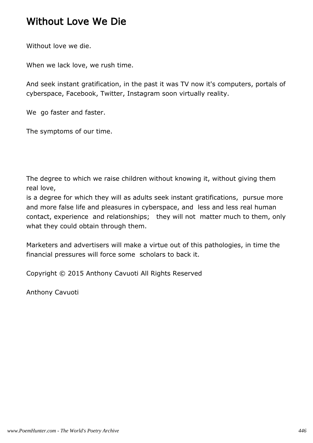#### Without Love We Die

Without love we die.

When we lack love, we rush time.

And seek instant gratification, in the past it was TV now it's computers, portals of cyberspace, Facebook, Twitter, Instagram soon virtually reality.

We go faster and faster.

The symptoms of our time.

The degree to which we raise children without knowing it, without giving them real love,

is a degree for which they will as adults seek instant gratifications, pursue more and more false life and pleasures in cyberspace, and less and less real human contact, experience and relationships; they will not matter much to them, only what they could obtain through them.

Marketers and advertisers will make a virtue out of this pathologies, in time the financial pressures will force some scholars to back it.

Copyright © 2015 Anthony Cavuoti All Rights Reserved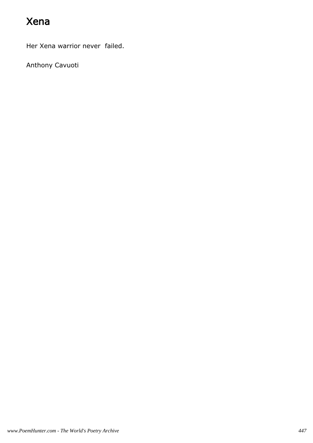## Xena

Her Xena warrior never failed.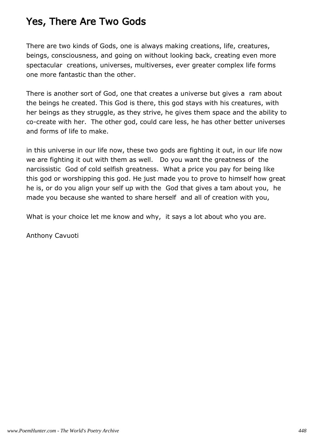#### Yes, There Are Two Gods

There are two kinds of Gods, one is always making creations, life, creatures, beings, consciousness, and going on without looking back, creating even more spectacular creations, universes, multiverses, ever greater complex life forms one more fantastic than the other.

There is another sort of God, one that creates a universe but gives a ram about the beings he created. This God is there, this god stays with his creatures, with her beings as they struggle, as they strive, he gives them space and the ability to co-create with her. The other god, could care less, he has other better universes and forms of life to make.

in this universe in our life now, these two gods are fighting it out, in our life now we are fighting it out with them as well. Do you want the greatness of the narcissistic God of cold selfish greatness. What a price you pay for being like this god or worshipping this god. He just made you to prove to himself how great he is, or do you align your self up with the God that gives a tam about you, he made you because she wanted to share herself and all of creation with you,

What is your choice let me know and why, it says a lot about who you are.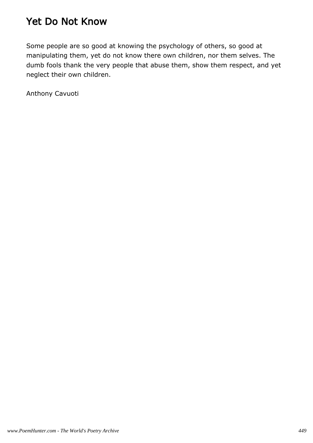#### Yet Do Not Know

Some people are so good at knowing the psychology of others, so good at manipulating them, yet do not know there own children, nor them selves. The dumb fools thank the very people that abuse them, show them respect, and yet neglect their own children.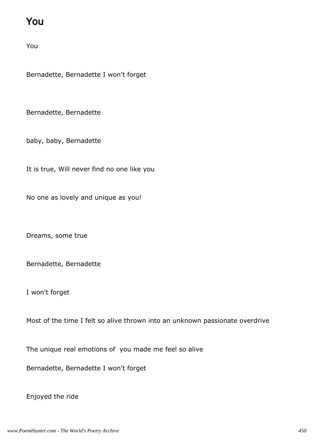### You

You

Bernadette, Bernadette I won't forget

Bernadette, Bernadette

baby, baby, Bernadette

It is true, Will never find no one like you

No one as lovely and unique as you!

Dreams, some true

Bernadette, Bernadette

I won't forget

Most of the time I felt so alive thrown into an unknown passionate overdrive

The unique real emotions of you made me feel so alive

Bernadette, Bernadette I won't forget

Enjoyed the ride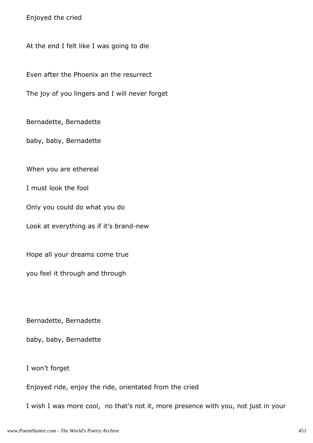Enjoyed the cried

At the end I felt like I was going to die

Even after the Phoenix an the resurrect

The joy of you lingers and I will never forget

Bernadette, Bernadette

baby, baby, Bernadette

When you are ethereal

I must look the fool

Only you could do what you do

Look at everything as if it's brand-new

Hope all your dreams come true

you feel it through and through

Bernadette, Bernadette

baby, baby, Bernadette

I won't forget

Enjoyed ride, enjoy the ride, orientated from the cried

I wish I was more cool, no that's not it, more presence with you, not just in your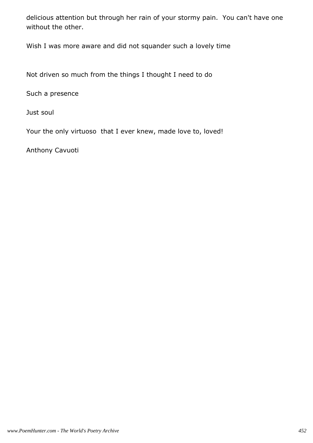delicious attention but through her rain of your stormy pain. You can't have one without the other.

Wish I was more aware and did not squander such a lovely time

Not driven so much from the things I thought I need to do

Such a presence

Just soul

Your the only virtuoso that I ever knew, made love to, loved!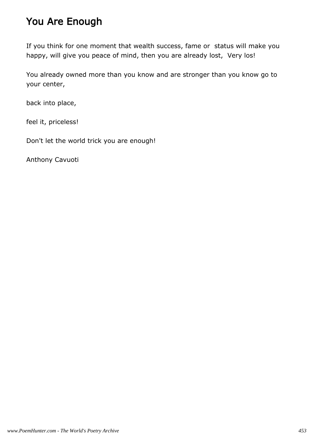### You Are Enough

If you think for one moment that wealth success, fame or status will make you happy, will give you peace of mind, then you are already lost, Very los!

You already owned more than you know and are stronger than you know go to your center,

back into place,

feel it, priceless!

Don't let the world trick you are enough!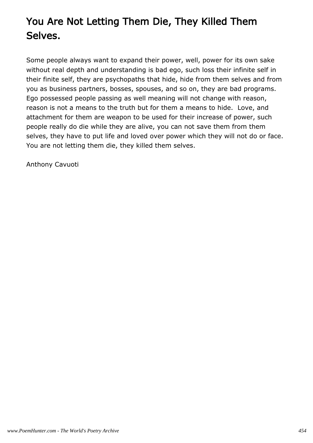# You Are Not Letting Them Die, They Killed Them Selves.

Some people always want to expand their power, well, power for its own sake without real depth and understanding is bad ego, such loss their infinite self in their finite self, they are psychopaths that hide, hide from them selves and from you as business partners, bosses, spouses, and so on, they are bad programs. Ego possessed people passing as well meaning will not change with reason, reason is not a means to the truth but for them a means to hide. Love, and attachment for them are weapon to be used for their increase of power, such people really do die while they are alive, you can not save them from them selves, they have to put life and loved over power which they will not do or face. You are not letting them die, they killed them selves.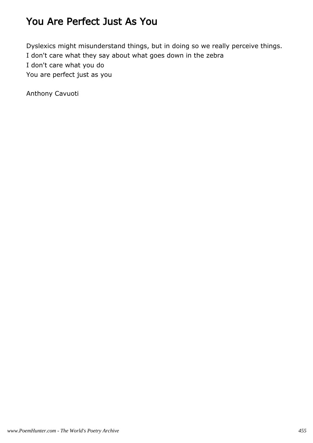### You Are Perfect Just As You

Dyslexics might misunderstand things, but in doing so we really perceive things. I don't care what they say about what goes down in the zebra I don't care what you do You are perfect just as you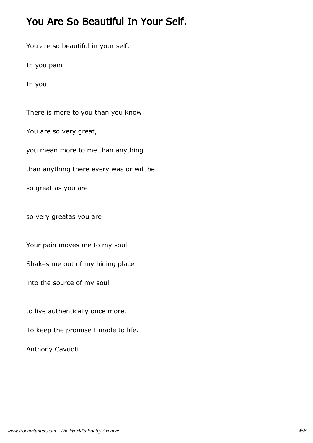### You Are So Beautiful In Your Self.

You are so beautiful in your self.

In you pain

In you

There is more to you than you know

You are so very great,

you mean more to me than anything

than anything there every was or will be

so great as you are

so very greatas you are

Your pain moves me to my soul

Shakes me out of my hiding place

into the source of my soul

to live authentically once more.

To keep the promise I made to life.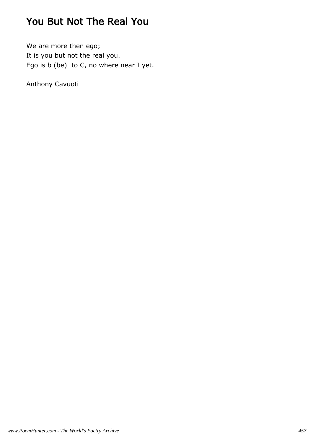## You But Not The Real You

We are more then ego; It is you but not the real you. Ego is b (be) to C, no where near I yet.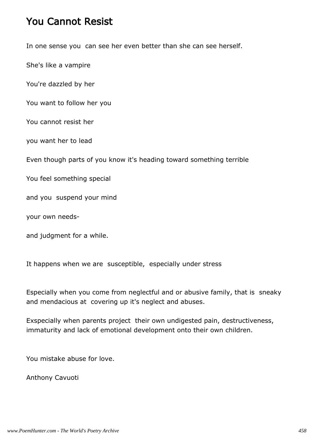#### You Cannot Resist

In one sense you can see her even better than she can see herself.

She's like a vampire

You're dazzled by her

You want to follow her you

You cannot resist her

you want her to lead

Even though parts of you know it's heading toward something terrible

You feel something special

and you suspend your mind

your own needs-

and judgment for a while.

It happens when we are susceptible, especially under stress

Especially when you come from neglectful and or abusive family, that is sneaky and mendacious at covering up it's neglect and abuses.

Exspecially when parents project their own undigested pain, destructiveness, immaturity and lack of emotional development onto their own children.

You mistake abuse for love.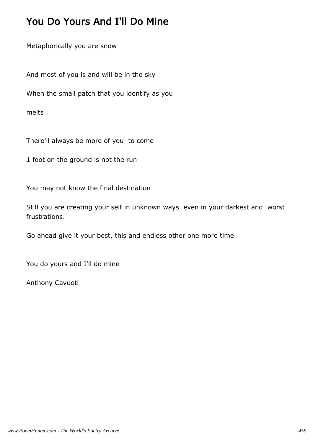### You Do Yours And I'll Do Mine

Metaphorically you are snow

And most of you is and will be in the sky

When the small patch that you identify as you

melts

There'll always be more of you to come

1 foot on the ground is not the run

You may not know the final destination

Still you are creating your self in unknown ways even in your darkest and worst frustrations.

Go ahead give it your best, this and endless other one more time

You do yours and I'll do mine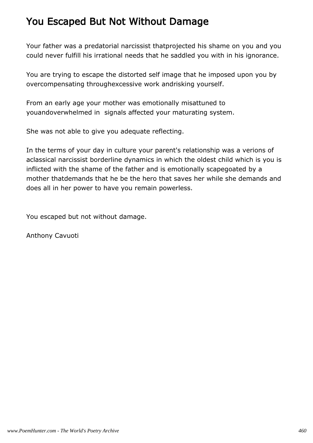### You Escaped But Not Without Damage

Your father was a predatorial narcissist thatprojected his shame on you and you could never fulfill his irrational needs that he saddled you with in his ignorance.

You are trying to escape the distorted self image that he imposed upon you by overcompensating throughexcessive work andrisking yourself.

From an early age your mother was emotionally misattuned to youandoverwhelmed in signals affected your maturating system.

She was not able to give you adequate reflecting.

In the terms of your day in culture your parent's relationship was a verions of aclassical narcissist borderline dynamics in which the oldest child which is you is inflicted with the shame of the father and is emotionally scapegoated by a mother thatdemands that he be the hero that saves her while she demands and does all in her power to have you remain powerless.

You escaped but not without damage.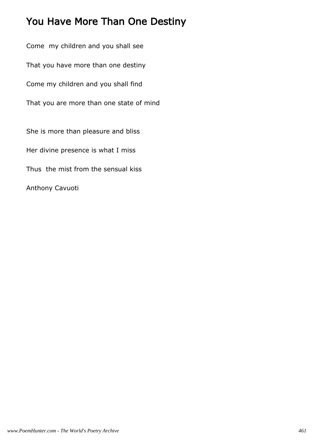## You Have More Than One Destiny

Come my children and you shall see That you have more than one destiny Come my children and you shall find That you are more than one state of mind She is more than pleasure and bliss Her divine presence is what I miss Thus the mist from the sensual kiss Anthony Cavuoti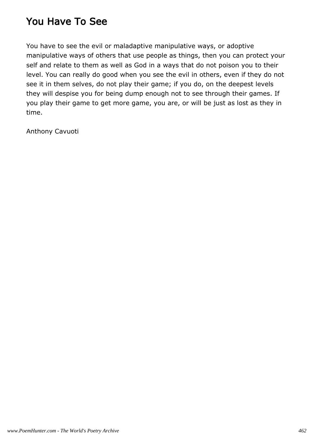### You Have To See

You have to see the evil or maladaptive manipulative ways, or adoptive manipulative ways of others that use people as things, then you can protect your self and relate to them as well as God in a ways that do not poison you to their level. You can really do good when you see the evil in others, even if they do not see it in them selves, do not play their game; if you do, on the deepest levels they will despise you for being dump enough not to see through their games. If you play their game to get more game, you are, or will be just as lost as they in time.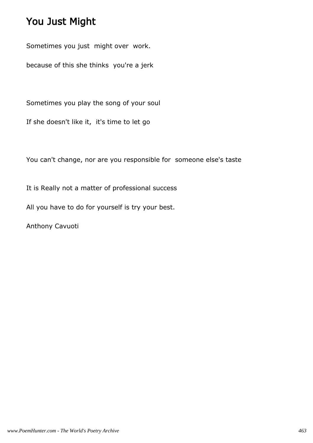## You Just Might

Sometimes you just might over work.

because of this she thinks you're a jerk

Sometimes you play the song of your soul

If she doesn't like it, it's time to let go

You can't change, nor are you responsible for someone else's taste

It is Really not a matter of professional success

All you have to do for yourself is try your best.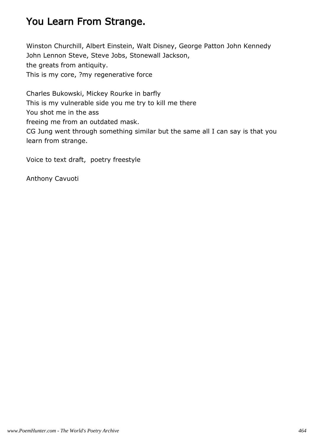## You Learn From Strange.

Winston Churchill, Albert Einstein, Walt Disney, George Patton John Kennedy John Lennon Steve, Steve Jobs, Stonewall Jackson, the greats from antiquity. This is my core, ?my regenerative force

Charles Bukowski, Mickey Rourke in barfly This is my vulnerable side you me try to kill me there You shot me in the ass freeing me from an outdated mask. CG Jung went through something similar but the same all I can say is that you learn from strange.

Voice to text draft, poetry freestyle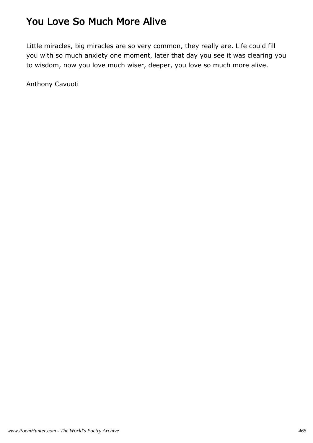## You Love So Much More Alive

Little miracles, big miracles are so very common, they really are. Life could fill you with so much anxiety one moment, later that day you see it was clearing you to wisdom, now you love much wiser, deeper, you love so much more alive.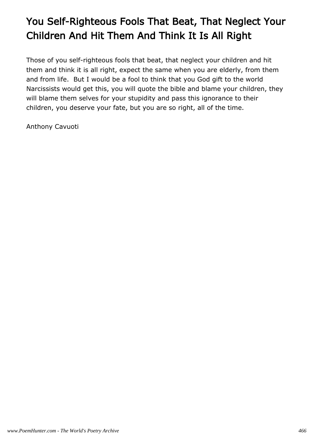# You Self-Righteous Fools That Beat, That Neglect Your Children And Hit Them And Think It Is All Right

Those of you self-righteous fools that beat, that neglect your children and hit them and think it is all right, expect the same when you are elderly, from them and from life. But I would be a fool to think that you God gift to the world Narcissists would get this, you will quote the bible and blame your children, they will blame them selves for your stupidity and pass this ignorance to their children, you deserve your fate, but you are so right, all of the time.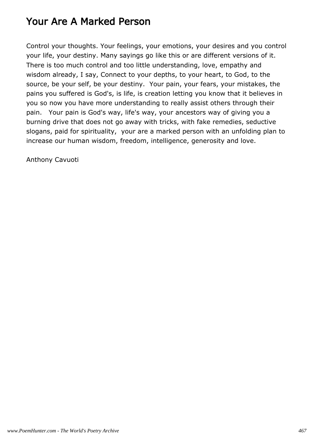#### Your Are A Marked Person

Control your thoughts. Your feelings, your emotions, your desires and you control your life, your destiny. Many sayings go like this or are different versions of it. There is too much control and too little understanding, love, empathy and wisdom already, I say, Connect to your depths, to your heart, to God, to the source, be your self, be your destiny. Your pain, your fears, your mistakes, the pains you suffered is God's, is life, is creation letting you know that it believes in you so now you have more understanding to really assist others through their pain. Your pain is God's way, life's way, your ancestors way of giving you a burning drive that does not go away with tricks, with fake remedies, seductive slogans, paid for spirituality, your are a marked person with an unfolding plan to increase our human wisdom, freedom, intelligence, generosity and love.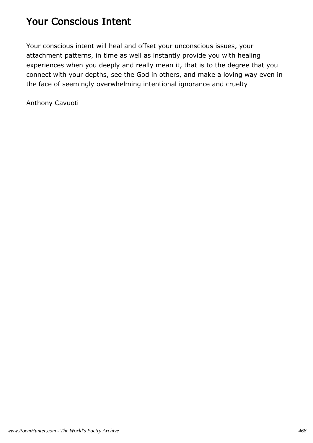## Your Conscious Intent

Your conscious intent will heal and offset your unconscious issues, your attachment patterns, in time as well as instantly provide you with healing experiences when you deeply and really mean it, that is to the degree that you connect with your depths, see the God in others, and make a loving way even in the face of seemingly overwhelming intentional ignorance and cruelty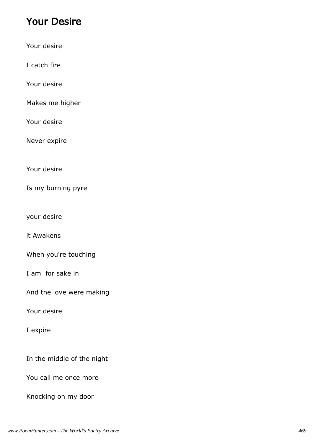### Your Desire

Your desire

I catch fire

Your desire

Makes me higher

Your desire

Never expire

Your desire

Is my burning pyre

your desire

it Awakens

When you're touching

I am for sake in

And the love were making

Your desire

I expire

In the middle of the night

You call me once more

Knocking on my door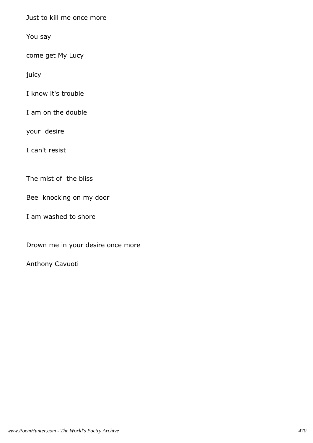Just to kill me once more

You say

come get My Lucy

juicy

I know it's trouble

I am on the double

your desire

I can't resist

The mist of the bliss

Bee knocking on my door

I am washed to shore

Drown me in your desire once more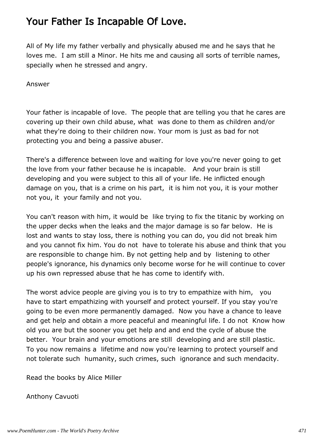## Your Father Is Incapable Of Love.

All of My life my father verbally and physically abused me and he says that he loves me. I am still a Minor. He hits me and causing all sorts of terrible names, specially when he stressed and angry.

Answer

Your father is incapable of love. The people that are telling you that he cares are covering up their own child abuse, what was done to them as children and/or what they're doing to their children now. Your mom is just as bad for not protecting you and being a passive abuser.

There's a difference between love and waiting for love you're never going to get the love from your father because he is incapable. And your brain is still developing and you were subject to this all of your life. He inflicted enough damage on you, that is a crime on his part, it is him not you, it is your mother not you, it your family and not you.

You can't reason with him, it would be like trying to fix the titanic by working on the upper decks when the leaks and the major damage is so far below. He is lost and wants to stay loss, there is nothing you can do, you did not break him and you cannot fix him. You do not have to tolerate his abuse and think that you are responsible to change him. By not getting help and by listening to other people's ignorance, his dynamics only become worse for he will continue to cover up his own repressed abuse that he has come to identify with.

The worst advice people are giving you is to try to empathize with him, you have to start empathizing with yourself and protect yourself. If you stay you're going to be even more permanently damaged. Now you have a chance to leave and get help and obtain a more peaceful and meaningful life. I do not Know how old you are but the sooner you get help and and end the cycle of abuse the better. Your brain and your emotions are still developing and are still plastic. To you now remains a lifetime and now you're learning to protect yourself and not tolerate such humanity, such crimes, such ignorance and such mendacity.

Read the books by Alice Miller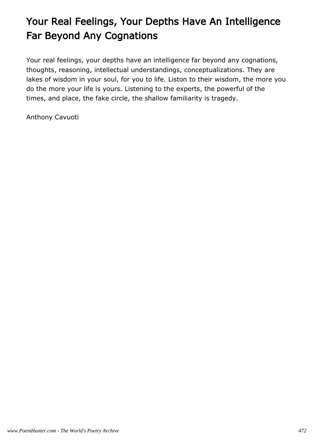# Your Real Feelings, Your Depths Have An Intelligence Far Beyond Any Cognations

Your real feelings, your depths have an intelligence far beyond any cognations, thoughts, reasoning, intellectual understandings, conceptualizations. They are lakes of wisdom in your soul, for you to life. Liston to their wisdom, the more you do the more your life is yours. Listening to the experts, the powerful of the times, and place, the fake circle, the shallow familiarity is tragedy.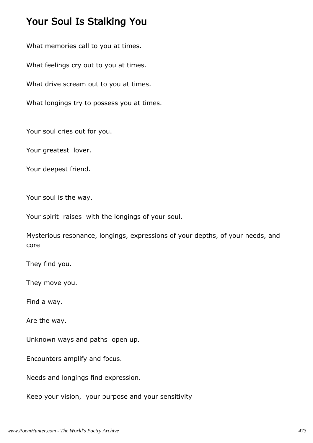#### Your Soul Is Stalking You

What memories call to you at times.

What feelings cry out to you at times.

What drive scream out to you at times.

What longings try to possess you at times.

Your soul cries out for you.

Your greatest lover.

Your deepest friend.

Your soul is the way.

Your spirit raises with the longings of your soul.

Mysterious resonance, longings, expressions of your depths, of your needs, and core

They find you.

They move you.

Find a way.

Are the way.

Unknown ways and paths open up.

Encounters amplify and focus.

Needs and longings find expression.

Keep your vision, your purpose and your sensitivity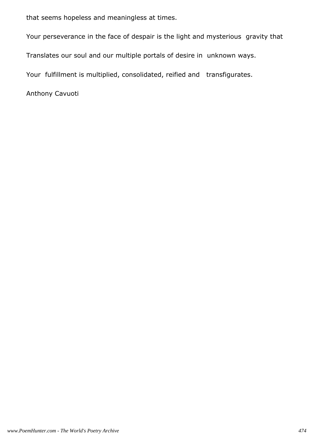that seems hopeless and meaningless at times.

Your perseverance in the face of despair is the light and mysterious gravity that

Translates our soul and our multiple portals of desire in unknown ways.

Your fulfillment is multiplied, consolidated, reified and transfigurates.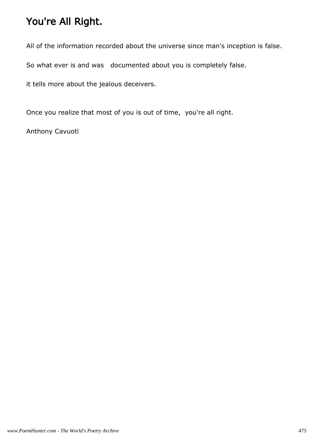# You're All Right.

All of the information recorded about the universe since man's inception is false.

So what ever is and was documented about you is completely false.

it tells more about the jealous deceivers.

Once you realize that most of you is out of time, you're all right.